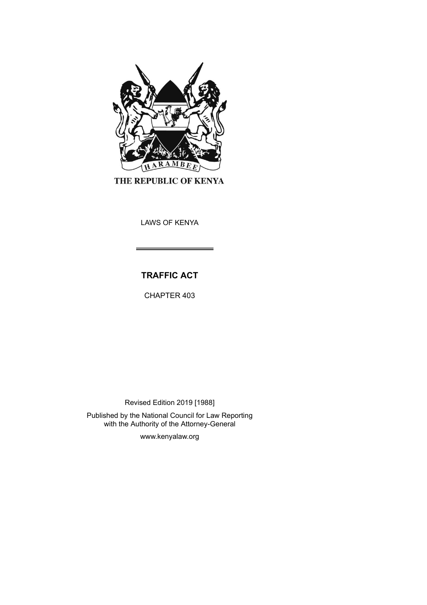

THE REPUBLIC OF KENYA

LAWS OF KENYA

# **TRAFFIC ACT**

CHAPTER 403

Revised Edition 2019 [1988]

Published by the National Council for Law Reporting with the Authority of the Attorney-General

www.kenyalaw.org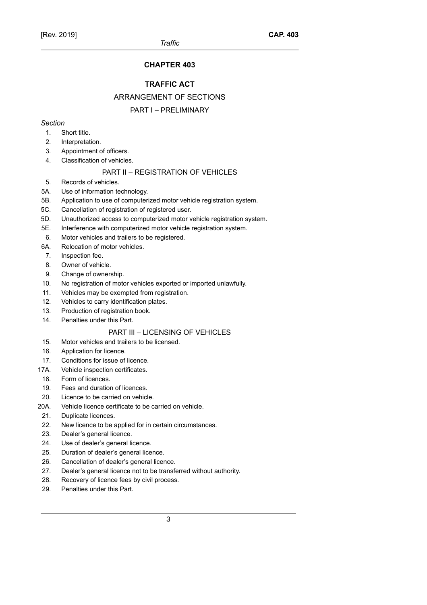## **CHAPTER 403**

## **TRAFFIC ACT**

## ARRANGEMENT OF SECTIONS

## PART I – PRELIMINARY

## *Section*

- 1. Short title.
- 2. Interpretation.
- 3. Appointment of officers.
- 4. Classification of vehicles.

## PART II – REGISTRATION OF VEHICLES

- 5. Records of vehicles.
- 5A. Use of information technology.
- 5B. Application to use of computerized motor vehicle registration system.
- 5C. Cancellation of registration of registered user.
- 5D. Unauthorized access to computerized motor vehicle registration system.
- 5E. Interference with computerized motor vehicle registration system.
- 6. Motor vehicles and trailers to be registered.
- 6A. Relocation of motor vehicles.
- 7. Inspection fee.
- 8. Owner of vehicle.
- 9. Change of ownership.
- 10. No registration of motor vehicles exported or imported unlawfully.
- 11. Vehicles may be exempted from registration.
- 12. Vehicles to carry identification plates.
- 13. Production of registration book.
- 14. Penalties under this Part.

## PART III – LICENSING OF VEHICLES

- 15. Motor vehicles and trailers to be licensed.
- 16. Application for licence.
- 17. Conditions for issue of licence.
- 17A. Vehicle inspection certificates.
- 18. Form of licences.
- 19. Fees and duration of licences.
- 20. Licence to be carried on vehicle.
- 20A. Vehicle licence certificate to be carried on vehicle.
- 21. Duplicate licences.
- 22. New licence to be applied for in certain circumstances.
- 23. Dealer's general licence.
- 24. Use of dealer's general licence.
- 25. Duration of dealer's general licence.
- 26. Cancellation of dealer's general licence.
- 27. Dealer's general licence not to be transferred without authority.
- 28. Recovery of licence fees by civil process.
- 29. Penalties under this Part.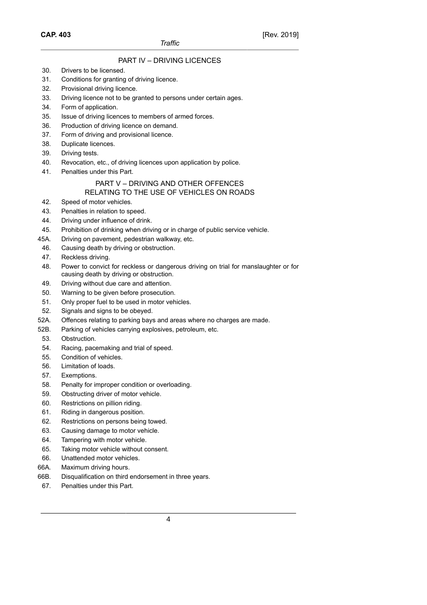**CAP. 403**

## PART IV – DRIVING LICENCES

- 30. Drivers to be licensed.
- 31. Conditions for granting of driving licence.
- 32. Provisional driving licence.
- 33. Driving licence not to be granted to persons under certain ages.
- 34. Form of application.
- 35. Issue of driving licences to members of armed forces.
- 36. Production of driving licence on demand.
- 37. Form of driving and provisional licence.
- 38. Duplicate licences.
- 39. Driving tests.
- 40. Revocation, etc., of driving licences upon application by police.
- 41. Penalties under this Part.

## PART V – DRIVING AND OTHER OFFENCES RELATING TO THE USE OF VEHICLES ON ROADS

- 42. Speed of motor vehicles.
- 43. Penalties in relation to speed.
- 44. Driving under influence of drink.
- 45. Prohibition of drinking when driving or in charge of public service vehicle.
- 45A. Driving on pavement, pedestrian walkway, etc.
- 46. Causing death by driving or obstruction.
- 47. Reckless driving.
- 48. Power to convict for reckless or dangerous driving on trial for manslaughter or for causing death by driving or obstruction.
- 49. Driving without due care and attention.
- 50. Warning to be given before prosecution.
- 51. Only proper fuel to be used in motor vehicles.
- 52. Signals and signs to be obeyed.
- 52A. Offences relating to parking bays and areas where no charges are made.
- 52B. Parking of vehicles carrying explosives, petroleum, etc.
- 53. Obstruction.
- 54. Racing, pacemaking and trial of speed.
- 55. Condition of vehicles.
- 56. Limitation of loads.
- 57. Exemptions.
- 58. Penalty for improper condition or overloading.
- 59. Obstructing driver of motor vehicle.
- 60. Restrictions on pillion riding.
- 61. Riding in dangerous position.
- 62. Restrictions on persons being towed.
- 63. Causing damage to motor vehicle.
- 64. Tampering with motor vehicle.
- 65. Taking motor vehicle without consent.
- 66. Unattended motor vehicles.
- 66A. Maximum driving hours.
- 66B. Disqualification on third endorsement in three years.
- 67. Penalties under this Part.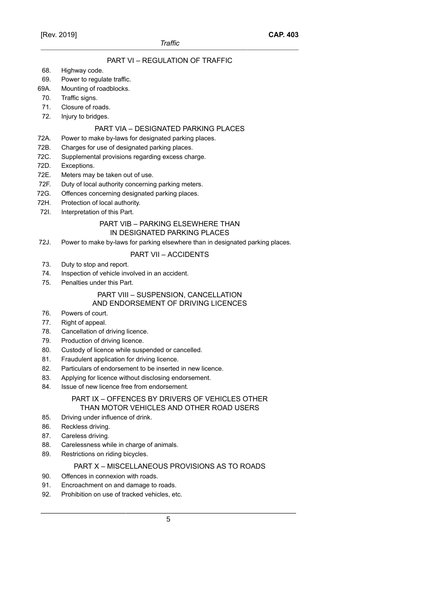## PART VI – REGULATION OF TRAFFIC

68. Highway code.

## 69. Power to regulate traffic.

- 69A. Mounting of roadblocks.
- 70. Traffic signs.
- 71. Closure of roads.
- 72. Injury to bridges.

### PART VIA – DESIGNATED PARKING PLACES

### 72A. Power to make by-laws for designated parking places.

- 72B. Charges for use of designated parking places.
- 72C. Supplemental provisions regarding excess charge.
- 72D. Exceptions.
- 72E. Meters may be taken out of use.
- 72F. Duty of local authority concerning parking meters.
- 72G. Offences concerning designated parking places.
- 72H. Protection of local authority.
- 72I. Interpretation of this Part.

### PART VIB – PARKING ELSEWHERE THAN IN DESIGNATED PARKING PLACES

72J. Power to make by-laws for parking elsewhere than in designated parking places.

## PART VII – ACCIDENTS

- 73. Duty to stop and report.
- 74. Inspection of vehicle involved in an accident.
- 75. Penalties under this Part.

#### PART VIII – SUSPENSION, CANCELLATION AND ENDORSEMENT OF DRIVING LICENCES

## 76. Powers of court.

- 77. Right of appeal.
- 78. Cancellation of driving licence.
- 79. Production of driving licence.
- 80. Custody of licence while suspended or cancelled.
- 81. Fraudulent application for driving licence.
- 82. Particulars of endorsement to be inserted in new licence.
- 83. Applying for licence without disclosing endorsement.
- 84. Issue of new licence free from endorsement.

## PART IX – OFFENCES BY DRIVERS OF VEHICLES OTHER THAN MOTOR VEHICLES AND OTHER ROAD USERS

- 85. Driving under influence of drink.
- 86. Reckless driving.
- 87. Careless driving.
- 88. Carelessness while in charge of animals.
- 89. Restrictions on riding bicycles.

## PART X – MISCELLANEOUS PROVISIONS AS TO ROADS

- 90. Offences in connexion with roads.
- 91. Encroachment on and damage to roads.
- 92. Prohibition on use of tracked vehicles, etc.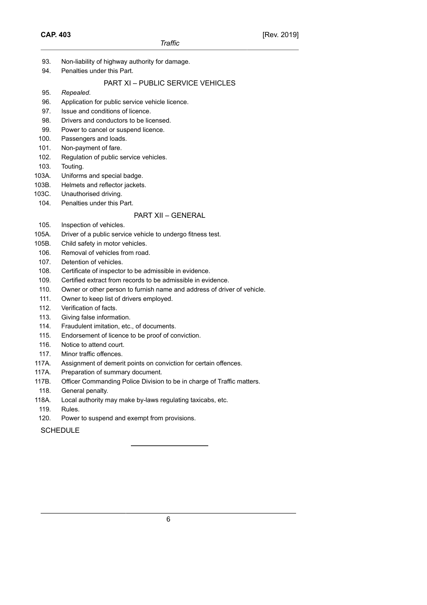- 93. Non-liability of highway authority for damage.
- 94. Penalties under this Part.

## PART XI – PUBLIC SERVICE VEHICLES

- 95. *Repealed*.
- 96. Application for public service vehicle licence.
- 97. Issue and conditions of licence.
- 98. Drivers and conductors to be licensed.
- 99. Power to cancel or suspend licence.
- 100. Passengers and loads.
- 101. Non-payment of fare.
- 102. Regulation of public service vehicles.
- 103. Touting.
- 103A. Uniforms and special badge.
- 103B. Helmets and reflector jackets.
- 103C. Unauthorised driving.
- 104. Penalties under this Part.

## PART XII – GENERAL

- 105. Inspection of vehicles.
- 105A. Driver of a public service vehicle to undergo fitness test.
- 105B. Child safety in motor vehicles.
- 106. Removal of vehicles from road.
- 107. Detention of vehicles.
- 108. Certificate of inspector to be admissible in evidence.
- 109. Certified extract from records to be admissible in evidence.
- 110. Owner or other person to furnish name and address of driver of vehicle.
- 111. Owner to keep list of drivers employed.
- 112. Verification of facts.
- 113. Giving false information.
- 114. Fraudulent imitation, etc., of documents.
- 115. Endorsement of licence to be proof of conviction.
- 116. Notice to attend court.
- 117. Minor traffic offences.
- 117A. Assignment of demerit points on conviction for certain offences.
- 117A. Preparation of summary document.
- 117B. Officer Commanding Police Division to be in charge of Traffic matters.
- 118. General penalty.
- 118A. Local authority may make by-laws regulating taxicabs, etc.
- 119. Rules.
- 120. Power to suspend and exempt from provisions.

**SCHEDULE**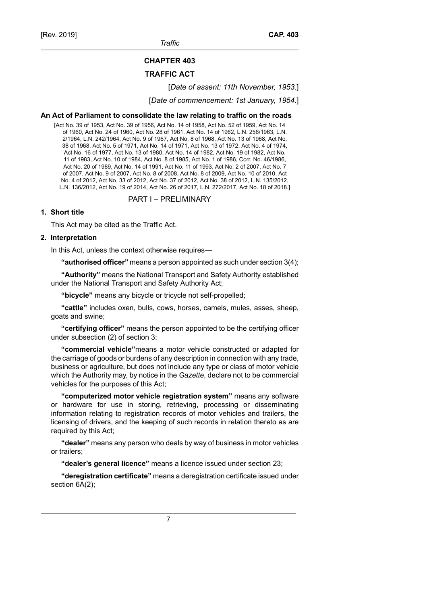[Rev. 2019]

*Traffic*

# **CHAPTER 403**

## **TRAFFIC ACT**

[*Date of assent: 11th November, 1953*.]

[*Date of commencement: 1st January, 1954*.]

## **An Act of Parliament to consolidate the law relating to traffic on the roads**

[Act No. 39 of 1953, Act No. 39 of 1956, Act No. 14 of 1958, Act No. 52 of 1959, Act No. 14 of 1960, Act No. 24 of 1960, Act No. 28 of 1961, Act No. 14 of 1962, L.N. 256/1963, L.N. 2/1964, L.N. 242/1964, Act No. 9 of 1967, Act No. 8 of 1968, Act No. 13 of 1968, Act No. 38 of 1968, Act No. 5 of 1971, Act No. 14 of 1971, Act No. 13 of 1972, Act No. 4 of 1974, Act No. 16 of 1977, Act No. 13 of 1980, Act No. 14 of 1982, Act No. 19 of 1982, Act No. 11 of 1983, Act No. 10 of 1984, Act No. 8 of 1985, Act No. 1 of 1986, Corr. No. 46/1986, Act No. 20 of 1989, Act No. 14 of 1991, Act No. 11 of 1993, Act No. 2 of 2007, Act No. 7 of 2007, Act No. 9 of 2007, Act No. 8 of 2008, Act No. 8 of 2009, Act No. 10 of 2010, Act No. 4 of 2012, Act No. 33 of 2012, Act No. 37 of 2012, Act No. 38 of 2012, L.N. 135/2012, L.N. 136/2012, Act No. 19 of 2014, Act No. 26 of 2017, L.N. 272/2017, Act No. 18 of 2018.]

PART I – PRELIMINARY

## **1. Short title**

This Act may be cited as the Traffic Act.

## **2. Interpretation**

In this Act, unless the context otherwise requires—

**"authorised officer"** means a person appointed as such under section 3(4);

**"Authority"** means the National Transport and Safety Authority established under the National Transport and Safety Authority Act;

**"bicycle"** means any bicycle or tricycle not self-propelled;

**"cattle"** includes oxen, bulls, cows, horses, camels, mules, asses, sheep, goats and swine;

**"certifying officer"** means the person appointed to be the certifying officer under subsection (2) of section 3;

**"commercial vehicle"**means a motor vehicle constructed or adapted for the carriage of goods or burdens of any description in connection with any trade, business or agriculture, but does not include any type or class of motor vehicle which the Authority may, by notice in the *Gazette*, declare not to be commercial vehicles for the purposes of this Act;

**"computerized motor vehicle registration system"** means any software or hardware for use in storing, retrieving, processing or disseminating information relating to registration records of motor vehicles and trailers, the licensing of drivers, and the keeping of such records in relation thereto as are required by this Act;

**"dealer"** means any person who deals by way of business in motor vehicles or trailers;

**"dealer's general licence"** means a licence issued under section 23;

**"deregistration certificate"** means a deregistration certificate issued under section 6A(2);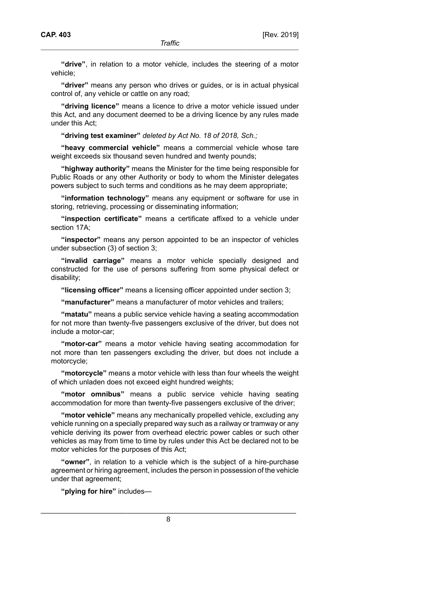**"drive"**, in relation to a motor vehicle, includes the steering of a motor vehicle;

**"driver"** means any person who drives or guides, or is in actual physical control of, any vehicle or cattle on any road;

**"driving licence"** means a licence to drive a motor vehicle issued under this Act, and any document deemed to be a driving licence by any rules made under this Act;

**"driving test examiner"** *deleted by Act No. 18 of 2018, Sch.;*

**"heavy commercial vehicle"** means a commercial vehicle whose tare weight exceeds six thousand seven hundred and twenty pounds;

**"highway authority"** means the Minister for the time being responsible for Public Roads or any other Authority or body to whom the Minister delegates powers subject to such terms and conditions as he may deem appropriate;

**"information technology"** means any equipment or software for use in storing, retrieving, processing or disseminating information;

**"inspection certificate"** means a certificate affixed to a vehicle under section 17A;

**"inspector"** means any person appointed to be an inspector of vehicles under subsection (3) of section 3;

**"invalid carriage"** means a motor vehicle specially designed and constructed for the use of persons suffering from some physical defect or disability;

**"licensing officer"** means a licensing officer appointed under section 3;

**"manufacturer"** means a manufacturer of motor vehicles and trailers;

**"matatu"** means a public service vehicle having a seating accommodation for not more than twenty-five passengers exclusive of the driver, but does not include a motor-car;

**"motor-car"** means a motor vehicle having seating accommodation for not more than ten passengers excluding the driver, but does not include a motorcycle;

**"motorcycle"** means a motor vehicle with less than four wheels the weight of which unladen does not exceed eight hundred weights;

**"motor omnibus"** means a public service vehicle having seating accommodation for more than twenty-five passengers exclusive of the driver;

**"motor vehicle"** means any mechanically propelled vehicle, excluding any vehicle running on a specially prepared way such as a railway or tramway or any vehicle deriving its power from overhead electric power cables or such other vehicles as may from time to time by rules under this Act be declared not to be motor vehicles for the purposes of this Act;

**"owner"**, in relation to a vehicle which is the subject of a hire-purchase agreement or hiring agreement, includes the person in possession of the vehicle under that agreement;

**"plying for hire"** includes—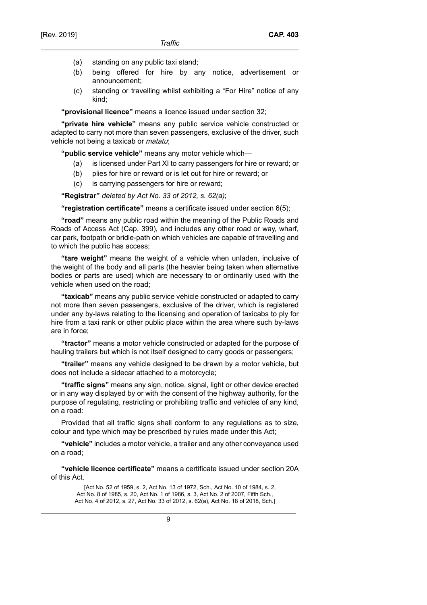- (a) standing on any public taxi stand;
- (b) being offered for hire by any notice, advertisement or announcement;
- (c) standing or travelling whilst exhibiting a "For Hire" notice of any kind;

**"provisional licence"** means a licence issued under section 32;

**"private hire vehicle"** means any public service vehicle constructed or adapted to carry not more than seven passengers, exclusive of the driver, such vehicle not being a taxicab or *matatu*;

**"public service vehicle"** means any motor vehicle which—

- (a) is licensed under Part XI to carry passengers for hire or reward; or
- (b) plies for hire or reward or is let out for hire or reward; or
- (c) is carrying passengers for hire or reward;

**"Registrar"** *deleted by Act No. 33 of 2012, s. 62(a)*;

**"registration certificate"** means a certificate issued under section 6(5);

**"road"** means any public road within the meaning of the Public Roads and Roads of Access Act (Cap. 399), and includes any other road or way, wharf, car park, footpath or bridle-path on which vehicles are capable of travelling and to which the public has access;

**"tare weight"** means the weight of a vehicle when unladen, inclusive of the weight of the body and all parts (the heavier being taken when alternative bodies or parts are used) which are necessary to or ordinarily used with the vehicle when used on the road;

**"taxicab"** means any public service vehicle constructed or adapted to carry not more than seven passengers, exclusive of the driver, which is registered under any by-laws relating to the licensing and operation of taxicabs to ply for hire from a taxi rank or other public place within the area where such by-laws are in force;

**"tractor"** means a motor vehicle constructed or adapted for the purpose of hauling trailers but which is not itself designed to carry goods or passengers;

**"trailer"** means any vehicle designed to be drawn by a motor vehicle, but does not include a sidecar attached to a motorcycle;

**"traffic signs"** means any sign, notice, signal, light or other device erected or in any way displayed by or with the consent of the highway authority, for the purpose of regulating, restricting or prohibiting traffic and vehicles of any kind, on a road:

Provided that all traffic signs shall conform to any regulations as to size, colour and type which may be prescribed by rules made under this Act;

**"vehicle"** includes a motor vehicle, a trailer and any other conveyance used on a road;

**"vehicle licence certificate"** means a certificate issued under section 20A of this Act.

[Act No. 52 of 1959, s. 2, Act No. 13 of 1972, Sch., Act No. 10 of 1984, s. 2, Act No. 8 of 1985, s. 20, Act No. 1 of 1986, s. 3, Act No. 2 of 2007, Fifth Sch., Act No. 4 of 2012, s. 27, Act No. 33 of 2012, s. 62(a), Act No. 18 of 2018, Sch.]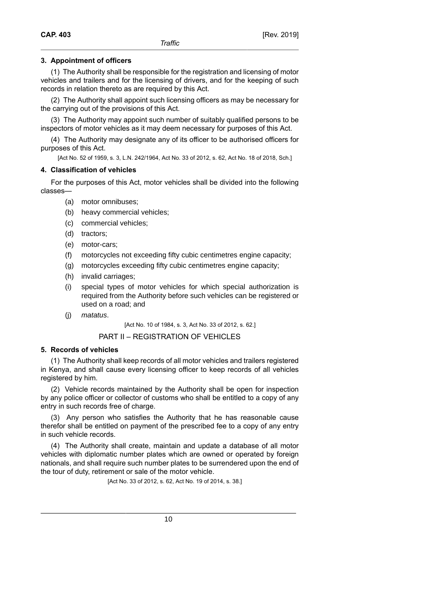## **3. Appointment of officers**

(1) The Authority shall be responsible for the registration and licensing of motor vehicles and trailers and for the licensing of drivers, and for the keeping of such records in relation thereto as are required by this Act.

(2) The Authority shall appoint such licensing officers as may be necessary for the carrying out of the provisions of this Act.

(3) The Authority may appoint such number of suitably qualified persons to be inspectors of motor vehicles as it may deem necessary for purposes of this Act.

(4) The Authority may designate any of its officer to be authorised officers for purposes of this Act.

[Act No. 52 of 1959, s. 3, L.N. 242/1964, Act No. 33 of 2012, s. 62, Act No. 18 of 2018, Sch.]

### **4. Classification of vehicles**

For the purposes of this Act, motor vehicles shall be divided into the following classes—

- (a) motor omnibuses;
- (b) heavy commercial vehicles;
- (c) commercial vehicles;
- (d) tractors;
- (e) motor-cars;
- (f) motorcycles not exceeding fifty cubic centimetres engine capacity;
- (g) motorcycles exceeding fifty cubic centimetres engine capacity;
- (h) invalid carriages;
- (i) special types of motor vehicles for which special authorization is required from the Authority before such vehicles can be registered or used on a road; and
- (j) matatus.

[Act No. 10 of 1984, s. 3, Act No. 33 of 2012, s. 62.]

## PART II – REGISTRATION OF VEHICLES

#### **5. Records of vehicles**

(1) The Authority shall keep records of all motor vehicles and trailers registered in Kenya, and shall cause every licensing officer to keep records of all vehicles registered by him.

(2) Vehicle records maintained by the Authority shall be open for inspection by any police officer or collector of customs who shall be entitled to a copy of any entry in such records free of charge.

(3) Any person who satisfies the Authority that he has reasonable cause therefor shall be entitled on payment of the prescribed fee to a copy of any entry in such vehicle records.

(4) The Authority shall create, maintain and update a database of all motor vehicles with diplomatic number plates which are owned or operated by foreign nationals, and shall require such number plates to be surrendered upon the end of the tour of duty, retirement or sale of the motor vehicle.

[Act No. 33 of 2012, s. 62, Act No. 19 of 2014, s. 38.]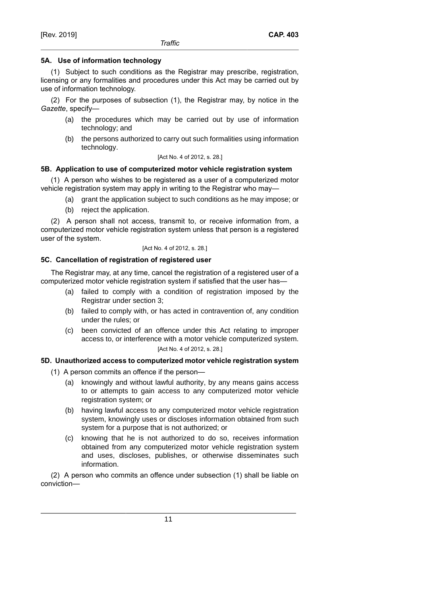## **5A. Use of information technology**

(1) Subject to such conditions as the Registrar may prescribe, registration, licensing or any formalities and procedures under this Act may be carried out by use of information technology.

(2) For the purposes of subsection (1), the Registrar may, by notice in the *Gazette*, specify—

- (a) the procedures which may be carried out by use of information technology; and
- (b) the persons authorized to carry out such formalities using information technology.

### [Act No. 4 of 2012, s. 28.]

## **5B. Application to use of computerized motor vehicle registration system**

(1) A person who wishes to be registered as a user of a computerized motor vehicle registration system may apply in writing to the Registrar who may—

- (a) grant the application subject to such conditions as he may impose; or
- (b) reject the application.

(2) A person shall not access, transmit to, or receive information from, a computerized motor vehicle registration system unless that person is a registered user of the system.

### [Act No. 4 of 2012, s. 28.]

## **5C. Cancellation of registration of registered user**

The Registrar may, at any time, cancel the registration of a registered user of a computerized motor vehicle registration system if satisfied that the user has—

- (a) failed to comply with a condition of registration imposed by the Registrar under section 3;
- (b) failed to comply with, or has acted in contravention of, any condition under the rules; or
- (c) been convicted of an offence under this Act relating to improper access to, or interference with a motor vehicle computerized system.

[Act No. 4 of 2012, s. 28.]

## **5D. Unauthorized access to computerized motor vehicle registration system**

- (1) A person commits an offence if the person—
	- (a) knowingly and without lawful authority, by any means gains access to or attempts to gain access to any computerized motor vehicle registration system; or
	- (b) having lawful access to any computerized motor vehicle registration system, knowingly uses or discloses information obtained from such system for a purpose that is not authorized; or
	- (c) knowing that he is not authorized to do so, receives information obtained from any computerized motor vehicle registration system and uses, discloses, publishes, or otherwise disseminates such information.

(2) A person who commits an offence under subsection (1) shall be liable on conviction—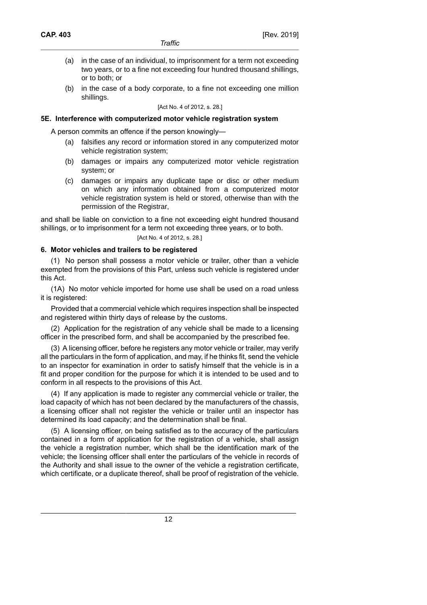- (a) in the case of an individual, to imprisonment for a term not exceeding two years, or to a fine not exceeding four hundred thousand shillings, or to both; or
- (b) in the case of a body corporate, to a fine not exceeding one million shillings.

[Act No. 4 of 2012, s. 28.]

## **5E. Interference with computerized motor vehicle registration system**

A person commits an offence if the person knowingly—

- (a) falsifies any record or information stored in any computerized motor vehicle registration system;
- (b) damages or impairs any computerized motor vehicle registration system; or
- (c) damages or impairs any duplicate tape or disc or other medium on which any information obtained from a computerized motor vehicle registration system is held or stored, otherwise than with the permission of the Registrar,

and shall be liable on conviction to a fine not exceeding eight hundred thousand shillings, or to imprisonment for a term not exceeding three years, or to both.

### [Act No. 4 of 2012, s. 28.]

## **6. Motor vehicles and trailers to be registered**

(1) No person shall possess a motor vehicle or trailer, other than a vehicle exempted from the provisions of this Part, unless such vehicle is registered under this Act.

(1A) No motor vehicle imported for home use shall be used on a road unless it is registered:

Provided that a commercial vehicle which requires inspection shall be inspected and registered within thirty days of release by the customs.

(2) Application for the registration of any vehicle shall be made to a licensing officer in the prescribed form, and shall be accompanied by the prescribed fee.

(3) A licensing officer, before he registers any motor vehicle or trailer, may verify all the particulars in the form of application, and may, if he thinks fit, send the vehicle to an inspector for examination in order to satisfy himself that the vehicle is in a fit and proper condition for the purpose for which it is intended to be used and to conform in all respects to the provisions of this Act.

(4) If any application is made to register any commercial vehicle or trailer, the load capacity of which has not been declared by the manufacturers of the chassis, a licensing officer shall not register the vehicle or trailer until an inspector has determined its load capacity; and the determination shall be final.

(5) A licensing officer, on being satisfied as to the accuracy of the particulars contained in a form of application for the registration of a vehicle, shall assign the vehicle a registration number, which shall be the identification mark of the vehicle; the licensing officer shall enter the particulars of the vehicle in records of the Authority and shall issue to the owner of the vehicle a registration certificate, which certificate, or a duplicate thereof, shall be proof of registration of the vehicle.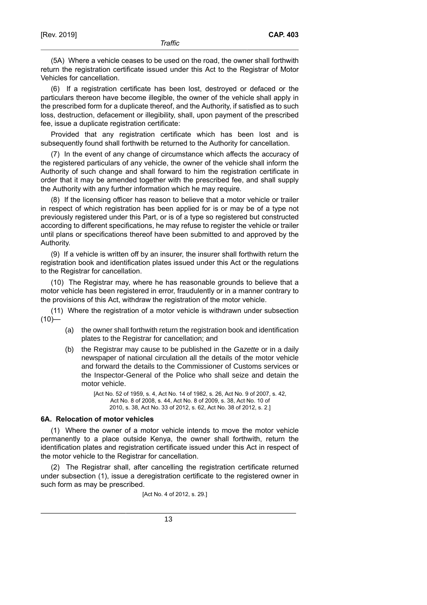(5A) Where a vehicle ceases to be used on the road, the owner shall forthwith return the registration certificate issued under this Act to the Registrar of Motor Vehicles for cancellation.

(6) If a registration certificate has been lost, destroyed or defaced or the particulars thereon have become illegible, the owner of the vehicle shall apply in the prescribed form for a duplicate thereof, and the Authority, if satisfied as to such loss, destruction, defacement or illegibility, shall, upon payment of the prescribed fee, issue a duplicate registration certificate:

Provided that any registration certificate which has been lost and is subsequently found shall forthwith be returned to the Authority for cancellation.

(7) In the event of any change of circumstance which affects the accuracy of the registered particulars of any vehicle, the owner of the vehicle shall inform the Authority of such change and shall forward to him the registration certificate in order that it may be amended together with the prescribed fee, and shall supply the Authority with any further information which he may require.

(8) If the licensing officer has reason to believe that a motor vehicle or trailer in respect of which registration has been applied for is or may be of a type not previously registered under this Part, or is of a type so registered but constructed according to different specifications, he may refuse to register the vehicle or trailer until plans or specifications thereof have been submitted to and approved by the Authority.

(9) If a vehicle is written off by an insurer, the insurer shall forthwith return the registration book and identification plates issued under this Act or the regulations to the Registrar for cancellation.

(10) The Registrar may, where he has reasonable grounds to believe that a motor vehicle has been registered in error, fraudulently or in a manner contrary to the provisions of this Act, withdraw the registration of the motor vehicle.

(11) Where the registration of a motor vehicle is withdrawn under subsection  $(10)$ —

- (a) the owner shall forthwith return the registration book and identification plates to the Registrar for cancellation; and
- (b) the Registrar may cause to be published in the Gazette or in a daily newspaper of national circulation all the details of the motor vehicle and forward the details to the Commissioner of Customs services or the Inspector-General of the Police who shall seize and detain the motor vehicle.

[Act No. 52 of 1959, s. 4, Act No. 14 of 1982, s. 26, Act No. 9 of 2007, s. 42, Act No. 8 of 2008, s. 44, Act No. 8 of 2009, s. 38, Act No. 10 of 2010, s. 38, Act No. 33 of 2012, s. 62, Act No. 38 of 2012, s. 2.]

### **6A. Relocation of motor vehicles**

(1) Where the owner of a motor vehicle intends to move the motor vehicle permanently to a place outside Kenya, the owner shall forthwith, return the identification plates and registration certificate issued under this Act in respect of the motor vehicle to the Registrar for cancellation.

(2) The Registrar shall, after cancelling the registration certificate returned under subsection (1), issue a deregistration certificate to the registered owner in such form as may be prescribed.

[Act No. 4 of 2012, s. 29.]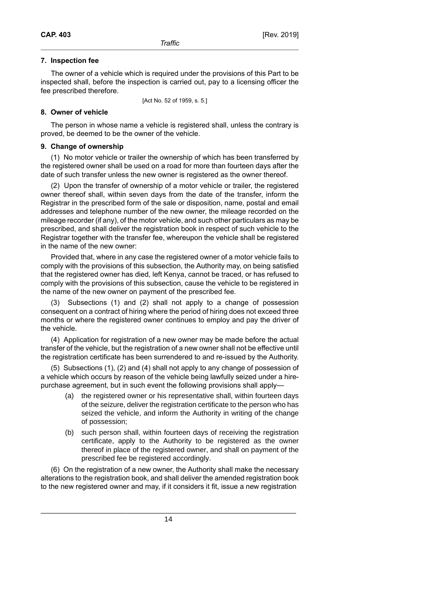### **7. Inspection fee**

The owner of a vehicle which is required under the provisions of this Part to be inspected shall, before the inspection is carried out, pay to a licensing officer the fee prescribed therefore.

[Act No. 52 of 1959, s. 5.]

### **8. Owner of vehicle**

The person in whose name a vehicle is registered shall, unless the contrary is proved, be deemed to be the owner of the vehicle.

### **9. Change of ownership**

(1) No motor vehicle or trailer the ownership of which has been transferred by the registered owner shall be used on a road for more than fourteen days after the date of such transfer unless the new owner is registered as the owner thereof.

(2) Upon the transfer of ownership of a motor vehicle or trailer, the registered owner thereof shall, within seven days from the date of the transfer, inform the Registrar in the prescribed form of the sale or disposition, name, postal and email addresses and telephone number of the new owner, the mileage recorded on the mileage recorder (if any), of the motor vehicle, and such other particulars as may be prescribed, and shall deliver the registration book in respect of such vehicle to the Registrar together with the transfer fee, whereupon the vehicle shall be registered in the name of the new owner:

Provided that, where in any case the registered owner of a motor vehicle fails to comply with the provisions of this subsection, the Authority may, on being satisfied that the registered owner has died, left Kenya, cannot be traced, or has refused to comply with the provisions of this subsection, cause the vehicle to be registered in the name of the new owner on payment of the prescribed fee.

(3) Subsections (1) and (2) shall not apply to a change of possession consequent on a contract of hiring where the period of hiring does not exceed three months or where the registered owner continues to employ and pay the driver of the vehicle.

(4) Application for registration of a new owner may be made before the actual transfer of the vehicle, but the registration of a new owner shall not be effective until the registration certificate has been surrendered to and re-issued by the Authority.

(5) Subsections (1), (2) and (4) shall not apply to any change of possession of a vehicle which occurs by reason of the vehicle being lawfully seized under a hirepurchase agreement, but in such event the following provisions shall apply—

- (a) the registered owner or his representative shall, within fourteen days of the seizure, deliver the registration certificate to the person who has seized the vehicle, and inform the Authority in writing of the change of possession;
- (b) such person shall, within fourteen days of receiving the registration certificate, apply to the Authority to be registered as the owner thereof in place of the registered owner, and shall on payment of the prescribed fee be registered accordingly.

(6) On the registration of a new owner, the Authority shall make the necessary alterations to the registration book, and shall deliver the amended registration book to the new registered owner and may, if it considers it fit, issue a new registration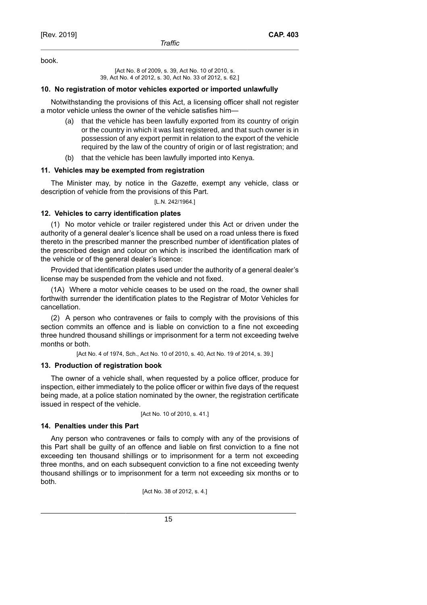book.

[Act No. 8 of 2009, s. 39, Act No. 10 of 2010, s. 39, Act No. 4 of 2012, s. 30, Act No. 33 of 2012, s. 62.]

### **10. No registration of motor vehicles exported or imported unlawfully**

Notwithstanding the provisions of this Act, a licensing officer shall not register a motor vehicle unless the owner of the vehicle satisfies him—

- (a) that the vehicle has been lawfully exported from its country of origin or the country in which it was last registered, and that such owner is in possession of any export permit in relation to the export of the vehicle required by the law of the country of origin or of last registration; and
- (b) that the vehicle has been lawfully imported into Kenya.

## **11. Vehicles may be exempted from registration**

The Minister may, by notice in the *Gazette*, exempt any vehicle, class or description of vehicle from the provisions of this Part.

[L.N. 242/1964.]

## **12. Vehicles to carry identification plates**

(1) No motor vehicle or trailer registered under this Act or driven under the authority of a general dealer's licence shall be used on a road unless there is fixed thereto in the prescribed manner the prescribed number of identification plates of the prescribed design and colour on which is inscribed the identification mark of the vehicle or of the general dealer's licence:

Provided that identification plates used under the authority of a general dealer's license may be suspended from the vehicle and not fixed.

(1A) Where a motor vehicle ceases to be used on the road, the owner shall forthwith surrender the identification plates to the Registrar of Motor Vehicles for cancellation.

(2) A person who contravenes or fails to comply with the provisions of this section commits an offence and is liable on conviction to a fine not exceeding three hundred thousand shillings or imprisonment for a term not exceeding twelve months or both.

[Act No. 4 of 1974, Sch., Act No. 10 of 2010, s. 40, Act No. 19 of 2014, s. 39.]

### **13. Production of registration book**

The owner of a vehicle shall, when requested by a police officer, produce for inspection, either immediately to the police officer or within five days of the request being made, at a police station nominated by the owner, the registration certificate issued in respect of the vehicle.

[Act No. 10 of 2010, s. 41.]

## **14. Penalties under this Part**

Any person who contravenes or fails to comply with any of the provisions of this Part shall be guilty of an offence and liable on first conviction to a fine not exceeding ten thousand shillings or to imprisonment for a term not exceeding three months, and on each subsequent conviction to a fine not exceeding twenty thousand shillings or to imprisonment for a term not exceeding six months or to both.

[Act No. 38 of 2012, s. 4.]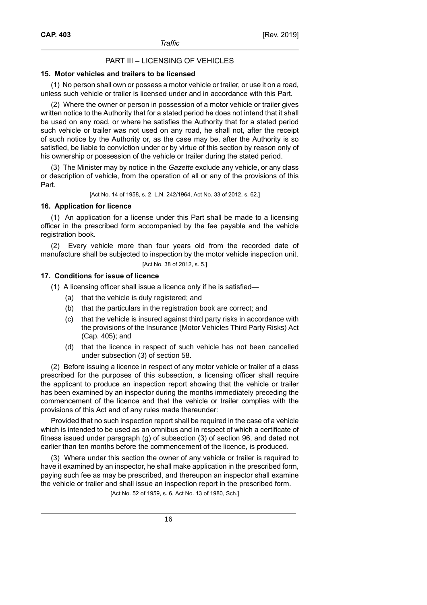## PART III – LICENSING OF VEHICLES

#### **15. Motor vehicles and trailers to be licensed**

(1) No person shall own or possess a motor vehicle or trailer, or use it on a road, unless such vehicle or trailer is licensed under and in accordance with this Part.

(2) Where the owner or person in possession of a motor vehicle or trailer gives written notice to the Authority that for a stated period he does not intend that it shall be used on any road, or where he satisfies the Authority that for a stated period such vehicle or trailer was not used on any road, he shall not, after the receipt of such notice by the Authority or, as the case may be, after the Authority is so satisfied, be liable to conviction under or by virtue of this section by reason only of his ownership or possession of the vehicle or trailer during the stated period.

(3) The Minister may by notice in the *Gazette* exclude any vehicle, or any class or description of vehicle, from the operation of all or any of the provisions of this Part.

[Act No. 14 of 1958, s. 2, L.N. 242/1964, Act No. 33 of 2012, s. 62.]

## **16. Application for licence**

(1) An application for a license under this Part shall be made to a licensing officer in the prescribed form accompanied by the fee payable and the vehicle registration book.

(2) Every vehicle more than four years old from the recorded date of manufacture shall be subjected to inspection by the motor vehicle inspection unit. [Act No. 38 of 2012, s. 5.]

### **17. Conditions for issue of licence**

- (1) A licensing officer shall issue a licence only if he is satisfied—
	- (a) that the vehicle is duly registered; and
	- (b) that the particulars in the registration book are correct; and
	- (c) that the vehicle is insured against third party risks in accordance with the provisions of the Insurance (Motor Vehicles Third Party Risks) Act (Cap. 405); and
	- (d) that the licence in respect of such vehicle has not been cancelled under subsection (3) of section 58.

(2) Before issuing a licence in respect of any motor vehicle or trailer of a class prescribed for the purposes of this subsection, a licensing officer shall require the applicant to produce an inspection report showing that the vehicle or trailer has been examined by an inspector during the months immediately preceding the commencement of the licence and that the vehicle or trailer complies with the provisions of this Act and of any rules made thereunder:

Provided that no such inspection report shall be required in the case of a vehicle which is intended to be used as an omnibus and in respect of which a certificate of fitness issued under paragraph (g) of subsection (3) of section 96, and dated not earlier than ten months before the commencement of the licence, is produced.

(3) Where under this section the owner of any vehicle or trailer is required to have it examined by an inspector, he shall make application in the prescribed form, paying such fee as may be prescribed, and thereupon an inspector shall examine the vehicle or trailer and shall issue an inspection report in the prescribed form.

[Act No. 52 of 1959, s. 6, Act No. 13 of 1980, Sch.]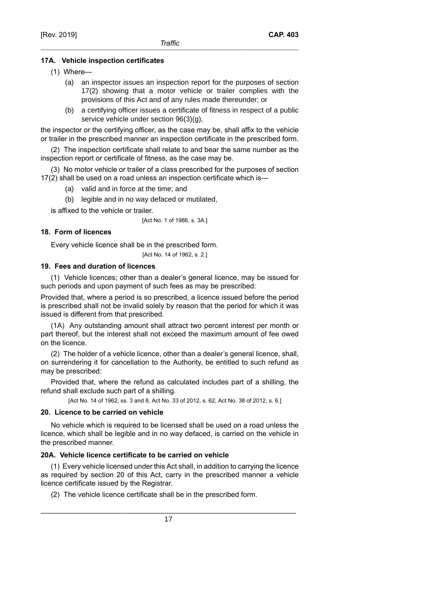## **17A. Vehicle inspection certificates**

- (1) Where—
	- (a) an inspector issues an inspection report for the purposes of section 17(2) showing that a motor vehicle or trailer complies with the provisions of this Act and of any rules made thereunder; or
	- (b) a certifying officer issues a certificate of fitness in respect of a public service vehicle under section 96(3)(g),

the inspector or the certifying officer, as the case may be, shall affix to the vehicle or trailer in the prescribed manner an inspection certificate in the prescribed form.

(2) The inspection certificate shall relate to and bear the same number as the inspection report or certificate of fitness, as the case may be.

(3) No motor vehicle or trailer of a class prescribed for the purposes of section 17(2) shall be used on a road unless an inspection certificate which is—

(a) valid and in force at the time; and

(b) legible and in no way defaced or mutilated,

is affixed to the vehicle or trailer.

[Act No. 1 of 1986, s. 3A.]

## **18. Form of licences**

Every vehicle licence shall be in the prescribed form.

[Act No. 14 of 1962, s. 2.]

## **19. Fees and duration of licences**

(1) Vehicle licences; other than a dealer's general licence, may be issued for such periods and upon payment of such fees as may be prescribed:

Provided that, where a period is so prescribed, a licence issued before the period is prescribed shall not be invalid solely by reason that the period for which it was issued is different from that prescribed.

(1A) Any outstanding amount shall attract two percent interest per month or part thereof, but the interest shall not exceed the maximum amount of fee owed on the licence.

(2) The holder of a vehicle licence, other than a dealer's general licence, shall, on surrendering it for cancellation to the Authority, be entitled to such refund as may be prescribed:

Provided that, where the refund as calculated includes part of a shilling, the refund shall exclude such part of a shilling.

[Act No. 14 of 1962, ss. 3 and 8, Act No. 33 of 2012, s. 62, Act No. 38 of 2012, s. 6.]

## **20. Licence to be carried on vehicle**

No vehicle which is required to be licensed shall be used on a road unless the licence, which shall be legible and in no way defaced, is carried on the vehicle in the prescribed manner.

## **20A. Vehicle licence certificate to be carried on vehicle**

(1) Every vehicle licensed under this Act shall, in addition to carrying the licence as required by section 20 of this Act, carry in the prescribed manner a vehicle licence certificate issued by the Registrar.

(2) The vehicle licence certificate shall be in the prescribed form.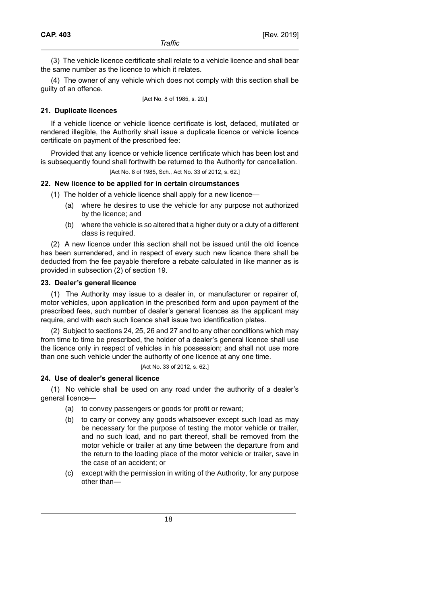(3) The vehicle licence certificate shall relate to a vehicle licence and shall bear the same number as the licence to which it relates.

(4) The owner of any vehicle which does not comply with this section shall be guilty of an offence.

[Act No. 8 of 1985, s. 20.]

## **21. Duplicate licences**

If a vehicle licence or vehicle licence certificate is lost, defaced, mutilated or rendered illegible, the Authority shall issue a duplicate licence or vehicle licence certificate on payment of the prescribed fee:

Provided that any licence or vehicle licence certificate which has been lost and is subsequently found shall forthwith be returned to the Authority for cancellation.

[Act No. 8 of 1985, Sch., Act No. 33 of 2012, s. 62.]

## **22. New licence to be applied for in certain circumstances**

- (1) The holder of a vehicle licence shall apply for a new licence—
	- (a) where he desires to use the vehicle for any purpose not authorized by the licence; and
	- (b) where the vehicle is so altered that a higher duty or a duty of a different class is required.

(2) A new licence under this section shall not be issued until the old licence has been surrendered, and in respect of every such new licence there shall be deducted from the fee payable therefore a rebate calculated in like manner as is provided in subsection (2) of section 19.

## **23. Dealer's general licence**

(1) The Authority may issue to a dealer in, or manufacturer or repairer of, motor vehicles, upon application in the prescribed form and upon payment of the prescribed fees, such number of dealer's general licences as the applicant may require, and with each such licence shall issue two identification plates.

(2) Subject to sections 24, 25, 26 and 27 and to any other conditions which may from time to time be prescribed, the holder of a dealer's general licence shall use the licence only in respect of vehicles in his possession; and shall not use more than one such vehicle under the authority of one licence at any one time.

[Act No. 33 of 2012, s. 62.]

## **24. Use of dealer's general licence**

(1) No vehicle shall be used on any road under the authority of a dealer's general licence—

- (a) to convey passengers or goods for profit or reward;
- (b) to carry or convey any goods whatsoever except such load as may be necessary for the purpose of testing the motor vehicle or trailer, and no such load, and no part thereof, shall be removed from the motor vehicle or trailer at any time between the departure from and the return to the loading place of the motor vehicle or trailer, save in the case of an accident; or
- (c) except with the permission in writing of the Authority, for any purpose other than—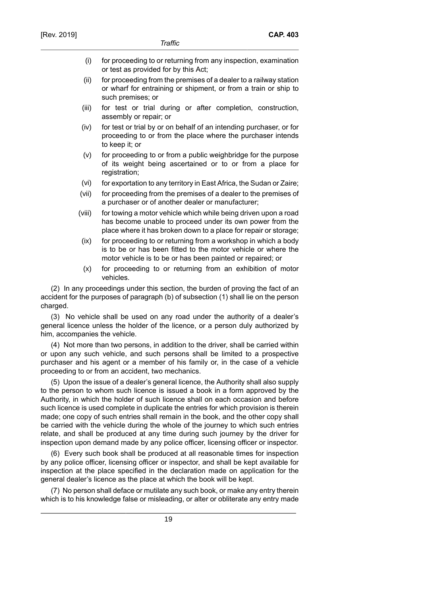- (i) for proceeding to or returning from any inspection, examination or test as provided for by this Act;
- (ii) for proceeding from the premises of a dealer to a railway station or wharf for entraining or shipment, or from a train or ship to such premises; or
- (iii) for test or trial during or after completion, construction, assembly or repair; or
- (iv) for test or trial by or on behalf of an intending purchaser, or for proceeding to or from the place where the purchaser intends to keep it; or
- (v) for proceeding to or from a public weighbridge for the purpose of its weight being ascertained or to or from a place for registration;
- (vi) for exportation to any territory in East Africa, the Sudan or Zaire;
- (vii) for proceeding from the premises of a dealer to the premises of a purchaser or of another dealer or manufacturer;
- (viii) for towing a motor vehicle which while being driven upon a road has become unable to proceed under its own power from the place where it has broken down to a place for repair or storage;
- (ix) for proceeding to or returning from a workshop in which a body is to be or has been fitted to the motor vehicle or where the motor vehicle is to be or has been painted or repaired; or
- (x) for proceeding to or returning from an exhibition of motor vehicles.

(2) In any proceedings under this section, the burden of proving the fact of an accident for the purposes of paragraph (b) of subsection (1) shall lie on the person charged.

(3) No vehicle shall be used on any road under the authority of a dealer's general licence unless the holder of the licence, or a person duly authorized by him, accompanies the vehicle.

(4) Not more than two persons, in addition to the driver, shall be carried within or upon any such vehicle, and such persons shall be limited to a prospective purchaser and his agent or a member of his family or, in the case of a vehicle proceeding to or from an accident, two mechanics.

(5) Upon the issue of a dealer's general licence, the Authority shall also supply to the person to whom such licence is issued a book in a form approved by the Authority, in which the holder of such licence shall on each occasion and before such licence is used complete in duplicate the entries for which provision is therein made; one copy of such entries shall remain in the book, and the other copy shall be carried with the vehicle during the whole of the journey to which such entries relate, and shall be produced at any time during such journey by the driver for inspection upon demand made by any police officer, licensing officer or inspector.

(6) Every such book shall be produced at all reasonable times for inspection by any police officer, licensing officer or inspector, and shall be kept available for inspection at the place specified in the declaration made on application for the general dealer's licence as the place at which the book will be kept.

(7) No person shall deface or mutilate any such book, or make any entry therein which is to his knowledge false or misleading, or alter or obliterate any entry made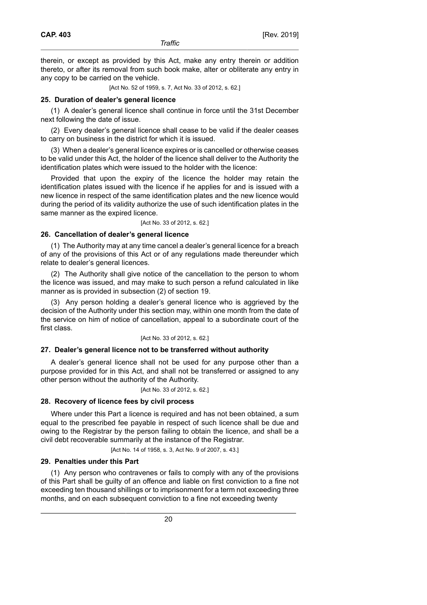therein, or except as provided by this Act, make any entry therein or addition thereto, or after its removal from such book make, alter or obliterate any entry in any copy to be carried on the vehicle.

[Act No. 52 of 1959, s. 7, Act No. 33 of 2012, s. 62.]

#### **25. Duration of dealer's general licence**

(1) A dealer's general licence shall continue in force until the 31st December next following the date of issue.

(2) Every dealer's general licence shall cease to be valid if the dealer ceases to carry on business in the district for which it is issued.

(3) When a dealer's general licence expires or is cancelled or otherwise ceases to be valid under this Act, the holder of the licence shall deliver to the Authority the identification plates which were issued to the holder with the licence:

Provided that upon the expiry of the licence the holder may retain the identification plates issued with the licence if he applies for and is issued with a new licence in respect of the same identification plates and the new licence would during the period of its validity authorize the use of such identification plates in the same manner as the expired licence.

[Act No. 33 of 2012, s. 62.]

### **26. Cancellation of dealer's general licence**

(1) The Authority may at any time cancel a dealer's general licence for a breach of any of the provisions of this Act or of any regulations made thereunder which relate to dealer's general licences.

(2) The Authority shall give notice of the cancellation to the person to whom the licence was issued, and may make to such person a refund calculated in like manner as is provided in subsection (2) of section 19.

(3) Any person holding a dealer's general licence who is aggrieved by the decision of the Authority under this section may, within one month from the date of the service on him of notice of cancellation, appeal to a subordinate court of the first class.

#### [Act No. 33 of 2012, s. 62.]

#### **27. Dealer's general licence not to be transferred without authority**

A dealer's general licence shall not be used for any purpose other than a purpose provided for in this Act, and shall not be transferred or assigned to any other person without the authority of the Authority.

[Act No. 33 of 2012, s. 62.]

#### **28. Recovery of licence fees by civil process**

Where under this Part a licence is required and has not been obtained, a sum equal to the prescribed fee payable in respect of such licence shall be due and owing to the Registrar by the person failing to obtain the licence, and shall be a civil debt recoverable summarily at the instance of the Registrar.

[Act No. 14 of 1958, s. 3, Act No. 9 of 2007, s. 43.]

#### **29. Penalties under this Part**

(1) Any person who contravenes or fails to comply with any of the provisions of this Part shall be guilty of an offence and liable on first conviction to a fine not exceeding ten thousand shillings or to imprisonment for a term not exceeding three months, and on each subsequent conviction to a fine not exceeding twenty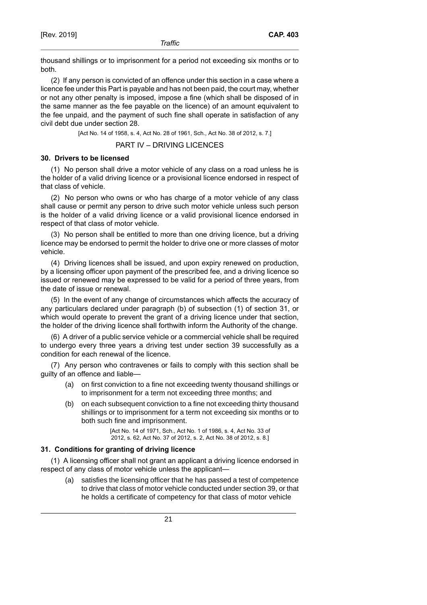thousand shillings or to imprisonment for a period not exceeding six months or to both.

(2) If any person is convicted of an offence under this section in a case where a licence fee under this Part is payable and has not been paid, the court may, whether or not any other penalty is imposed, impose a fine (which shall be disposed of in the same manner as the fee payable on the licence) of an amount equivalent to the fee unpaid, and the payment of such fine shall operate in satisfaction of any civil debt due under section 28.

[Act No. 14 of 1958, s. 4, Act No. 28 of 1961, Sch., Act No. 38 of 2012, s. 7.]

PART IV – DRIVING LICENCES

### **30. Drivers to be licensed**

(1) No person shall drive a motor vehicle of any class on a road unless he is the holder of a valid driving licence or a provisional licence endorsed in respect of that class of vehicle.

(2) No person who owns or who has charge of a motor vehicle of any class shall cause or permit any person to drive such motor vehicle unless such person is the holder of a valid driving licence or a valid provisional licence endorsed in respect of that class of motor vehicle.

(3) No person shall be entitled to more than one driving licence, but a driving licence may be endorsed to permit the holder to drive one or more classes of motor vehicle.

(4) Driving licences shall be issued, and upon expiry renewed on production, by a licensing officer upon payment of the prescribed fee, and a driving licence so issued or renewed may be expressed to be valid for a period of three years, from the date of issue or renewal.

(5) In the event of any change of circumstances which affects the accuracy of any particulars declared under paragraph (b) of subsection (1) of section 31, or which would operate to prevent the grant of a driving licence under that section, the holder of the driving licence shall forthwith inform the Authority of the change.

(6) A driver of a public service vehicle or a commercial vehicle shall be required to undergo every three years a driving test under section 39 successfully as a condition for each renewal of the licence.

(7) Any person who contravenes or fails to comply with this section shall be guilty of an offence and liable—

- (a) on first conviction to a fine not exceeding twenty thousand shillings or to imprisonment for a term not exceeding three months; and
- (b) on each subsequent conviction to a fine not exceeding thirty thousand shillings or to imprisonment for a term not exceeding six months or to both such fine and imprisonment.

[Act No. 14 of 1971, Sch., Act No. 1 of 1986, s. 4, Act No. 33 of 2012, s. 62, Act No. 37 of 2012, s. 2, Act No. 38 of 2012, s. 8.]

## **31. Conditions for granting of driving licence**

(1) A licensing officer shall not grant an applicant a driving licence endorsed in respect of any class of motor vehicle unless the applicant—

(a) satisfies the licensing officer that he has passed a test of competence to drive that class of motor vehicle conducted under section 39, or that he holds a certificate of competency for that class of motor vehicle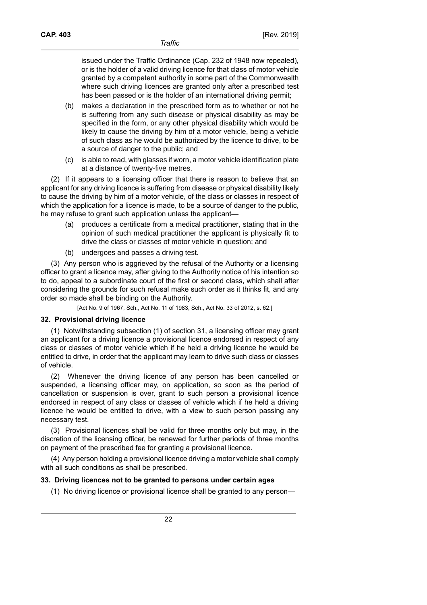issued under the Traffic Ordinance (Cap. 232 of 1948 now repealed), or is the holder of a valid driving licence for that class of motor vehicle granted by a competent authority in some part of the Commonwealth where such driving licences are granted only after a prescribed test has been passed or is the holder of an international driving permit;

- (b) makes a declaration in the prescribed form as to whether or not he is suffering from any such disease or physical disability as may be specified in the form, or any other physical disability which would be likely to cause the driving by him of a motor vehicle, being a vehicle of such class as he would be authorized by the licence to drive, to be a source of danger to the public; and
- (c) is able to read, with glasses if worn, a motor vehicle identification plate at a distance of twenty-five metres.

(2) If it appears to a licensing officer that there is reason to believe that an applicant for any driving licence is suffering from disease or physical disability likely to cause the driving by him of a motor vehicle, of the class or classes in respect of which the application for a licence is made, to be a source of danger to the public, he may refuse to grant such application unless the applicant—

- (a) produces a certificate from a medical practitioner, stating that in the opinion of such medical practitioner the applicant is physically fit to drive the class or classes of motor vehicle in question; and
- (b) undergoes and passes a driving test.

(3) Any person who is aggrieved by the refusal of the Authority or a licensing officer to grant a licence may, after giving to the Authority notice of his intention so to do, appeal to a subordinate court of the first or second class, which shall after considering the grounds for such refusal make such order as it thinks fit, and any order so made shall be binding on the Authority.

[Act No. 9 of 1967, Sch., Act No. 11 of 1983, Sch., Act No. 33 of 2012, s. 62.]

### **32. Provisional driving licence**

(1) Notwithstanding subsection (1) of section 31, a licensing officer may grant an applicant for a driving licence a provisional licence endorsed in respect of any class or classes of motor vehicle which if he held a driving licence he would be entitled to drive, in order that the applicant may learn to drive such class or classes of vehicle.

(2) Whenever the driving licence of any person has been cancelled or suspended, a licensing officer may, on application, so soon as the period of cancellation or suspension is over, grant to such person a provisional licence endorsed in respect of any class or classes of vehicle which if he held a driving licence he would be entitled to drive, with a view to such person passing any necessary test.

(3) Provisional licences shall be valid for three months only but may, in the discretion of the licensing officer, be renewed for further periods of three months on payment of the prescribed fee for granting a provisional licence.

(4) Any person holding a provisional licence driving a motor vehicle shall comply with all such conditions as shall be prescribed.

## **33. Driving licences not to be granted to persons under certain ages**

(1) No driving licence or provisional licence shall be granted to any person—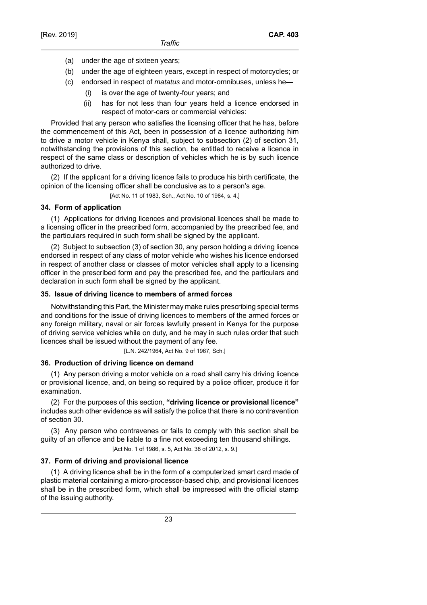- (a) under the age of sixteen years;
- (b) under the age of eighteen years, except in respect of motorcycles; or
- (c) endorsed in respect of matatus and motor-omnibuses, unless he—
	- (i) is over the age of twenty-four years; and
	- (ii) has for not less than four years held a licence endorsed in respect of motor-cars or commercial vehicles:

Provided that any person who satisfies the licensing officer that he has, before the commencement of this Act, been in possession of a licence authorizing him to drive a motor vehicle in Kenya shall, subject to subsection (2) of section 31, notwithstanding the provisions of this section, be entitled to receive a licence in respect of the same class or description of vehicles which he is by such licence authorized to drive.

(2) If the applicant for a driving licence fails to produce his birth certificate, the opinion of the licensing officer shall be conclusive as to a person's age.

[Act No. 11 of 1983, Sch., Act No. 10 of 1984, s. 4.]

## **34. Form of application**

(1) Applications for driving licences and provisional licences shall be made to a licensing officer in the prescribed form, accompanied by the prescribed fee, and the particulars required in such form shall be signed by the applicant.

(2) Subject to subsection (3) of section 30, any person holding a driving licence endorsed in respect of any class of motor vehicle who wishes his licence endorsed in respect of another class or classes of motor vehicles shall apply to a licensing officer in the prescribed form and pay the prescribed fee, and the particulars and declaration in such form shall be signed by the applicant.

### **35. Issue of driving licence to members of armed forces**

Notwithstanding this Part, the Minister may make rules prescribing special terms and conditions for the issue of driving licences to members of the armed forces or any foreign military, naval or air forces lawfully present in Kenya for the purpose of driving service vehicles while on duty, and he may in such rules order that such licences shall be issued without the payment of any fee.

[L.N. 242/1964, Act No. 9 of 1967, Sch.]

#### **36. Production of driving licence on demand**

(1) Any person driving a motor vehicle on a road shall carry his driving licence or provisional licence, and, on being so required by a police officer, produce it for examination.

(2) For the purposes of this section, **"driving licence or provisional licence"** includes such other evidence as will satisfy the police that there is no contravention of section 30.

(3) Any person who contravenes or fails to comply with this section shall be guilty of an offence and be liable to a fine not exceeding ten thousand shillings.

[Act No. 1 of 1986, s. 5, Act No. 38 of 2012, s. 9.]

### **37. Form of driving and provisional licence**

(1) A driving licence shall be in the form of a computerized smart card made of plastic material containing a micro-processor-based chip, and provisional licences shall be in the prescribed form, which shall be impressed with the official stamp of the issuing authority.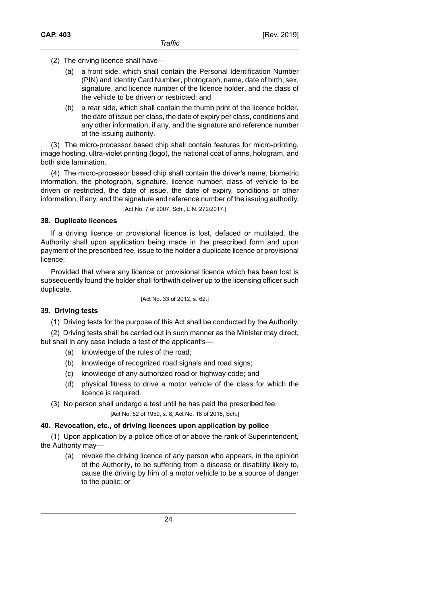- (2) The driving licence shall have—
	- (a) a front side, which shall contain the Personal Identification Number (PIN) and Identity Card Number, photograph, name, date of birth, sex, signature, and licence number of the licence holder, and the class of the vehicle to be driven or restricted; and
	- (b) a rear side, which shall contain the thumb print of the licence holder, the date of issue per class, the date of expiry per class, conditions and any other information, if any, and the signature and reference number of the issuing authority.

(3) The micro-processor based chip shall contain features for micro-printing, image hosting, ultra-violet printing (logo), the national coat of arms, hologram, and both side lamination.

(4) The micro-processor based chip shall contain the driver's name, biometric information, the photograph, signature, licence number, class of vehicle to be driven or restricted, the date of issue, the date of expiry, conditions or other information, if any, and the signature and reference number of the issuing authority.

[Act No. 7 of 2007, Sch., L.N. 272/2017.]

## **38. Duplicate licences**

If a driving licence or provisional licence is lost, defaced or mutilated, the Authority shall upon application being made in the prescribed form and upon payment of the prescribed fee, issue to the holder a duplicate licence or provisional licence:

Provided that where any licence or provisional licence which has been lost is subsequently found the holder shall forthwith deliver up to the licensing officer such duplicate.

[Act No. 33 of 2012, s. 62.]

## **39. Driving tests**

(1) Driving tests for the purpose of this Act shall be conducted by the Authority.

(2) Driving tests shall be carried out in such manner as the Minister may direct, but shall in any case include a test of the applicant's—

- (a) knowledge of the rules of the road;
- (b) knowledge of recognized road signals and road signs;
- (c) knowledge of any authorized road or highway code; and
- (d) physical fitness to drive a motor vehicle of the class for which the licence is required.
- (3) No person shall undergo a test until he has paid the prescribed fee. [Act No. 52 of 1959, s. 8, Act No. 18 of 2018, Sch.]

## **40. Revocation, etc., of driving licences upon application by police**

(1) Upon application by a police office of or above the rank of Superintendent, the Authority may—

(a) revoke the driving licence of any person who appears, in the opinion of the Authority, to be suffering from a disease or disability likely to, cause the driving by him of a motor vehicle to be a source of danger to the public; or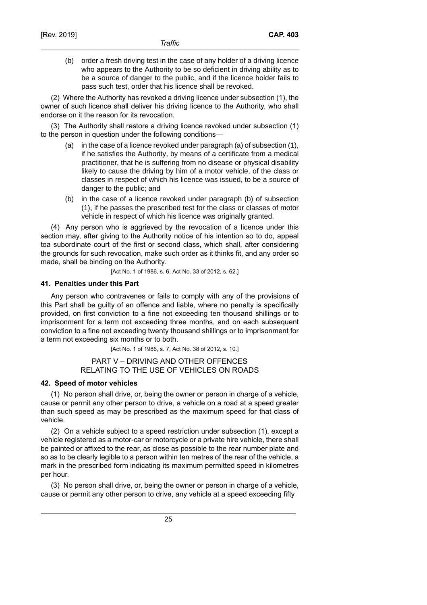(b) order a fresh driving test in the case of any holder of a driving licence who appears to the Authority to be so deficient in driving ability as to be a source of danger to the public, and if the licence holder fails to pass such test, order that his licence shall be revoked.

(2) Where the Authority has revoked a driving licence under subsection (1), the owner of such licence shall deliver his driving licence to the Authority, who shall endorse on it the reason for its revocation.

(3) The Authority shall restore a driving licence revoked under subsection (1) to the person in question under the following conditions—

- (a) in the case of a licence revoked under paragraph (a) of subsection (1), if he satisfies the Authority, by means of a certificate from a medical practitioner, that he is suffering from no disease or physical disability likely to cause the driving by him of a motor vehicle, of the class or classes in respect of which his licence was issued, to be a source of danger to the public; and
- (b) in the case of a licence revoked under paragraph (b) of subsection (1), if he passes the prescribed test for the class or classes of motor vehicle in respect of which his licence was originally granted.

(4) Any person who is aggrieved by the revocation of a licence under this section may, after giving to the Authority notice of his intention so to do, appeal toa subordinate court of the first or second class, which shall, after considering the grounds for such revocation, make such order as it thinks fit, and any order so made, shall be binding on the Authority.

[Act No. 1 of 1986, s. 6, Act No. 33 of 2012, s. 62.]

## **41. Penalties under this Part**

Any person who contravenes or fails to comply with any of the provisions of this Part shall be guilty of an offence and liable, where no penalty is specifically provided, on first conviction to a fine not exceeding ten thousand shillings or to imprisonment for a term not exceeding three months, and on each subsequent conviction to a fine not exceeding twenty thousand shillings or to imprisonment for a term not exceeding six months or to both.

[Act No. 1 of 1986, s. 7, Act No. 38 of 2012, s. 10.]

## PART V – DRIVING AND OTHER OFFENCES RELATING TO THE USE OF VEHICLES ON ROADS

## **42. Speed of motor vehicles**

(1) No person shall drive, or, being the owner or person in charge of a vehicle, cause or permit any other person to drive, a vehicle on a road at a speed greater than such speed as may be prescribed as the maximum speed for that class of vehicle.

(2) On a vehicle subject to a speed restriction under subsection (1), except a vehicle registered as a motor-car or motorcycle or a private hire vehicle, there shall be painted or affixed to the rear, as close as possible to the rear number plate and so as to be clearly legible to a person within ten metres of the rear of the vehicle, a mark in the prescribed form indicating its maximum permitted speed in kilometres per hour.

(3) No person shall drive, or, being the owner or person in charge of a vehicle, cause or permit any other person to drive, any vehicle at a speed exceeding fifty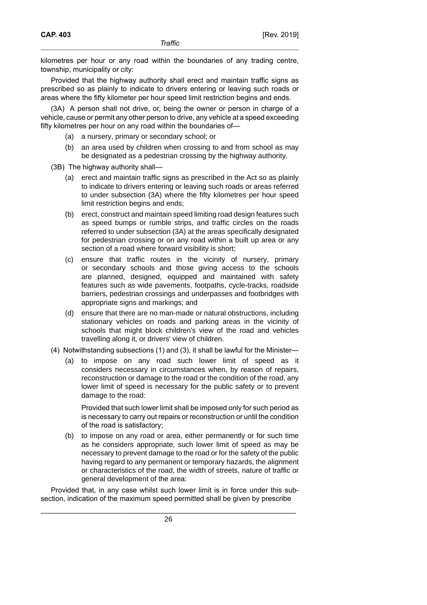kilometres per hour or any road within the boundaries of any trading centre, township, municipality or city:

Provided that the highway authority shall erect and maintain traffic signs as prescribed so as plainly to indicate to drivers entering or leaving such roads or areas where the fifty kilometer per hour speed limit restriction begins and ends.

(3A) A person shall not drive, or, being the owner or person in charge of a vehicle, cause or permit any other person to drive, any vehicle at a speed exceeding fifty kilometres per hour on any road within the boundaries of—

- (a) a nursery, primary or secondary school; or
- (b) an area used by children when crossing to and from school as may be designated as a pedestrian crossing by the highway authority.

(3B) The highway authority shall—

- (a) erect and maintain traffic signs as prescribed in the Act so as plainly to indicate to drivers entering or leaving such roads or areas referred to under subsection (3A) where the fifty kilometres per hour speed limit restriction begins and ends;
- (b) erect, construct and maintain speed limiting road design features such as speed bumps or rumble strips, and traffic circles on the roads referred to under subsection (3A) at the areas specifically designated for pedestrian crossing or on any road within a built up area or any section of a road where forward visibility is short;
- (c) ensure that traffic routes in the vicinity of nursery, primary or secondary schools and those giving access to the schools are planned, designed, equipped and maintained with safety features such as wide pavements, footpaths, cycle-tracks, roadside barriers, pedestrian crossings and underpasses and footbridges with appropriate signs and markings; and
- (d) ensure that there are no man-made or natural obstructions, including stationary vehicles on roads and parking areas in the vicinity of schools that might block children's view of the road and vehicles travelling along it, or drivers' view of children.
- (4) Notwithstanding subsections (1) and (3), it shall be lawful for the Minister—
	- (a) to impose on any road such lower limit of speed as it considers necessary in circumstances when, by reason of repairs, reconstruction or damage to the road or the condition of the road, any lower limit of speed is necessary for the public safety or to prevent damage to the road:

Provided that such lower limit shall be imposed only for such period as is necessary to carry out repairs or reconstruction or until the condition of the road is satisfactory;

(b) to impose on any road or area, either permanently or for such time as he considers appropriate, such lower limit of speed as may be necessary to prevent damage to the road or for the safety of the public having regard to any permanent or temporary hazards, the alignment or characteristics of the road, the width of streets, nature of traffic or general development of the area:

Provided that, in any case whilst such lower limit is in force under this subsection, indication of the maximum speed permitted shall be given by prescribe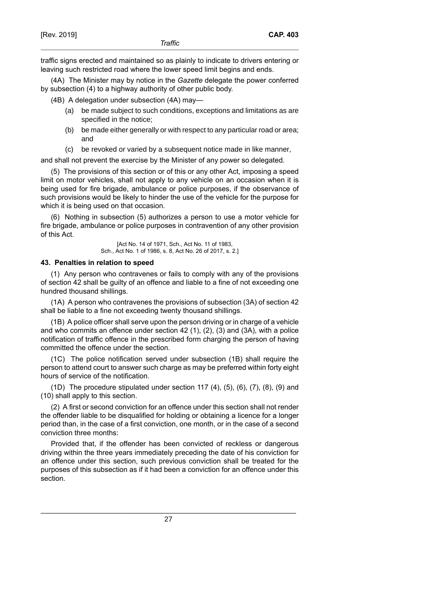traffic signs erected and maintained so as plainly to indicate to drivers entering or leaving such restricted road where the lower speed limit begins and ends.

(4A) The Minister may by notice in the *Gazette* delegate the power conferred by subsection (4) to a highway authority of other public body.

(4B) A delegation under subsection (4A) may—

- (a) be made subject to such conditions, exceptions and limitations as are specified in the notice;
- (b) be made either generally or with respect to any particular road or area; and
- (c) be revoked or varied by a subsequent notice made in like manner,

and shall not prevent the exercise by the Minister of any power so delegated.

(5) The provisions of this section or of this or any other Act, imposing a speed limit on motor vehicles, shall not apply to any vehicle on an occasion when it is being used for fire brigade, ambulance or police purposes, if the observance of such provisions would be likely to hinder the use of the vehicle for the purpose for which it is being used on that occasion.

(6) Nothing in subsection (5) authorizes a person to use a motor vehicle for fire brigade, ambulance or police purposes in contravention of any other provision of this Act.

> [Act No. 14 of 1971, Sch., Act No. 11 of 1983, Sch., Act No. 1 of 1986, s. 8, Act No. 26 of 2017, s. 2.]

### **43. Penalties in relation to speed**

(1) Any person who contravenes or fails to comply with any of the provisions of section 42 shall be guilty of an offence and liable to a fine of not exceeding one hundred thousand shillings.

(1A) A person who contravenes the provisions of subsection (3A) of section 42 shall be liable to a fine not exceeding twenty thousand shillings.

(1B) A police officer shall serve upon the person driving or in charge of a vehicle and who commits an offence under section 42 (1), (2), (3) and (3A), with a police notification of traffic offence in the prescribed form charging the person of having committed the offence under the section.

(1C) The police notification served under subsection (1B) shall require the person to attend court to answer such charge as may be preferred within forty eight hours of service of the notification.

 $(1D)$  The procedure stipulated under section 117  $(4)$ ,  $(5)$ ,  $(6)$ ,  $(7)$ ,  $(8)$ ,  $(9)$  and (10) shall apply to this section.

(2) A first or second conviction for an offence under this section shall not render the offender liable to be disqualified for holding or obtaining a licence for a longer period than, in the case of a first conviction, one month, or in the case of a second conviction three months:

Provided that, if the offender has been convicted of reckless or dangerous driving within the three years immediately preceding the date of his conviction for an offence under this section, such previous conviction shall be treated for the purposes of this subsection as if it had been a conviction for an offence under this section.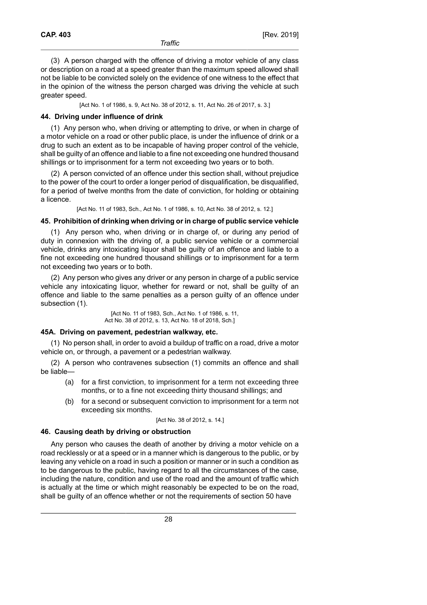(3) A person charged with the offence of driving a motor vehicle of any class or description on a road at a speed greater than the maximum speed allowed shall not be liable to be convicted solely on the evidence of one witness to the effect that in the opinion of the witness the person charged was driving the vehicle at such greater speed.

[Act No. 1 of 1986, s. 9, Act No. 38 of 2012, s. 11, Act No. 26 of 2017, s. 3.]

### **44. Driving under influence of drink**

(1) Any person who, when driving or attempting to drive, or when in charge of a motor vehicle on a road or other public place, is under the influence of drink or a drug to such an extent as to be incapable of having proper control of the vehicle, shall be guilty of an offence and liable to a fine not exceeding one hundred thousand shillings or to imprisonment for a term not exceeding two years or to both.

(2) A person convicted of an offence under this section shall, without prejudice to the power of the court to order a longer period of disqualification, be disqualified, for a period of twelve months from the date of conviction, for holding or obtaining a licence.

[Act No. 11 of 1983, Sch., Act No. 1 of 1986, s. 10, Act No. 38 of 2012, s. 12.]

### **45. Prohibition of drinking when driving or in charge of public service vehicle**

(1) Any person who, when driving or in charge of, or during any period of duty in connexion with the driving of, a public service vehicle or a commercial vehicle, drinks any intoxicating liquor shall be guilty of an offence and liable to a fine not exceeding one hundred thousand shillings or to imprisonment for a term not exceeding two years or to both.

(2) Any person who gives any driver or any person in charge of a public service vehicle any intoxicating liquor, whether for reward or not, shall be guilty of an offence and liable to the same penalties as a person guilty of an offence under subsection (1).

> [Act No. 11 of 1983, Sch., Act No. 1 of 1986, s. 11, Act No. 38 of 2012, s. 13, Act No. 18 of 2018, Sch.]

#### **45A. Driving on pavement, pedestrian walkway, etc.**

(1) No person shall, in order to avoid a buildup of traffic on a road, drive a motor vehicle on, or through, a pavement or a pedestrian walkway.

(2) A person who contravenes subsection (1) commits an offence and shall be liable—

- (a) for a first conviction, to imprisonment for a term not exceeding three months, or to a fine not exceeding thirty thousand shillings; and
- (b) for a second or subsequent conviction to imprisonment for a term not exceeding six months.

[Act No. 38 of 2012, s. 14.]

#### **46. Causing death by driving or obstruction**

Any person who causes the death of another by driving a motor vehicle on a road recklessly or at a speed or in a manner which is dangerous to the public, or by leaving any vehicle on a road in such a position or manner or in such a condition as to be dangerous to the public, having regard to all the circumstances of the case, including the nature, condition and use of the road and the amount of traffic which is actually at the time or which might reasonably be expected to be on the road, shall be guilty of an offence whether or not the requirements of section 50 have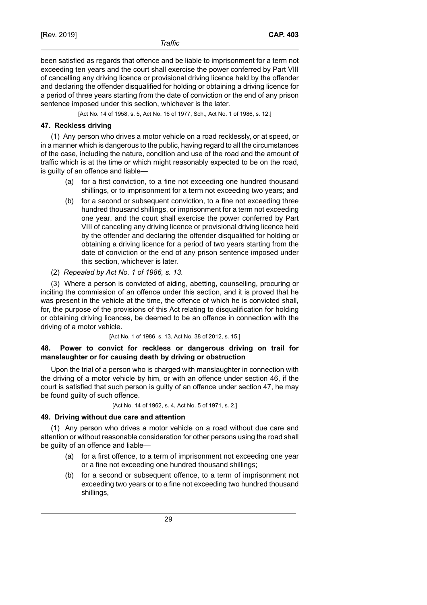been satisfied as regards that offence and be liable to imprisonment for a term not exceeding ten years and the court shall exercise the power conferred by Part VIII of cancelling any driving licence or provisional driving licence held by the offender and declaring the offender disqualified for holding or obtaining a driving licence for a period of three years starting from the date of conviction or the end of any prison sentence imposed under this section, whichever is the later.

[Act No. 14 of 1958, s. 5, Act No. 16 of 1977, Sch., Act No. 1 of 1986, s. 12.]

## **47. Reckless driving**

(1) Any person who drives a motor vehicle on a road recklessly, or at speed, or in a manner which is dangerous to the public, having regard to all the circumstances of the case, including the nature, condition and use of the road and the amount of traffic which is at the time or which might reasonably expected to be on the road, is guilty of an offence and liable—

- (a) for a first conviction, to a fine not exceeding one hundred thousand shillings, or to imprisonment for a term not exceeding two years; and
- (b) for a second or subsequent conviction, to a fine not exceeding three hundred thousand shillings, or imprisonment for a term not exceeding one year, and the court shall exercise the power conferred by Part VIII of canceling any driving licence or provisional driving licence held by the offender and declaring the offender disqualified for holding or obtaining a driving licence for a period of two years starting from the date of conviction or the end of any prison sentence imposed under this section, whichever is later.
- (2) *Repealed by Act No. 1 of 1986, s. 13*.

(3) Where a person is convicted of aiding, abetting, counselling, procuring or inciting the commission of an offence under this section, and it is proved that he was present in the vehicle at the time, the offence of which he is convicted shall, for, the purpose of the provisions of this Act relating to disqualification for holding or obtaining driving licences, be deemed to be an offence in connection with the driving of a motor vehicle.

[Act No. 1 of 1986, s. 13, Act No. 38 of 2012, s. 15.]

## **48. Power to convict for reckless or dangerous driving on trail for manslaughter or for causing death by driving or obstruction**

Upon the trial of a person who is charged with manslaughter in connection with the driving of a motor vehicle by him, or with an offence under section 46, if the court is satisfied that such person is guilty of an offence under section 47, he may be found guilty of such offence.

[Act No. 14 of 1962, s. 4, Act No. 5 of 1971, s. 2.]

## **49. Driving without due care and attention**

(1) Any person who drives a motor vehicle on a road without due care and attention or without reasonable consideration for other persons using the road shall be guilty of an offence and liable—

- (a) for a first offence, to a term of imprisonment not exceeding one year or a fine not exceeding one hundred thousand shillings;
- (b) for a second or subsequent offence, to a term of imprisonment not exceeding two years or to a fine not exceeding two hundred thousand shillings,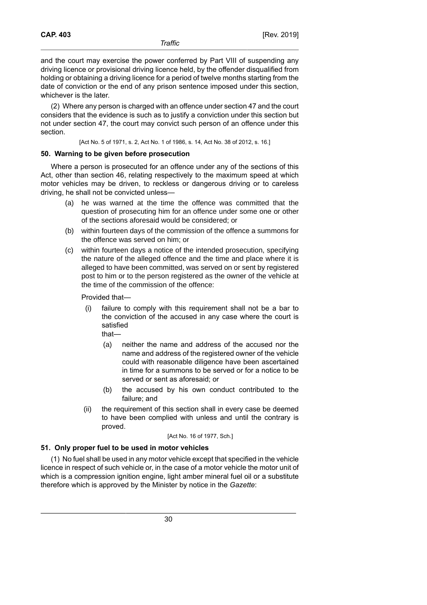and the court may exercise the power conferred by Part VIII of suspending any driving licence or provisional driving licence held, by the offender disqualified from holding or obtaining a driving licence for a period of twelve months starting from the date of conviction or the end of any prison sentence imposed under this section, whichever is the later.

(2) Where any person is charged with an offence under section 47 and the court considers that the evidence is such as to justify a conviction under this section but not under section 47, the court may convict such person of an offence under this section.

[Act No. 5 of 1971, s. 2, Act No. 1 of 1986, s. 14, Act No. 38 of 2012, s. 16.]

## **50. Warning to be given before prosecution**

Where a person is prosecuted for an offence under any of the sections of this Act, other than section 46, relating respectively to the maximum speed at which motor vehicles may be driven, to reckless or dangerous driving or to careless driving, he shall not be convicted unless—

- (a) he was warned at the time the offence was committed that the question of prosecuting him for an offence under some one or other of the sections aforesaid would be considered; or
- (b) within fourteen days of the commission of the offence a summons for the offence was served on him; or
- (c) within fourteen days a notice of the intended prosecution, specifying the nature of the alleged offence and the time and place where it is alleged to have been committed, was served on or sent by registered post to him or to the person registered as the owner of the vehicle at the time of the commission of the offence:

Provided that—

- (i) failure to comply with this requirement shall not be a bar to the conviction of the accused in any case where the court is satisfied that—
	- (a) neither the name and address of the accused nor the name and address of the registered owner of the vehicle could with reasonable diligence have been ascertained in time for a summons to be served or for a notice to be served or sent as aforesaid; or
	- (b) the accused by his own conduct contributed to the failure; and
- (ii) the requirement of this section shall in every case be deemed to have been complied with unless and until the contrary is proved.

#### [Act No. 16 of 1977, Sch.]

## **51. Only proper fuel to be used in motor vehicles**

(1) No fuel shall be used in any motor vehicle except that specified in the vehicle licence in respect of such vehicle or, in the case of a motor vehicle the motor unit of which is a compression ignition engine, light amber mineral fuel oil or a substitute therefore which is approved by the Minister by notice in the *Gazette*: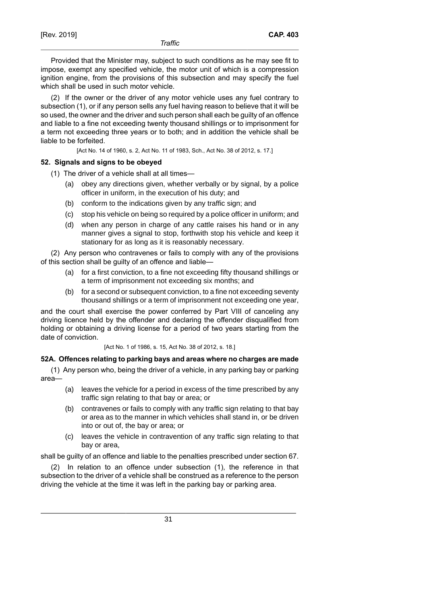Provided that the Minister may, subject to such conditions as he may see fit to impose, exempt any specified vehicle, the motor unit of which is a compression ignition engine, from the provisions of this subsection and may specify the fuel which shall be used in such motor vehicle.

(2) If the owner or the driver of any motor vehicle uses any fuel contrary to subsection (1), or if any person sells any fuel having reason to believe that it will be so used, the owner and the driver and such person shall each be guilty of an offence and liable to a fine not exceeding twenty thousand shillings or to imprisonment for a term not exceeding three years or to both; and in addition the vehicle shall be liable to be forfeited.

[Act No. 14 of 1960, s. 2, Act No. 11 of 1983, Sch., Act No. 38 of 2012, s. 17.]

## **52. Signals and signs to be obeyed**

- (1) The driver of a vehicle shall at all times—
	- (a) obey any directions given, whether verbally or by signal, by a police officer in uniform, in the execution of his duty; and
	- (b) conform to the indications given by any traffic sign; and
	- (c) stop his vehicle on being so required by a police officer in uniform; and
	- (d) when any person in charge of any cattle raises his hand or in any manner gives a signal to stop, forthwith stop his vehicle and keep it stationary for as long as it is reasonably necessary.

(2) Any person who contravenes or fails to comply with any of the provisions of this section shall be guilty of an offence and liable—

- (a) for a first conviction, to a fine not exceeding fifty thousand shillings or a term of imprisonment not exceeding six months; and
- (b) for a second or subsequent conviction, to a fine not exceeding seventy thousand shillings or a term of imprisonment not exceeding one year,

and the court shall exercise the power conferred by Part VIII of canceling any driving licence held by the offender and declaring the offender disqualified from holding or obtaining a driving license for a period of two years starting from the date of conviction.

[Act No. 1 of 1986, s. 15, Act No. 38 of 2012, s. 18.]

## **52A. Offences relating to parking bays and areas where no charges are made**

(1) Any person who, being the driver of a vehicle, in any parking bay or parking area—

- (a) leaves the vehicle for a period in excess of the time prescribed by any traffic sign relating to that bay or area; or
- (b) contravenes or fails to comply with any traffic sign relating to that bay or area as to the manner in which vehicles shall stand in, or be driven into or out of, the bay or area; or
- (c) leaves the vehicle in contravention of any traffic sign relating to that bay or area,

shall be guilty of an offence and liable to the penalties prescribed under section 67.

(2) In relation to an offence under subsection (1), the reference in that subsection to the driver of a vehicle shall be construed as a reference to the person driving the vehicle at the time it was left in the parking bay or parking area.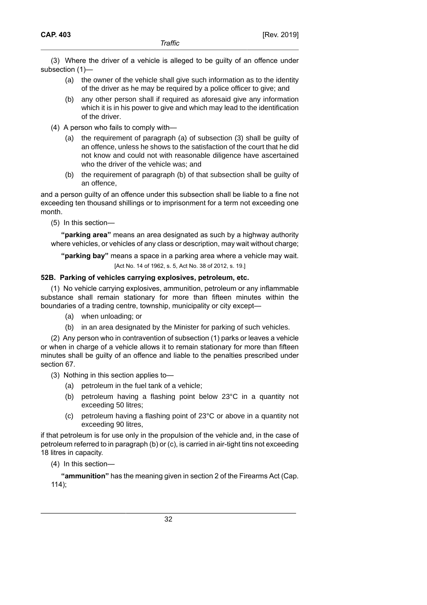(3) Where the driver of a vehicle is alleged to be guilty of an offence under subsection (1)—

- (a) the owner of the vehicle shall give such information as to the identity of the driver as he may be required by a police officer to give; and
- (b) any other person shall if required as aforesaid give any information which it is in his power to give and which may lead to the identification of the driver.
- (4) A person who fails to comply with—
	- (a) the requirement of paragraph (a) of subsection (3) shall be guilty of an offence, unless he shows to the satisfaction of the court that he did not know and could not with reasonable diligence have ascertained who the driver of the vehicle was; and
	- (b) the requirement of paragraph (b) of that subsection shall be guilty of an offence,

and a person guilty of an offence under this subsection shall be liable to a fine not exceeding ten thousand shillings or to imprisonment for a term not exceeding one month.

(5) In this section—

**"parking area"** means an area designated as such by a highway authority where vehicles, or vehicles of any class or description, may wait without charge;

**"parking bay"** means a space in a parking area where a vehicle may wait. [Act No. 14 of 1962, s. 5, Act No. 38 of 2012, s. 19.]

## **52B. Parking of vehicles carrying explosives, petroleum, etc.**

(1) No vehicle carrying explosives, ammunition, petroleum or any inflammable substance shall remain stationary for more than fifteen minutes within the boundaries of a trading centre, township, municipality or city except—

- (a) when unloading; or
- (b) in an area designated by the Minister for parking of such vehicles.

(2) Any person who in contravention of subsection (1) parks or leaves a vehicle or when in charge of a vehicle allows it to remain stationary for more than fifteen minutes shall be guilty of an offence and liable to the penalties prescribed under section 67.

(3) Nothing in this section applies to—

- (a) petroleum in the fuel tank of a vehicle;
- (b) petroleum having a flashing point below 23°C in a quantity not exceeding 50 litres;
- (c) petroleum having a flashing point of 23°C or above in a quantity not exceeding 90 litres,

if that petroleum is for use only in the propulsion of the vehicle and, in the case of petroleum referred to in paragraph (b) or (c), is carried in air-tight tins not exceeding 18 litres in capacity.

(4) In this section—

**"ammunition"** has the meaning given in section 2 of the Firearms Act (Cap. 114);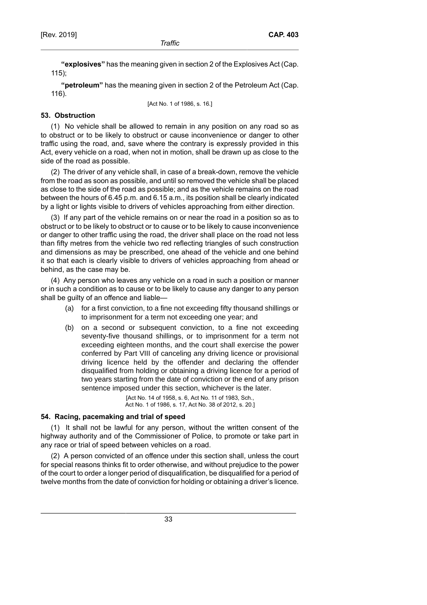**"explosives"** has the meaning given in section 2 of the Explosives Act (Cap. 115);

**"petroleum"** has the meaning given in section 2 of the Petroleum Act (Cap. 116).

[Act No. 1 of 1986, s. 16.]

## **53. Obstruction**

(1) No vehicle shall be allowed to remain in any position on any road so as to obstruct or to be likely to obstruct or cause inconvenience or danger to other traffic using the road, and, save where the contrary is expressly provided in this Act, every vehicle on a road, when not in motion, shall be drawn up as close to the side of the road as possible.

(2) The driver of any vehicle shall, in case of a break-down, remove the vehicle from the road as soon as possible, and until so removed the vehicle shall be placed as close to the side of the road as possible; and as the vehicle remains on the road between the hours of 6.45 p.m. and 6.15 a.m., its position shall be clearly indicated by a light or lights visible to drivers of vehicles approaching from either direction.

(3) If any part of the vehicle remains on or near the road in a position so as to obstruct or to be likely to obstruct or to cause or to be likely to cause inconvenience or danger to other traffic using the road, the driver shall place on the road not less than fifty metres from the vehicle two red reflecting triangles of such construction and dimensions as may be prescribed, one ahead of the vehicle and one behind it so that each is clearly visible to drivers of vehicles approaching from ahead or behind, as the case may be.

(4) Any person who leaves any vehicle on a road in such a position or manner or in such a condition as to cause or to be likely to cause any danger to any person shall be guilty of an offence and liable—

- (a) for a first conviction, to a fine not exceeding fifty thousand shillings or to imprisonment for a term not exceeding one year; and
- (b) on a second or subsequent conviction, to a fine not exceeding seventy-five thousand shillings, or to imprisonment for a term not exceeding eighteen months, and the court shall exercise the power conferred by Part VIII of canceling any driving licence or provisional driving licence held by the offender and declaring the offender disqualified from holding or obtaining a driving licence for a period of two years starting from the date of conviction or the end of any prison sentence imposed under this section, whichever is the later.

[Act No. 14 of 1958, s. 6, Act No. 11 of 1983, Sch., Act No. 1 of 1986, s. 17, Act No. 38 of 2012, s. 20.]

## **54. Racing, pacemaking and trial of speed**

(1) It shall not be lawful for any person, without the written consent of the highway authority and of the Commissioner of Police, to promote or take part in any race or trial of speed between vehicles on a road.

(2) A person convicted of an offence under this section shall, unless the court for special reasons thinks fit to order otherwise, and without prejudice to the power of the court to order a longer period of disqualification, be disqualified for a period of twelve months from the date of conviction for holding or obtaining a driver's licence.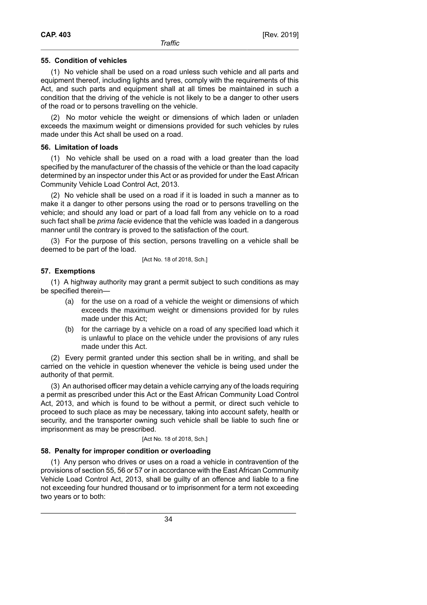## **55. Condition of vehicles**

(1) No vehicle shall be used on a road unless such vehicle and all parts and equipment thereof, including lights and tyres, comply with the requirements of this Act, and such parts and equipment shall at all times be maintained in such a condition that the driving of the vehicle is not likely to be a danger to other users of the road or to persons travelling on the vehicle.

(2) No motor vehicle the weight or dimensions of which laden or unladen exceeds the maximum weight or dimensions provided for such vehicles by rules made under this Act shall be used on a road.

## **56. Limitation of loads**

(1) No vehicle shall be used on a road with a load greater than the load specified by the manufacturer of the chassis of the vehicle or than the load capacity determined by an inspector under this Act or as provided for under the East African Community Vehicle Load Control Act, 2013.

(2) No vehicle shall be used on a road if it is loaded in such a manner as to make it a danger to other persons using the road or to persons travelling on the vehicle; and should any load or part of a load fall from any vehicle on to a road such fact shall be *prima facie* evidence that the vehicle was loaded in a dangerous manner until the contrary is proved to the satisfaction of the court.

(3) For the purpose of this section, persons travelling on a vehicle shall be deemed to be part of the load.

[Act No. 18 of 2018, Sch.]

## **57. Exemptions**

(1) A highway authority may grant a permit subject to such conditions as may be specified therein—

- (a) for the use on a road of a vehicle the weight or dimensions of which exceeds the maximum weight or dimensions provided for by rules made under this Act;
- (b) for the carriage by a vehicle on a road of any specified load which it is unlawful to place on the vehicle under the provisions of any rules made under this Act.

(2) Every permit granted under this section shall be in writing, and shall be carried on the vehicle in question whenever the vehicle is being used under the authority of that permit.

(3) An authorised officer may detain a vehicle carrying any of the loads requiring a permit as prescribed under this Act or the East African Community Load Control Act, 2013, and which is found to be without a permit, or direct such vehicle to proceed to such place as may be necessary, taking into account safety, health or security, and the transporter owning such vehicle shall be liable to such fine or imprisonment as may be prescribed.

#### [Act No. 18 of 2018, Sch.]

## **58. Penalty for improper condition or overloading**

(1) Any person who drives or uses on a road a vehicle in contravention of the provisions of section 55, 56 or 57 or in accordance with the East African Community Vehicle Load Control Act, 2013, shall be guilty of an offence and liable to a fine not exceeding four hundred thousand or to imprisonment for a term not exceeding two years or to both: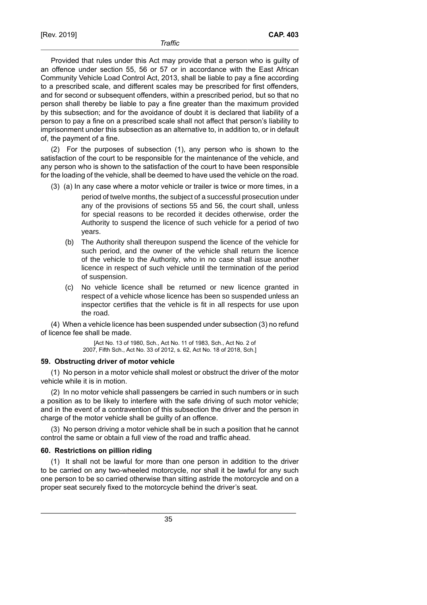Provided that rules under this Act may provide that a person who is guilty of an offence under section 55, 56 or 57 or in accordance with the East African Community Vehicle Load Control Act, 2013, shall be liable to pay a fine according to a prescribed scale, and different scales may be prescribed for first offenders, and for second or subsequent offenders, within a prescribed period, but so that no person shall thereby be liable to pay a fine greater than the maximum provided by this subsection; and for the avoidance of doubt it is declared that liability of a person to pay a fine on a prescribed scale shall not affect that person's liability to imprisonment under this subsection as an alternative to, in addition to, or in default of, the payment of a fine.

(2) For the purposes of subsection (1), any person who is shown to the satisfaction of the court to be responsible for the maintenance of the vehicle, and any person who is shown to the satisfaction of the court to have been responsible for the loading of the vehicle, shall be deemed to have used the vehicle on the road.

- (3) (a) In any case where a motor vehicle or trailer is twice or more times, in a period of twelve months, the subject of a successful prosecution under any of the provisions of sections 55 and 56, the court shall, unless for special reasons to be recorded it decides otherwise, order the Authority to suspend the licence of such vehicle for a period of two years.
	- (b) The Authority shall thereupon suspend the licence of the vehicle for such period, and the owner of the vehicle shall return the licence of the vehicle to the Authority, who in no case shall issue another licence in respect of such vehicle until the termination of the period of suspension.
	- (c) No vehicle licence shall be returned or new licence granted in respect of a vehicle whose licence has been so suspended unless an inspector certifies that the vehicle is fit in all respects for use upon the road.

(4) When a vehicle licence has been suspended under subsection (3) no refund of licence fee shall be made.

> [Act No. 13 of 1980, Sch., Act No. 11 of 1983, Sch., Act No. 2 of 2007, Fifth Sch., Act No. 33 of 2012, s. 62, Act No. 18 of 2018, Sch.]

#### **59. Obstructing driver of motor vehicle**

(1) No person in a motor vehicle shall molest or obstruct the driver of the motor vehicle while it is in motion.

(2) In no motor vehicle shall passengers be carried in such numbers or in such a position as to be likely to interfere with the safe driving of such motor vehicle; and in the event of a contravention of this subsection the driver and the person in charge of the motor vehicle shall be guilty of an offence.

(3) No person driving a motor vehicle shall be in such a position that he cannot control the same or obtain a full view of the road and traffic ahead.

#### **60. Restrictions on pillion riding**

(1) It shall not be lawful for more than one person in addition to the driver to be carried on any two-wheeled motorcycle, nor shall it be lawful for any such one person to be so carried otherwise than sitting astride the motorcycle and on a proper seat securely fixed to the motorcycle behind the driver's seat.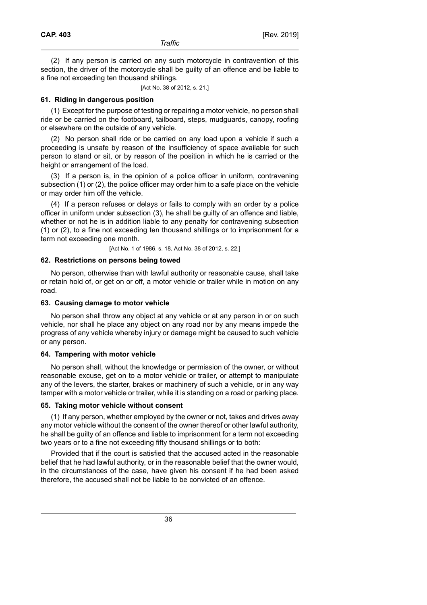(2) If any person is carried on any such motorcycle in contravention of this section, the driver of the motorcycle shall be guilty of an offence and be liable to a fine not exceeding ten thousand shillings.

[Act No. 38 of 2012, s. 21.]

### **61. Riding in dangerous position**

(1) Except for the purpose of testing or repairing a motor vehicle, no person shall ride or be carried on the footboard, tailboard, steps, mudguards, canopy, roofing or elsewhere on the outside of any vehicle.

(2) No person shall ride or be carried on any load upon a vehicle if such a proceeding is unsafe by reason of the insufficiency of space available for such person to stand or sit, or by reason of the position in which he is carried or the height or arrangement of the load.

(3) If a person is, in the opinion of a police officer in uniform, contravening subsection (1) or (2), the police officer may order him to a safe place on the vehicle or may order him off the vehicle.

(4) If a person refuses or delays or fails to comply with an order by a police officer in uniform under subsection (3), he shall be guilty of an offence and liable, whether or not he is in addition liable to any penalty for contravening subsection (1) or (2), to a fine not exceeding ten thousand shillings or to imprisonment for a term not exceeding one month.

[Act No. 1 of 1986, s. 18, Act No. 38 of 2012, s. 22.]

### **62. Restrictions on persons being towed**

No person, otherwise than with lawful authority or reasonable cause, shall take or retain hold of, or get on or off, a motor vehicle or trailer while in motion on any road.

## **63. Causing damage to motor vehicle**

No person shall throw any object at any vehicle or at any person in or on such vehicle, nor shall he place any object on any road nor by any means impede the progress of any vehicle whereby injury or damage might be caused to such vehicle or any person.

#### **64. Tampering with motor vehicle**

No person shall, without the knowledge or permission of the owner, or without reasonable excuse, get on to a motor vehicle or trailer, or attempt to manipulate any of the levers, the starter, brakes or machinery of such a vehicle, or in any way tamper with a motor vehicle or trailer, while it is standing on a road or parking place.

#### **65. Taking motor vehicle without consent**

(1) If any person, whether employed by the owner or not, takes and drives away any motor vehicle without the consent of the owner thereof or other lawful authority, he shall be guilty of an offence and liable to imprisonment for a term not exceeding two years or to a fine not exceeding fifty thousand shillings or to both:

Provided that if the court is satisfied that the accused acted in the reasonable belief that he had lawful authority, or in the reasonable belief that the owner would, in the circumstances of the case, have given his consent if he had been asked therefore, the accused shall not be liable to be convicted of an offence.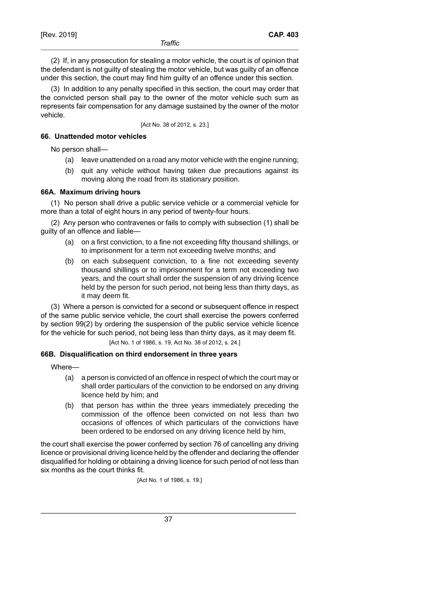**CAP. 403**

(2) If, in any prosecution for stealing a motor vehicle, the court is of opinion that the defendant is not guilty of stealing the motor vehicle, but was guilty of an offence under this section, the court may find him guilty of an offence under this section.

(3) In addition to any penalty specified in this section, the court may order that the convicted person shall pay to the owner of the motor vehicle such sum as represents fair compensation for any damage sustained by the owner of the motor vehicle.

[Act No. 38 of 2012, s. 23.]

## **66. Unattended motor vehicles**

No person shall—

- (a) leave unattended on a road any motor vehicle with the engine running;
- (b) quit any vehicle without having taken due precautions against its moving along the road from its stationary position.

## **66A. Maximum driving hours**

(1) No person shall drive a public service vehicle or a commercial vehicle for more than a total of eight hours in any period of twenty-four hours.

(2) Any person who contravenes or fails to comply with subsection (1) shall be guilty of an offence and liable—

- (a) on a first conviction, to a fine not exceeding fifty thousand shillings, or to imprisonment for a term not exceeding twelve months; and
- (b) on each subsequent conviction, to a fine not exceeding seventy thousand shillings or to imprisonment for a term not exceeding two years, and the court shall order the suspension of any driving licence held by the person for such period, not being less than thirty days, as it may deem fit.

(3) Where a person is convicted for a second or subsequent offence in respect of the same public service vehicle, the court shall exercise the powers conferred by section 99(2) by ordering the suspension of the public service vehicle licence for the vehicle for such period, not being less than thirty days, as it may deem fit.

[Act No. 1 of 1986, s. 19, Act No. 38 of 2012, s. 24.]

## **66B. Disqualification on third endorsement in three years**

Where—

- (a) a person is convicted of an offence in respect of which the court may or shall order particulars of the conviction to be endorsed on any driving licence held by him; and
- (b) that person has within the three years immediately preceding the commission of the offence been convicted on not less than two occasions of offences of which particulars of the convictions have been ordered to be endorsed on any driving licence held by him,

the court shall exercise the power conferred by section 76 of cancelling any driving licence or provisional driving licence held by the offender and declaring the offender disqualified for holding or obtaining a driving licence for such period of not less than six months as the court thinks fit.

[Act No. 1 of 1986, s. 19.]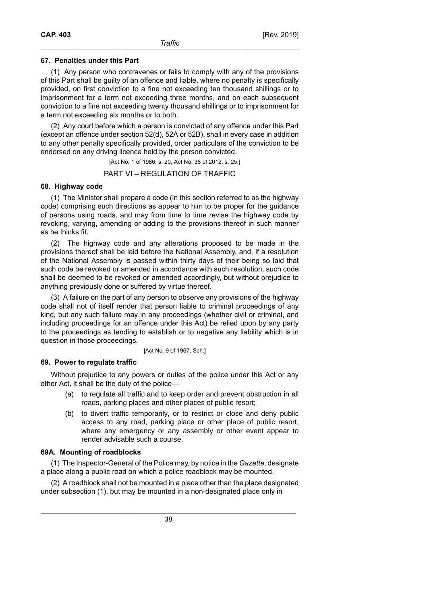## **67. Penalties under this Part**

(1) Any person who contravenes or fails to comply with any of the provisions of this Part shall be guilty of an offence and liable, where no penalty is specifically provided, on first conviction to a fine not exceeding ten thousand shillings or to imprisonment for a term not exceeding three months, and on each subsequent conviction to a fine not exceeding twenty thousand shillings or to imprisonment for a term not exceeding six months or to both.

(2) Any court before which a person is convicted of any offence under this Part (except an offence under section 52(d), 52A or 52B), shall in every case in addition to any other penalty specifically provided, order particulars of the conviction to be endorsed on any driving licence held by the person convicted.

[Act No. 1 of 1986, s. 20, Act No. 38 of 2012, s. 25.]

## PART VI – REGULATION OF TRAFFIC

## **68. Highway code**

(1) The Minister shall prepare a code (in this section referred to as the highway code) comprising such directions as appear to him to be proper for the guidance of persons using roads, and may from time to time revise the highway code by revoking, varying, amending or adding to the provisions thereof in such manner as he thinks fit.

(2) The highway code and any alterations proposed to be made in the provisions thereof shall be laid before the National Assembly, and, if a resolution of the National Assembly is passed within thirty days of their being so laid that such code be revoked or amended in accordance with such resolution, such code shall be deemed to be revoked or amended accordingly, but without prejudice to anything previously done or suffered by virtue thereof.

(3) A failure on the part of any person to observe any provisions of the highway code shall not of itself render that person liable to criminal proceedings of any kind, but any such failure may in any proceedings (whether civil or criminal, and including proceedings for an offence under this Act) be relied upon by any party to the proceedings as tending to establish or to negative any liability which is in question in those proceedings.

[Act No. 9 of 1967, Sch.]

## **69. Power to regulate traffic**

Without prejudice to any powers or duties of the police under this Act or any other Act, it shall be the duty of the police—

- (a) to regulate all traffic and to keep order and prevent obstruction in all roads, parking places and other places of public resort;
- (b) to divert traffic temporarily, or to restrict or close and deny public access to any road, parking place or other place of public resort, where any emergency or any assembly or other event appear to render advisable such a course.

## **69A. Mounting of roadblocks**

(1) The Inspector-General of the Police may, by notice in the *Gazette*, designate a place along a public road on which a police roadblock may be mounted.

(2) A roadblock shall not be mounted in a place other than the place designated under subsection (1), but may be mounted in a non-designated place only in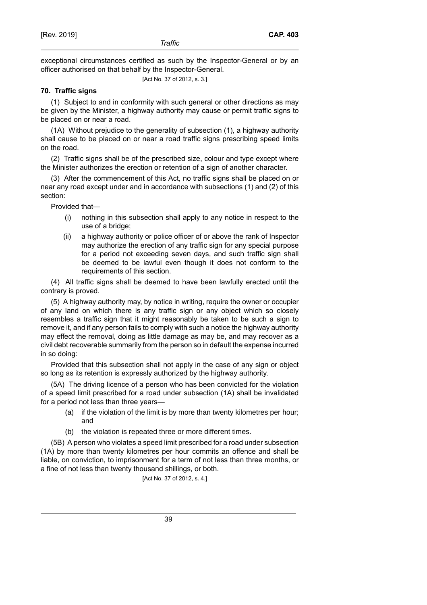exceptional circumstances certified as such by the Inspector-General or by an officer authorised on that behalf by the Inspector-General.

[Act No. 37 of 2012, s. 3.]

## **70. Traffic signs**

(1) Subject to and in conformity with such general or other directions as may be given by the Minister, a highway authority may cause or permit traffic signs to be placed on or near a road.

(1A) Without prejudice to the generality of subsection (1), a highway authority shall cause to be placed on or near a road traffic signs prescribing speed limits on the road.

(2) Traffic signs shall be of the prescribed size, colour and type except where the Minister authorizes the erection or retention of a sign of another character.

(3) After the commencement of this Act, no traffic signs shall be placed on or near any road except under and in accordance with subsections (1) and (2) of this section:

Provided that—

- (i) nothing in this subsection shall apply to any notice in respect to the use of a bridge;
- (ii) a highway authority or police officer of or above the rank of Inspector may authorize the erection of any traffic sign for any special purpose for a period not exceeding seven days, and such traffic sign shall be deemed to be lawful even though it does not conform to the requirements of this section.

(4) All traffic signs shall be deemed to have been lawfully erected until the contrary is proved.

(5) A highway authority may, by notice in writing, require the owner or occupier of any land on which there is any traffic sign or any object which so closely resembles a traffic sign that it might reasonably be taken to be such a sign to remove it, and if any person fails to comply with such a notice the highway authority may effect the removal, doing as little damage as may be, and may recover as a civil debt recoverable summarily from the person so in default the expense incurred in so doing:

Provided that this subsection shall not apply in the case of any sign or object so long as its retention is expressly authorized by the highway authority.

(5A) The driving licence of a person who has been convicted for the violation of a speed limit prescribed for a road under subsection (1A) shall be invalidated for a period not less than three years-

- (a) if the violation of the limit is by more than twenty kilometres per hour; and
- (b) the violation is repeated three or more different times.

(5B) A person who violates a speed limit prescribed for a road under subsection (1A) by more than twenty kilometres per hour commits an offence and shall be liable, on conviction, to imprisonment for a term of not less than three months, or a fine of not less than twenty thousand shillings, or both.

[Act No. 37 of 2012, s. 4.]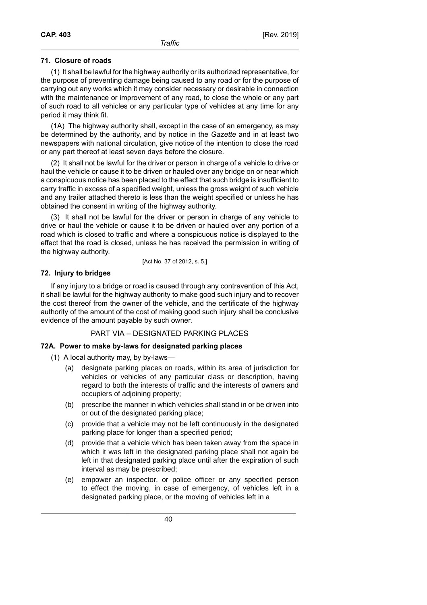## **71. Closure of roads**

(1) It shall be lawful for the highway authority or its authorized representative, for the purpose of preventing damage being caused to any road or for the purpose of carrying out any works which it may consider necessary or desirable in connection with the maintenance or improvement of any road, to close the whole or any part of such road to all vehicles or any particular type of vehicles at any time for any period it may think fit.

(1A) The highway authority shall, except in the case of an emergency, as may be determined by the authority, and by notice in the *Gazette* and in at least two newspapers with national circulation, give notice of the intention to close the road or any part thereof at least seven days before the closure.

(2) It shall not be lawful for the driver or person in charge of a vehicle to drive or haul the vehicle or cause it to be driven or hauled over any bridge on or near which a conspicuous notice has been placed to the effect that such bridge is insufficient to carry traffic in excess of a specified weight, unless the gross weight of such vehicle and any trailer attached thereto is less than the weight specified or unless he has obtained the consent in writing of the highway authority.

(3) It shall not be lawful for the driver or person in charge of any vehicle to drive or haul the vehicle or cause it to be driven or hauled over any portion of a road which is closed to traffic and where a conspicuous notice is displayed to the effect that the road is closed, unless he has received the permission in writing of the highway authority.

[Act No. 37 of 2012, s. 5.]

## **72. Injury to bridges**

If any injury to a bridge or road is caused through any contravention of this Act, it shall be lawful for the highway authority to make good such injury and to recover the cost thereof from the owner of the vehicle, and the certificate of the highway authority of the amount of the cost of making good such injury shall be conclusive evidence of the amount payable by such owner.

## PART VIA – DESIGNATED PARKING PLACES

## **72A. Power to make by-laws for designated parking places**

(1) A local authority may, by by-laws—

- (a) designate parking places on roads, within its area of jurisdiction for vehicles or vehicles of any particular class or description, having regard to both the interests of traffic and the interests of owners and occupiers of adjoining property;
- (b) prescribe the manner in which vehicles shall stand in or be driven into or out of the designated parking place;
- (c) provide that a vehicle may not be left continuously in the designated parking place for longer than a specified period;
- (d) provide that a vehicle which has been taken away from the space in which it was left in the designated parking place shall not again be left in that designated parking place until after the expiration of such interval as may be prescribed;
- (e) empower an inspector, or police officer or any specified person to effect the moving, in case of emergency, of vehicles left in a designated parking place, or the moving of vehicles left in a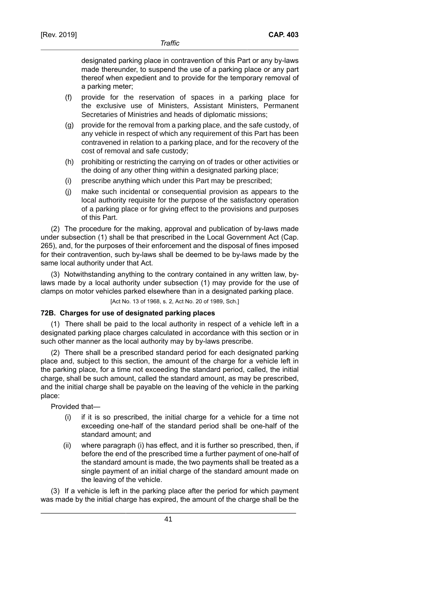designated parking place in contravention of this Part or any by-laws made thereunder, to suspend the use of a parking place or any part thereof when expedient and to provide for the temporary removal of a parking meter;

- (f) provide for the reservation of spaces in a parking place for the exclusive use of Ministers, Assistant Ministers, Permanent Secretaries of Ministries and heads of diplomatic missions;
- (g) provide for the removal from a parking place, and the safe custody, of any vehicle in respect of which any requirement of this Part has been contravened in relation to a parking place, and for the recovery of the cost of removal and safe custody;
- (h) prohibiting or restricting the carrying on of trades or other activities or the doing of any other thing within a designated parking place;
- (i) prescribe anything which under this Part may be prescribed;
- (j) make such incidental or consequential provision as appears to the local authority requisite for the purpose of the satisfactory operation of a parking place or for giving effect to the provisions and purposes of this Part.

(2) The procedure for the making, approval and publication of by-laws made under subsection (1) shall be that prescribed in the Local Government Act (Cap. 265), and, for the purposes of their enforcement and the disposal of fines imposed for their contravention, such by-laws shall be deemed to be by-laws made by the same local authority under that Act.

(3) Notwithstanding anything to the contrary contained in any written law, bylaws made by a local authority under subsection (1) may provide for the use of clamps on motor vehicles parked elsewhere than in a designated parking place.

[Act No. 13 of 1968, s. 2, Act No. 20 of 1989, Sch.]

## **72B. Charges for use of designated parking places**

(1) There shall be paid to the local authority in respect of a vehicle left in a designated parking place charges calculated in accordance with this section or in such other manner as the local authority may by by-laws prescribe.

(2) There shall be a prescribed standard period for each designated parking place and, subject to this section, the amount of the charge for a vehicle left in the parking place, for a time not exceeding the standard period, called, the initial charge, shall be such amount, called the standard amount, as may be prescribed, and the initial charge shall be payable on the leaving of the vehicle in the parking place:

Provided that—

- (i) if it is so prescribed, the initial charge for a vehicle for a time not exceeding one-half of the standard period shall be one-half of the standard amount; and
- (ii) where paragraph (i) has effect, and it is further so prescribed, then, if before the end of the prescribed time a further payment of one-half of the standard amount is made, the two payments shall be treated as a single payment of an initial charge of the standard amount made on the leaving of the vehicle.

(3) If a vehicle is left in the parking place after the period for which payment was made by the initial charge has expired, the amount of the charge shall be the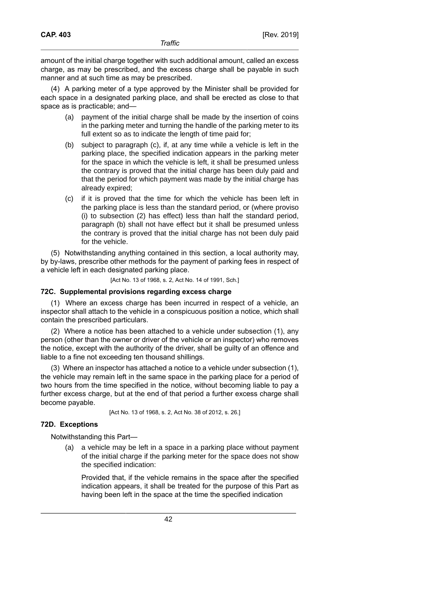amount of the initial charge together with such additional amount, called an excess charge, as may be prescribed, and the excess charge shall be payable in such manner and at such time as may be prescribed.

(4) A parking meter of a type approved by the Minister shall be provided for each space in a designated parking place, and shall be erected as close to that space as is practicable; and—

- (a) payment of the initial charge shall be made by the insertion of coins in the parking meter and turning the handle of the parking meter to its full extent so as to indicate the length of time paid for;
- (b) subject to paragraph (c), if, at any time while a vehicle is left in the parking place, the specified indication appears in the parking meter for the space in which the vehicle is left, it shall be presumed unless the contrary is proved that the initial charge has been duly paid and that the period for which payment was made by the initial charge has already expired;
- (c) if it is proved that the time for which the vehicle has been left in the parking place is less than the standard period, or (where proviso (i) to subsection (2) has effect) less than half the standard period, paragraph (b) shall not have effect but it shall be presumed unless the contrary is proved that the initial charge has not been duly paid for the vehicle.

(5) Notwithstanding anything contained in this section, a local authority may, by by-laws, prescribe other methods for the payment of parking fees in respect of a vehicle left in each designated parking place.

[Act No. 13 of 1968, s. 2, Act No. 14 of 1991, Sch.]

### **72C. Supplemental provisions regarding excess charge**

(1) Where an excess charge has been incurred in respect of a vehicle, an inspector shall attach to the vehicle in a conspicuous position a notice, which shall contain the prescribed particulars.

(2) Where a notice has been attached to a vehicle under subsection (1), any person (other than the owner or driver of the vehicle or an inspector) who removes the notice, except with the authority of the driver, shall be guilty of an offence and liable to a fine not exceeding ten thousand shillings.

(3) Where an inspector has attached a notice to a vehicle under subsection (1), the vehicle may remain left in the same space in the parking place for a period of two hours from the time specified in the notice, without becoming liable to pay a further excess charge, but at the end of that period a further excess charge shall become payable.

[Act No. 13 of 1968, s. 2, Act No. 38 of 2012, s. 26.]

## **72D. Exceptions**

Notwithstanding this Part—

(a) a vehicle may be left in a space in a parking place without payment of the initial charge if the parking meter for the space does not show the specified indication:

Provided that, if the vehicle remains in the space after the specified indication appears, it shall be treated for the purpose of this Part as having been left in the space at the time the specified indication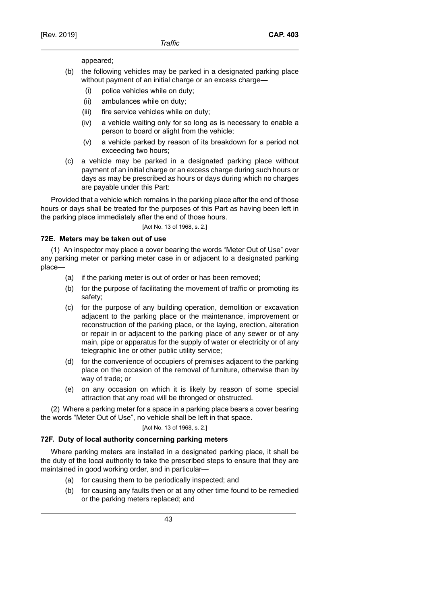appeared;

- (b) the following vehicles may be parked in a designated parking place without payment of an initial charge or an excess charge—
	- (i) police vehicles while on duty;
	- (ii) ambulances while on duty;
	- (iii) fire service vehicles while on duty;
	- (iv) a vehicle waiting only for so long as is necessary to enable a person to board or alight from the vehicle;
	- (v) a vehicle parked by reason of its breakdown for a period not exceeding two hours;
- (c) a vehicle may be parked in a designated parking place without payment of an initial charge or an excess charge during such hours or days as may be prescribed as hours or days during which no charges are payable under this Part:

Provided that a vehicle which remains in the parking place after the end of those hours or days shall be treated for the purposes of this Part as having been left in the parking place immediately after the end of those hours.

[Act No. 13 of 1968, s. 2.]

## **72E. Meters may be taken out of use**

(1) An inspector may place a cover bearing the words "Meter Out of Use" over any parking meter or parking meter case in or adjacent to a designated parking place—

- (a) if the parking meter is out of order or has been removed;
- (b) for the purpose of facilitating the movement of traffic or promoting its safety;
- (c) for the purpose of any building operation, demolition or excavation adjacent to the parking place or the maintenance, improvement or reconstruction of the parking place, or the laying, erection, alteration or repair in or adjacent to the parking place of any sewer or of any main, pipe or apparatus for the supply of water or electricity or of any telegraphic line or other public utility service;
- (d) for the convenience of occupiers of premises adjacent to the parking place on the occasion of the removal of furniture, otherwise than by way of trade; or
- (e) on any occasion on which it is likely by reason of some special attraction that any road will be thronged or obstructed.

(2) Where a parking meter for a space in a parking place bears a cover bearing the words "Meter Out of Use", no vehicle shall be left in that space.

### [Act No. 13 of 1968, s. 2.]

## **72F. Duty of local authority concerning parking meters**

Where parking meters are installed in a designated parking place, it shall be the duty of the local authority to take the prescribed steps to ensure that they are maintained in good working order, and in particular—

- (a) for causing them to be periodically inspected; and
- (b) for causing any faults then or at any other time found to be remedied or the parking meters replaced; and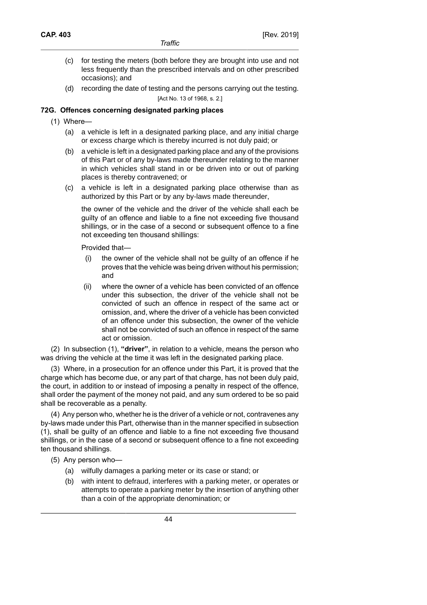- (c) for testing the meters (both before they are brought into use and not less frequently than the prescribed intervals and on other prescribed occasions); and
- (d) recording the date of testing and the persons carrying out the testing. [Act No. 13 of 1968, s. 2.]

## **72G. Offences concerning designated parking places**

- (1) Where—
	- (a) a vehicle is left in a designated parking place, and any initial charge or excess charge which is thereby incurred is not duly paid; or
	- (b) a vehicle is left in a designated parking place and any of the provisions of this Part or of any by-laws made thereunder relating to the manner in which vehicles shall stand in or be driven into or out of parking places is thereby contravened; or
	- (c) a vehicle is left in a designated parking place otherwise than as authorized by this Part or by any by-laws made thereunder,

the owner of the vehicle and the driver of the vehicle shall each be guilty of an offence and liable to a fine not exceeding five thousand shillings, or in the case of a second or subsequent offence to a fine not exceeding ten thousand shillings:

Provided that—

- (i) the owner of the vehicle shall not be guilty of an offence if he proves that the vehicle was being driven without his permission; and
- (ii) where the owner of a vehicle has been convicted of an offence under this subsection, the driver of the vehicle shall not be convicted of such an offence in respect of the same act or omission, and, where the driver of a vehicle has been convicted of an offence under this subsection, the owner of the vehicle shall not be convicted of such an offence in respect of the same act or omission.

(2) In subsection (1), **"driver"**, in relation to a vehicle, means the person who was driving the vehicle at the time it was left in the designated parking place.

(3) Where, in a prosecution for an offence under this Part, it is proved that the charge which has become due, or any part of that charge, has not been duly paid, the court, in addition to or instead of imposing a penalty in respect of the offence, shall order the payment of the money not paid, and any sum ordered to be so paid shall be recoverable as a penalty.

(4) Any person who, whether he is the driver of a vehicle or not, contravenes any by-laws made under this Part, otherwise than in the manner specified in subsection (1), shall be guilty of an offence and liable to a fine not exceeding five thousand shillings, or in the case of a second or subsequent offence to a fine not exceeding ten thousand shillings.

- (5) Any person who—
	- (a) wilfully damages a parking meter or its case or stand; or
	- (b) with intent to defraud, interferes with a parking meter, or operates or attempts to operate a parking meter by the insertion of anything other than a coin of the appropriate denomination; or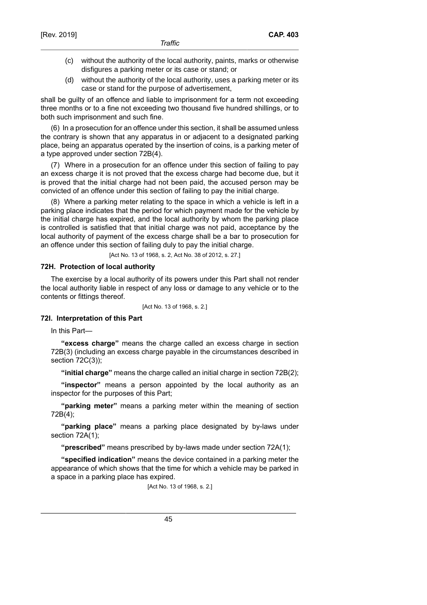- (c) without the authority of the local authority, paints, marks or otherwise disfigures a parking meter or its case or stand; or
- (d) without the authority of the local authority, uses a parking meter or its case or stand for the purpose of advertisement,

shall be guilty of an offence and liable to imprisonment for a term not exceeding three months or to a fine not exceeding two thousand five hundred shillings, or to both such imprisonment and such fine.

(6) In a prosecution for an offence under this section, it shall be assumed unless the contrary is shown that any apparatus in or adjacent to a designated parking place, being an apparatus operated by the insertion of coins, is a parking meter of a type approved under section 72B(4).

(7) Where in a prosecution for an offence under this section of failing to pay an excess charge it is not proved that the excess charge had become due, but it is proved that the initial charge had not been paid, the accused person may be convicted of an offence under this section of failing to pay the initial charge.

(8) Where a parking meter relating to the space in which a vehicle is left in a parking place indicates that the period for which payment made for the vehicle by the initial charge has expired, and the local authority by whom the parking place is controlled is satisfied that that initial charge was not paid, acceptance by the local authority of payment of the excess charge shall be a bar to prosecution for an offence under this section of failing duly to pay the initial charge.

[Act No. 13 of 1968, s. 2, Act No. 38 of 2012, s. 27.]

### **72H. Protection of local authority**

The exercise by a local authority of its powers under this Part shall not render the local authority liable in respect of any loss or damage to any vehicle or to the contents or fittings thereof.

[Act No. 13 of 1968, s. 2.]

#### **72I. Interpretation of this Part**

In this Part—

**"excess charge"** means the charge called an excess charge in section 72B(3) (including an excess charge payable in the circumstances described in section 72C(3));

**"initial charge"** means the charge called an initial charge in section 72B(2);

**"inspector"** means a person appointed by the local authority as an inspector for the purposes of this Part;

**"parking meter"** means a parking meter within the meaning of section 72B(4);

**"parking place"** means a parking place designated by by-laws under section 72A(1);

**"prescribed"** means prescribed by by-laws made under section 72A(1);

**"specified indication"** means the device contained in a parking meter the appearance of which shows that the time for which a vehicle may be parked in a space in a parking place has expired.

[Act No. 13 of 1968, s. 2.]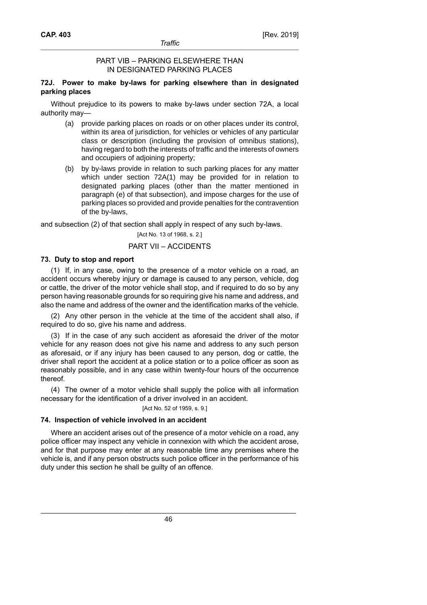## PART VIB – PARKING ELSEWHERE THAN IN DESIGNATED PARKING PLACES

## **72J. Power to make by-laws for parking elsewhere than in designated parking places**

Without prejudice to its powers to make by-laws under section 72A, a local authority may—

- (a) provide parking places on roads or on other places under its control, within its area of jurisdiction, for vehicles or vehicles of any particular class or description (including the provision of omnibus stations), having regard to both the interests of traffic and the interests of owners and occupiers of adjoining property;
- (b) by by-laws provide in relation to such parking places for any matter which under section 72A(1) may be provided for in relation to designated parking places (other than the matter mentioned in paragraph (e) of that subsection), and impose charges for the use of parking places so provided and provide penalties for the contravention of the by-laws,

and subsection (2) of that section shall apply in respect of any such by-laws.

[Act No. 13 of 1968, s. 2.]

## PART VII – ACCIDENTS

## **73. Duty to stop and report**

(1) If, in any case, owing to the presence of a motor vehicle on a road, an accident occurs whereby injury or damage is caused to any person, vehicle, dog or cattle, the driver of the motor vehicle shall stop, and if required to do so by any person having reasonable grounds for so requiring give his name and address, and also the name and address of the owner and the identification marks of the vehicle.

(2) Any other person in the vehicle at the time of the accident shall also, if required to do so, give his name and address.

(3) If in the case of any such accident as aforesaid the driver of the motor vehicle for any reason does not give his name and address to any such person as aforesaid, or if any injury has been caused to any person, dog or cattle, the driver shall report the accident at a police station or to a police officer as soon as reasonably possible, and in any case within twenty-four hours of the occurrence thereof.

(4) The owner of a motor vehicle shall supply the police with all information necessary for the identification of a driver involved in an accident.

#### [Act No. 52 of 1959, s. 9.]

## **74. Inspection of vehicle involved in an accident**

Where an accident arises out of the presence of a motor vehicle on a road, any police officer may inspect any vehicle in connexion with which the accident arose, and for that purpose may enter at any reasonable time any premises where the vehicle is, and if any person obstructs such police officer in the performance of his duty under this section he shall be guilty of an offence.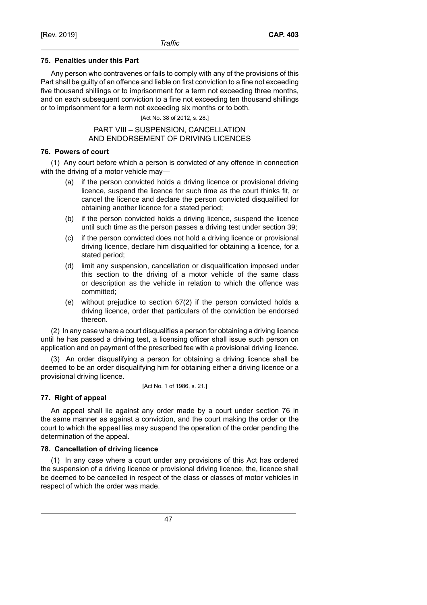## **75. Penalties under this Part**

Any person who contravenes or fails to comply with any of the provisions of this Part shall be guilty of an offence and liable on first conviction to a fine not exceeding five thousand shillings or to imprisonment for a term not exceeding three months, and on each subsequent conviction to a fine not exceeding ten thousand shillings or to imprisonment for a term not exceeding six months or to both.

[Act No. 38 of 2012, s. 28.]

PART VIII – SUSPENSION, CANCELLATION AND ENDORSEMENT OF DRIVING LICENCES

## **76. Powers of court**

(1) Any court before which a person is convicted of any offence in connection with the driving of a motor vehicle may—

- (a) if the person convicted holds a driving licence or provisional driving licence, suspend the licence for such time as the court thinks fit, or cancel the licence and declare the person convicted disqualified for obtaining another licence for a stated period;
- (b) if the person convicted holds a driving licence, suspend the licence until such time as the person passes a driving test under section 39;
- (c) if the person convicted does not hold a driving licence or provisional driving licence, declare him disqualified for obtaining a licence, for a stated period;
- (d) limit any suspension, cancellation or disqualification imposed under this section to the driving of a motor vehicle of the same class or description as the vehicle in relation to which the offence was committed;
- (e) without prejudice to section 67(2) if the person convicted holds a driving licence, order that particulars of the conviction be endorsed thereon.

(2) In any case where a court disqualifies a person for obtaining a driving licence until he has passed a driving test, a licensing officer shall issue such person on application and on payment of the prescribed fee with a provisional driving licence.

(3) An order disqualifying a person for obtaining a driving licence shall be deemed to be an order disqualifying him for obtaining either a driving licence or a provisional driving licence.

[Act No. 1 of 1986, s. 21.]

## **77. Right of appeal**

An appeal shall lie against any order made by a court under section 76 in the same manner as against a conviction, and the court making the order or the court to which the appeal lies may suspend the operation of the order pending the determination of the appeal.

## **78. Cancellation of driving licence**

(1) In any case where a court under any provisions of this Act has ordered the suspension of a driving licence or provisional driving licence, the, licence shall be deemed to be cancelled in respect of the class or classes of motor vehicles in respect of which the order was made.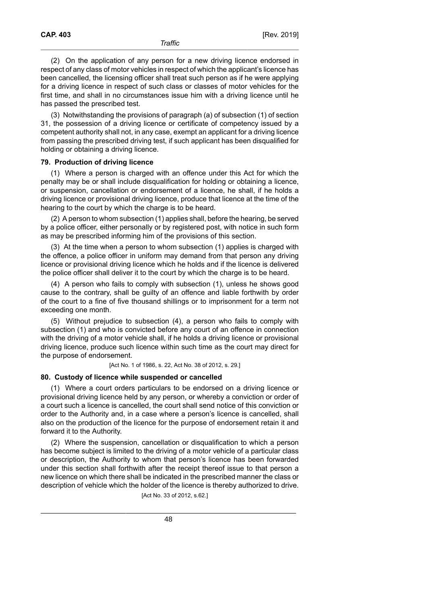(2) On the application of any person for a new driving licence endorsed in respect of any class of motor vehicles in respect of which the applicant's licence has been cancelled, the licensing officer shall treat such person as if he were applying for a driving licence in respect of such class or classes of motor vehicles for the first time, and shall in no circumstances issue him with a driving licence until he has passed the prescribed test.

(3) Notwithstanding the provisions of paragraph (a) of subsection (1) of section 31, the possession of a driving licence or certificate of competency issued by a competent authority shall not, in any case, exempt an applicant for a driving licence from passing the prescribed driving test, if such applicant has been disqualified for holding or obtaining a driving licence.

## **79. Production of driving licence**

(1) Where a person is charged with an offence under this Act for which the penalty may be or shall include disqualification for holding or obtaining a licence, or suspension, cancellation or endorsement of a licence, he shall, if he holds a driving licence or provisional driving licence, produce that licence at the time of the hearing to the court by which the charge is to be heard.

(2) A person to whom subsection (1) applies shall, before the hearing, be served by a police officer, either personally or by registered post, with notice in such form as may be prescribed informing him of the provisions of this section.

(3) At the time when a person to whom subsection (1) applies is charged with the offence, a police officer in uniform may demand from that person any driving licence or provisional driving licence which he holds and if the licence is delivered the police officer shall deliver it to the court by which the charge is to be heard.

(4) A person who fails to comply with subsection (1), unless he shows good cause to the contrary, shall be guilty of an offence and liable forthwith by order of the court to a fine of five thousand shillings or to imprisonment for a term not exceeding one month.

(5) Without prejudice to subsection (4), a person who fails to comply with subsection (1) and who is convicted before any court of an offence in connection with the driving of a motor vehicle shall, if he holds a driving licence or provisional driving licence, produce such licence within such time as the court may direct for the purpose of endorsement.

[Act No. 1 of 1986, s. 22, Act No. 38 of 2012, s. 29.]

#### **80. Custody of licence while suspended or cancelled**

(1) Where a court orders particulars to be endorsed on a driving licence or provisional driving licence held by any person, or whereby a conviction or order of a court such a licence is cancelled, the court shall send notice of this conviction or order to the Authority and, in a case where a person's licence is cancelled, shall also on the production of the licence for the purpose of endorsement retain it and forward it to the Authority.

(2) Where the suspension, cancellation or disqualification to which a person has become subject is limited to the driving of a motor vehicle of a particular class or description, the Authority to whom that person's licence has been forwarded under this section shall forthwith after the receipt thereof issue to that person a new licence on which there shall be indicated in the prescribed manner the class or description of vehicle which the holder of the licence is thereby authorized to drive.

[Act No. 33 of 2012, s.62.]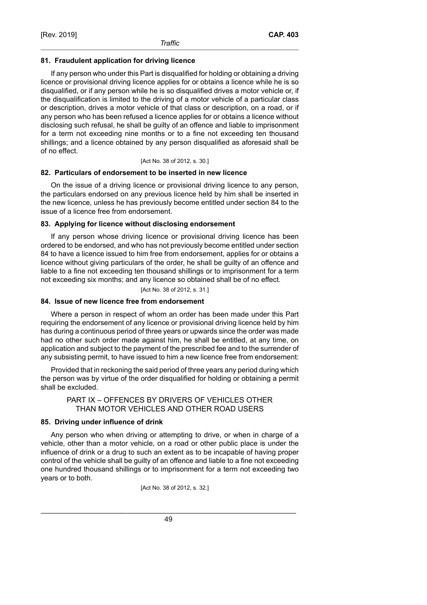## **81. Fraudulent application for driving licence**

If any person who under this Part is disqualified for holding or obtaining a driving licence or provisional driving licence applies for or obtains a licence while he is so disqualified, or if any person while he is so disqualified drives a motor vehicle or, if the disqualification is limited to the driving of a motor vehicle of a particular class or description, drives a motor vehicle of that class or description, on a road, or if any person who has been refused a licence applies for or obtains a licence without disclosing such refusal, he shall be guilty of an offence and liable to imprisonment for a term not exceeding nine months or to a fine not exceeding ten thousand shillings; and a licence obtained by any person disqualified as aforesaid shall be of no effect.

[Act No. 38 of 2012, s. 30.]

## **82. Particulars of endorsement to be inserted in new licence**

On the issue of a driving licence or provisional driving licence to any person, the particulars endorsed on any previous licence held by him shall be inserted in the new licence, unless he has previously become entitled under section 84 to the issue of a licence free from endorsement.

## **83. Applying for licence without disclosing endorsement**

If any person whose driving licence or provisional driving licence has been ordered to be endorsed, and who has not previously become entitled under section 84 to have a licence issued to him free from endorsement, applies for or obtains a licence without giving particulars of the order, he shall be guilty of an offence and liable to a fine not exceeding ten thousand shillings or to imprisonment for a term not exceeding six months; and any licence so obtained shall be of no effect.

[Act No. 38 of 2012, s. 31.]

## **84. Issue of new licence free from endorsement**

Where a person in respect of whom an order has been made under this Part requiring the endorsement of any licence or provisional driving licence held by him has during a continuous period of three years or upwards since the order was made had no other such order made against him, he shall be entitled, at any time, on application and subject to the payment of the prescribed fee and to the surrender of any subsisting permit, to have issued to him a new licence free from endorsement:

Provided that in reckoning the said period of three years any period during which the person was by virtue of the order disqualified for holding or obtaining a permit shall be excluded.

## PART IX – OFFENCES BY DRIVERS OF VEHICLES OTHER THAN MOTOR VEHICLES AND OTHER ROAD USERS

## **85. Driving under influence of drink**

Any person who when driving or attempting to drive, or when in charge of a vehicle, other than a motor vehicle, on a road or other public place is under the influence of drink or a drug to such an extent as to be incapable of having proper control of the vehicle shall be guilty of an offence and liable to a fine not exceeding one hundred thousand shillings or to imprisonment for a term not exceeding two years or to both.

[Act No. 38 of 2012, s. 32.]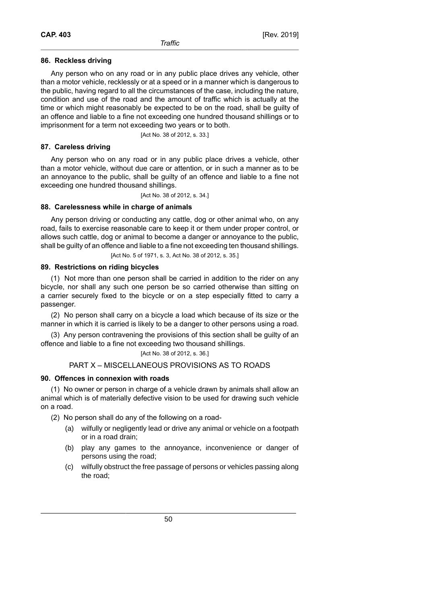## **86. Reckless driving**

Any person who on any road or in any public place drives any vehicle, other than a motor vehicle, recklessly or at a speed or in a manner which is dangerous to the public, having regard to all the circumstances of the case, including the nature, condition and use of the road and the amount of traffic which is actually at the time or which might reasonably be expected to be on the road, shall be guilty of an offence and liable to a fine not exceeding one hundred thousand shillings or to imprisonment for a term not exceeding two years or to both.

[Act No. 38 of 2012, s. 33.]

## **87. Careless driving**

Any person who on any road or in any public place drives a vehicle, other than a motor vehicle, without due care or attention, or in such a manner as to be an annoyance to the public, shall be guilty of an offence and liable to a fine not exceeding one hundred thousand shillings.

[Act No. 38 of 2012, s. 34.]

## **88. Carelessness while in charge of animals**

Any person driving or conducting any cattle, dog or other animal who, on any road, fails to exercise reasonable care to keep it or them under proper control, or allows such cattle, dog or animal to become a danger or annoyance to the public, shall be guilty of an offence and liable to a fine not exceeding ten thousand shillings.

[Act No. 5 of 1971, s. 3, Act No. 38 of 2012, s. 35.]

## **89. Restrictions on riding bicycles**

(1) Not more than one person shall be carried in addition to the rider on any bicycle, nor shall any such one person be so carried otherwise than sitting on a carrier securely fixed to the bicycle or on a step especially fitted to carry a passenger.

(2) No person shall carry on a bicycle a load which because of its size or the manner in which it is carried is likely to be a danger to other persons using a road.

(3) Any person contravening the provisions of this section shall be guilty of an offence and liable to a fine not exceeding two thousand shillings.

## [Act No. 38 of 2012, s. 36.]

## PART X – MISCELLANEOUS PROVISIONS AS TO ROADS

## **90. Offences in connexion with roads**

(1) No owner or person in charge of a vehicle drawn by animals shall allow an animal which is of materially defective vision to be used for drawing such vehicle on a road.

(2) No person shall do any of the following on a road-

- (a) wilfully or negligently lead or drive any animal or vehicle on a footpath or in a road drain;
- (b) play any games to the annoyance, inconvenience or danger of persons using the road;
- (c) wilfully obstruct the free passage of persons or vehicles passing along the road;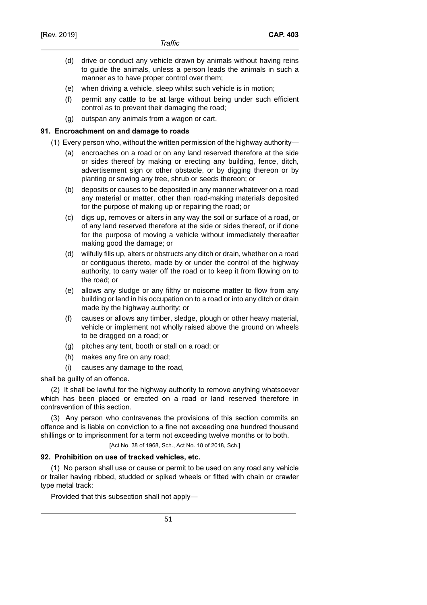- (d) drive or conduct any vehicle drawn by animals without having reins to guide the animals, unless a person leads the animals in such a manner as to have proper control over them;
- (e) when driving a vehicle, sleep whilst such vehicle is in motion;
- (f) permit any cattle to be at large without being under such efficient control as to prevent their damaging the road;
- (g) outspan any animals from a wagon or cart.

## **91. Encroachment on and damage to roads**

- (1) Every person who, without the written permission of the highway authority—
	- (a) encroaches on a road or on any land reserved therefore at the side or sides thereof by making or erecting any building, fence, ditch, advertisement sign or other obstacle, or by digging thereon or by planting or sowing any tree, shrub or seeds thereon; or
	- (b) deposits or causes to be deposited in any manner whatever on a road any material or matter, other than road-making materials deposited for the purpose of making up or repairing the road; or
	- (c) digs up, removes or alters in any way the soil or surface of a road, or of any land reserved therefore at the side or sides thereof, or if done for the purpose of moving a vehicle without immediately thereafter making good the damage; or
	- (d) wilfully fills up, alters or obstructs any ditch or drain, whether on a road or contiguous thereto, made by or under the control of the highway authority, to carry water off the road or to keep it from flowing on to the road; or
	- (e) allows any sludge or any filthy or noisome matter to flow from any building or land in his occupation on to a road or into any ditch or drain made by the highway authority; or
	- (f) causes or allows any timber, sledge, plough or other heavy material, vehicle or implement not wholly raised above the ground on wheels to be dragged on a road; or
	- (g) pitches any tent, booth or stall on a road; or
	- (h) makes any fire on any road;
	- (i) causes any damage to the road,

shall be guilty of an offence.

(2) It shall be lawful for the highway authority to remove anything whatsoever which has been placed or erected on a road or land reserved therefore in contravention of this section.

(3) Any person who contravenes the provisions of this section commits an offence and is liable on conviction to a fine not exceeding one hundred thousand shillings or to imprisonment for a term not exceeding twelve months or to both.

[Act No. 38 of 1968, Sch., Act No. 18 of 2018, Sch.]

#### **92. Prohibition on use of tracked vehicles, etc.**

(1) No person shall use or cause or permit to be used on any road any vehicle or trailer having ribbed, studded or spiked wheels or fitted with chain or crawler type metal track:

Provided that this subsection shall not apply—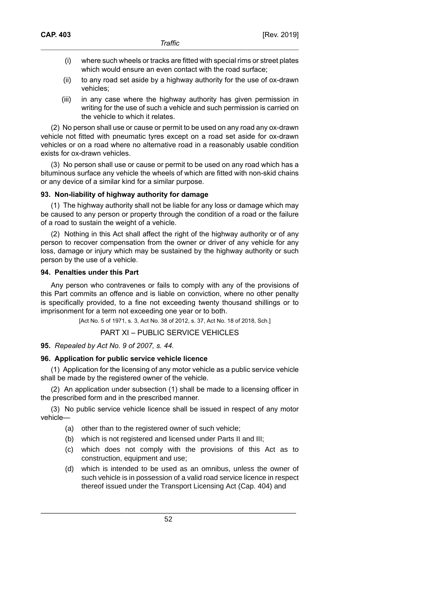- (i) where such wheels or tracks are fitted with special rims or street plates which would ensure an even contact with the road surface;
- (ii) to any road set aside by a highway authority for the use of ox-drawn vehicles;
- (iii) in any case where the highway authority has given permission in writing for the use of such a vehicle and such permission is carried on the vehicle to which it relates.

(2) No person shall use or cause or permit to be used on any road any ox-drawn vehicle not fitted with pneumatic tyres except on a road set aside for ox-drawn vehicles or on a road where no alternative road in a reasonably usable condition exists for ox-drawn vehicles.

(3) No person shall use or cause or permit to be used on any road which has a bituminous surface any vehicle the wheels of which are fitted with non-skid chains or any device of a similar kind for a similar purpose.

## **93. Non-liability of highway authority for damage**

(1) The highway authority shall not be liable for any loss or damage which may be caused to any person or property through the condition of a road or the failure of a road to sustain the weight of a vehicle.

(2) Nothing in this Act shall affect the right of the highway authority or of any person to recover compensation from the owner or driver of any vehicle for any loss, damage or injury which may be sustained by the highway authority or such person by the use of a vehicle.

## **94. Penalties under this Part**

Any person who contravenes or fails to comply with any of the provisions of this Part commits an offence and is liable on conviction, where no other penalty is specifically provided, to a fine not exceeding twenty thousand shillings or to imprisonment for a term not exceeding one year or to both.

[Act No. 5 of 1971, s. 3, Act No. 38 of 2012, s. 37, Act No. 18 of 2018, Sch.]

PART XI – PUBLIC SERVICE VEHICLES

## **95.** *Repealed by Act No. 9 of 2007, s. 44.*

## **96. Application for public service vehicle licence**

(1) Application for the licensing of any motor vehicle as a public service vehicle shall be made by the registered owner of the vehicle.

(2) An application under subsection (1) shall be made to a licensing officer in the prescribed form and in the prescribed manner.

(3) No public service vehicle licence shall be issued in respect of any motor vehicle—

- (a) other than to the registered owner of such vehicle;
- (b) which is not registered and licensed under Parts II and III;
- (c) which does not comply with the provisions of this Act as to construction, equipment and use;
- (d) which is intended to be used as an omnibus, unless the owner of such vehicle is in possession of a valid road service licence in respect thereof issued under the Transport Licensing Act (Cap. 404) and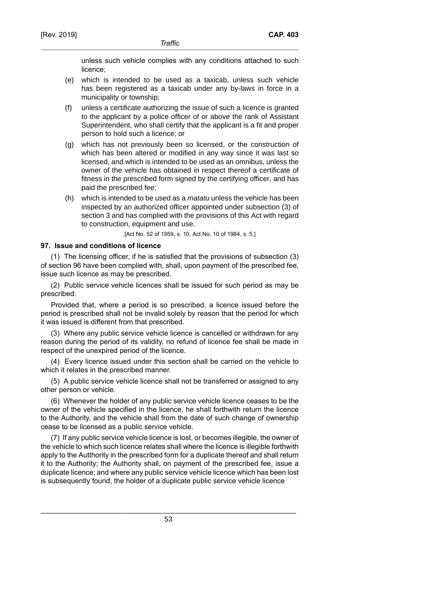unless such vehicle complies with any conditions attached to such licence;

- (e) which is intended to be used as a taxicab, unless such vehicle has been registered as a taxicab under any by-laws in force in a municipality or township;
- (f) unless a certificate authorizing the issue of such a licence is granted to the applicant by a police officer of or above the rank of Assistant Superintendent, who shall certify that the applicant is a fit and proper person to hold such a licence; or
- (g) which has not previously been so licensed, or the construction of which has been altered or modified in any way since it was last so licensed, and which is intended to be used as an omnibus, unless the owner of the vehicle has obtained in respect thereof a certificate of fitness in the prescribed form signed by the certifying officer, and has paid the prescribed fee;
- (h) which is intended to be used as a *matatu* unless the vehicle has been inspected by an authorized officer appointed under subsection (3) of section 3 and has complied with the provisions of this Act with regard to construction, equipment and use.

[Act No. 52 of 1959, s. 10, Act No. 10 of 1984, s. 5.]

### **97. Issue and conditions of licence**

(1) The licensing officer, if he is satisfied that the provisions of subsection (3) of section 96 have been complied with, shall, upon payment of the prescribed fee, issue such licence as may be prescribed.

(2) Public service vehicle licences shall be issued for such period as may be prescribed:

Provided that, where a period is so prescribed, a licence issued before the period is prescribed shall not be invalid solely by reason that the period for which it was issued is different from that prescribed.

(3) Where any public service vehicle licence is cancelled or withdrawn for any reason during the period of its validity, no refund of licence fee shall be made in respect of the unexpired period of the licence.

(4) Every licence issued under this section shall be carried on the vehicle to which it relates in the prescribed manner.

(5) A public service vehicle licence shall not be transferred or assigned to any other person or vehicle.

(6) Whenever the holder of any public service vehicle licence ceases to be the owner of the vehicle specified in the licence, he shall forthwith return the licence to the Authority, and the vehicle shall from the date of such change of ownership cease to be licensed as a public service vehicle.

(7) If any public service vehicle licence is lost, or becomes illegible, the owner of the vehicle to which such licence relates shall where the licence is illegible forthwith apply to the Autthority in the prescribed form for a duplicate thereof and shall return it to the Authority; the Authority shall, on payment of the prescribed fee, issue a duplicate licence; and where any public service vehicle licence which has been lost is subsequently found, the holder of a duplicate public service vehicle licence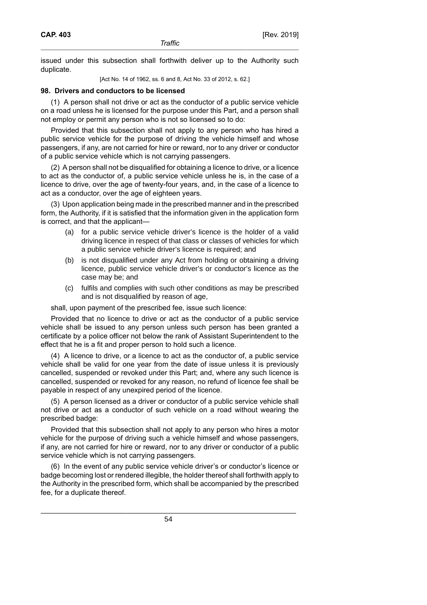issued under this subsection shall forthwith deliver up to the Authority such duplicate.

[Act No. 14 of 1962, ss. 6 and 8, Act No. 33 of 2012, s. 62.]

### **98. Drivers and conductors to be licensed**

(1) A person shall not drive or act as the conductor of a public service vehicle on a road unless he is licensed for the purpose under this Part, and a person shall not employ or permit any person who is not so licensed so to do:

Provided that this subsection shall not apply to any person who has hired a public service vehicle for the purpose of driving the vehicle himself and whose passengers, if any, are not carried for hire or reward, nor to any driver or conductor of a public service vehicle which is not carrying passengers.

(2) A person shall not be disqualified for obtaining a licence to drive, or a licence to act as the conductor of, a public service vehicle unless he is, in the case of a licence to drive, over the age of twenty-four years, and, in the case of a licence to act as a conductor, over the age of eighteen years.

(3) Upon application being made in the prescribed manner and in the prescribed form, the Authority, if it is satisfied that the information given in the application form is correct, and that the applicant—

- (a) for a public service vehicle driver's licence is the holder of a valid driving licence in respect of that class or classes of vehicles for which a public service vehicle driver's licence is required; and
- (b) is not disqualified under any Act from holding or obtaining a driving licence, public service vehicle driver's or conductor's licence as the case may be; and
- (c) fulfils and complies with such other conditions as may be prescribed and is not disqualified by reason of age,

shall, upon payment of the prescribed fee, issue such licence:

Provided that no licence to drive or act as the conductor of a public service vehicle shall be issued to any person unless such person has been granted a certificate by a police officer not below the rank of Assistant Superintendent to the effect that he is a fit and proper person to hold such a licence.

(4) A licence to drive, or a licence to act as the conductor of, a public service vehicle shall be valid for one year from the date of issue unless it is previously cancelled, suspended or revoked under this Part; and, where any such licence is cancelled, suspended or revoked for any reason, no refund of licence fee shall be payable in respect of any unexpired period of the licence.

(5) A person licensed as a driver or conductor of a public service vehicle shall not drive or act as a conductor of such vehicle on a road without wearing the prescribed badge:

Provided that this subsection shall not apply to any person who hires a motor vehicle for the purpose of driving such a vehicle himself and whose passengers, if any, are not carried for hire or reward, nor to any driver or conductor of a public service vehicle which is not carrying passengers.

(6) In the event of any public service vehicle driver's or conductor's licence or badge becoming lost or rendered illegible, the holder thereof shall forthwith apply to the Authority in the prescribed form, which shall be accompanied by the prescribed fee, for a duplicate thereof.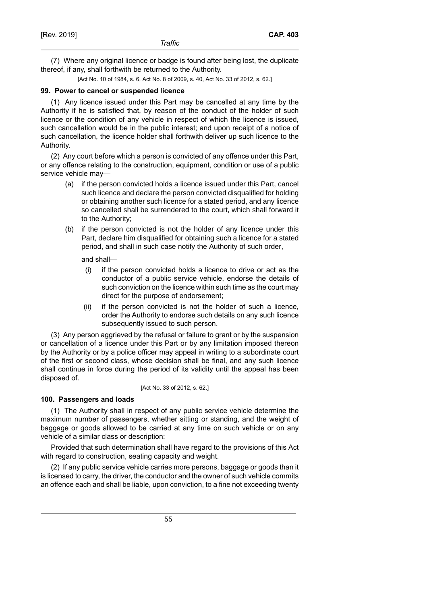(7) Where any original licence or badge is found after being lost, the duplicate thereof, if any, shall forthwith be returned to the Authority.

[Act No. 10 of 1984, s. 6, Act No. 8 of 2009, s. 40, Act No. 33 of 2012, s. 62.]

## **99. Power to cancel or suspended licence**

(1) Any licence issued under this Part may be cancelled at any time by the Authority if he is satisfied that, by reason of the conduct of the holder of such licence or the condition of any vehicle in respect of which the licence is issued, such cancellation would be in the public interest; and upon receipt of a notice of such cancellation, the licence holder shall forthwith deliver up such licence to the Authority.

(2) Any court before which a person is convicted of any offence under this Part, or any offence relating to the construction, equipment, condition or use of a public service vehicle may—

- (a) if the person convicted holds a licence issued under this Part, cancel such licence and declare the person convicted disqualified for holding or obtaining another such licence for a stated period, and any licence so cancelled shall be surrendered to the court, which shall forward it to the Authority;
- (b) if the person convicted is not the holder of any licence under this Part, declare him disqualified for obtaining such a licence for a stated period, and shall in such case notify the Authority of such order,

and shall—

- (i) if the person convicted holds a licence to drive or act as the conductor of a public service vehicle, endorse the details of such conviction on the licence within such time as the court may direct for the purpose of endorsement;
- (ii) if the person convicted is not the holder of such a licence, order the Authority to endorse such details on any such licence subsequently issued to such person.

(3) Any person aggrieved by the refusal or failure to grant or by the suspension or cancellation of a licence under this Part or by any limitation imposed thereon by the Authority or by a police officer may appeal in writing to a subordinate court of the first or second class, whose decision shall be final, and any such licence shall continue in force during the period of its validity until the appeal has been disposed of.

#### [Act No. 33 of 2012, s. 62.]

## **100. Passengers and loads**

(1) The Authority shall in respect of any public service vehicle determine the maximum number of passengers, whether sitting or standing, and the weight of baggage or goods allowed to be carried at any time on such vehicle or on any vehicle of a similar class or description:

Provided that such determination shall have regard to the provisions of this Act with regard to construction, seating capacity and weight.

(2) If any public service vehicle carries more persons, baggage or goods than it is licensed to carry, the driver, the conductor and the owner of such vehicle commits an offence each and shall be liable, upon conviction, to a fine not exceeding twenty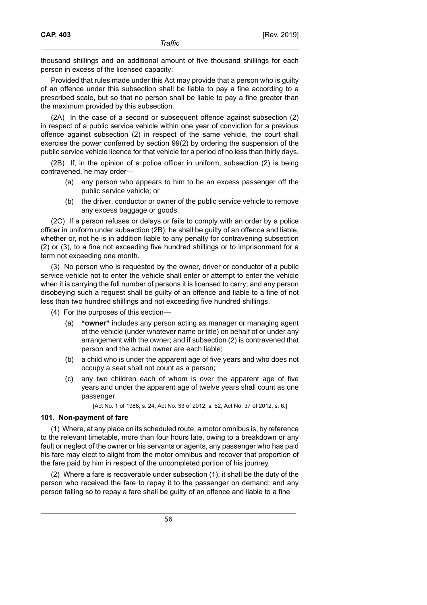thousand shillings and an additional amount of five thousand shillings for each person in excess of the licensed capacity:

Provided that rules made under this Act may provide that a person who is guilty of an offence under this subsection shall be liable to pay a fine according to a prescribed scale, but so that no person shall be liable to pay a fine greater than the maximum provided by this subsection.

(2A) In the case of a second or subsequent offence against subsection (2) in respect of a public service vehicle within one year of conviction for a previous offence against subsection (2) in respect of the same vehicle, the court shall exercise the power conferred by section 99(2) by ordering the suspension of the public service vehicle licence for that vehicle for a period of no less than thirty days.

(2B) If, in the opinion of a police officer in uniform, subsection (2) is being contravened, he may order—

- (a) any person who appears to him to be an excess passenger off the public service vehicle; or
- (b) the driver, conductor or owner of the public service vehicle to remove any excess baggage or goods.

(2C) If a person refuses or delays or fails to comply with an order by a police officer in uniform under subsection (2B), he shall be guilty of an offence and liable, whether or, not he is in addition liable to any penalty for contravening subsection (2) or (3), to a fine not exceeding five hundred shillings or to imprisonment for a term not exceeding one month.

(3) No person who is requested by the owner, driver or conductor of a public service vehicle not to enter the vehicle shall enter or attempt to enter the vehicle when it is carrying the full number of persons it is licensed to carry; and any person disobeying such a request shall be guilty of an offence and liable to a fine of not less than two hundred shillings and not exceeding five hundred shillings.

(4) For the purposes of this section—

- (a) **"owner"** includes any person acting as manager or managing agent of the vehicle (under whatever name or title) on behalf of or under any arrangement with the owner; and if subsection (2) is contravened that person and the actual owner are each liable;
- (b) a child who is under the apparent age of five years and who does not occupy a seat shall not count as a person;
- (c) any two children each of whom is over the apparent age of five years and under the apparent age of twelve years shall count as one passenger.

[Act No. 1 of 1986, s. 24, Act No. 33 of 2012, s. 62, Act No. 37 of 2012, s. 6.]

## **101. Non-payment of fare**

(1) Where, at any place on its scheduled route, a motor omnibus is, by reference to the relevant timetable, more than four hours late, owing to a breakdown or any fault or neglect of the owner or his servants or agents, any passenger who has paid his fare may elect to alight from the motor omnibus and recover that proportion of the fare paid by him in respect of the uncompleted portion of his journey.

(2) Where a fare is recoverable under subsection (1), it shall be the duty of the person who received the fare to repay it to the passenger on demand; and any person failing so to repay a fare shall be guilty of an offence and liable to a fine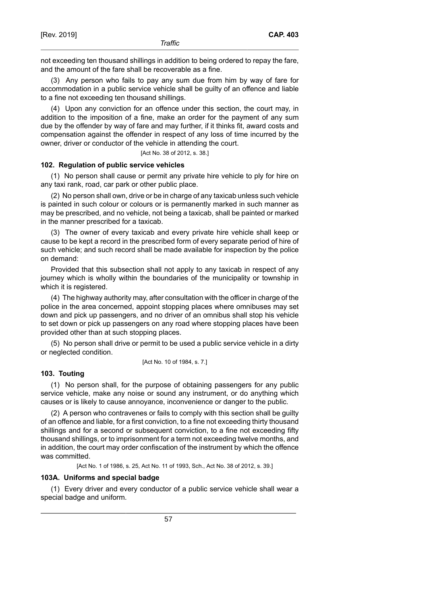not exceeding ten thousand shillings in addition to being ordered to repay the fare, and the amount of the fare shall be recoverable as a fine.

(3) Any person who fails to pay any sum due from him by way of fare for accommodation in a public service vehicle shall be guilty of an offence and liable to a fine not exceeding ten thousand shillings.

(4) Upon any conviction for an offence under this section, the court may, in addition to the imposition of a fine, make an order for the payment of any sum due by the offender by way of fare and may further, if it thinks fit, award costs and compensation against the offender in respect of any loss of time incurred by the owner, driver or conductor of the vehicle in attending the court.

[Act No. 38 of 2012, s. 38.]

### **102. Regulation of public service vehicles**

(1) No person shall cause or permit any private hire vehicle to ply for hire on any taxi rank, road, car park or other public place.

(2) No person shall own, drive or be in charge of any taxicab unless such vehicle is painted in such colour or colours or is permanently marked in such manner as may be prescribed, and no vehicle, not being a taxicab, shall be painted or marked in the manner prescribed for a taxicab.

(3) The owner of every taxicab and every private hire vehicle shall keep or cause to be kept a record in the prescribed form of every separate period of hire of such vehicle; and such record shall be made available for inspection by the police on demand:

Provided that this subsection shall not apply to any taxicab in respect of any journey which is wholly within the boundaries of the municipality or township in which it is registered.

(4) The highway authority may, after consultation with the officer in charge of the police in the area concerned, appoint stopping places where omnibuses may set down and pick up passengers, and no driver of an omnibus shall stop his vehicle to set down or pick up passengers on any road where stopping places have been provided other than at such stopping places.

(5) No person shall drive or permit to be used a public service vehicle in a dirty or neglected condition.

[Act No. 10 of 1984, s. 7.]

### **103. Touting**

(1) No person shall, for the purpose of obtaining passengers for any public service vehicle, make any noise or sound any instrument, or do anything which causes or is likely to cause annoyance, inconvenience or danger to the public.

(2) A person who contravenes or fails to comply with this section shall be guilty of an offence and liable, for a first conviction, to a fine not exceeding thirty thousand shillings and for a second or subsequent conviction, to a fine not exceeding fifty thousand shillings, or to imprisonment for a term not exceeding twelve months, and in addition, the court may order confiscation of the instrument by which the offence was committed.

[Act No. 1 of 1986, s. 25, Act No. 11 of 1993, Sch., Act No. 38 of 2012, s. 39.]

#### **103A. Uniforms and special badge**

(1) Every driver and every conductor of a public service vehicle shall wear a special badge and uniform.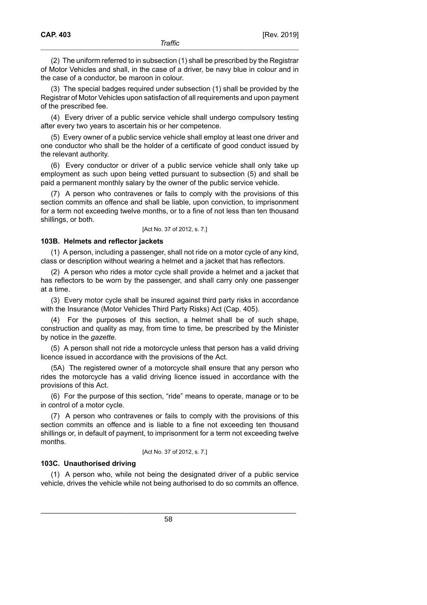(2) The uniform referred to in subsection (1) shall be prescribed by the Registrar of Motor Vehicles and shall, in the case of a driver, be navy blue in colour and in the case of a conductor, be maroon in colour.

(3) The special badges required under subsection (1) shall be provided by the Registrar of Motor Vehicles upon satisfaction of all requirements and upon payment of the prescribed fee.

(4) Every driver of a public service vehicle shall undergo compulsory testing after every two years to ascertain his or her competence.

(5) Every owner of a public service vehicle shall employ at least one driver and one conductor who shall be the holder of a certificate of good conduct issued by the relevant authority.

(6) Every conductor or driver of a public service vehicle shall only take up employment as such upon being vetted pursuant to subsection (5) and shall be paid a permanent monthly salary by the owner of the public service vehicle.

(7) A person who contravenes or fails to comply with the provisions of this section commits an offence and shall be liable, upon conviction, to imprisonment for a term not exceeding twelve months, or to a fine of not less than ten thousand shillings, or both.

#### [Act No. 37 of 2012, s. 7.]

### **103B. Helmets and reflector jackets**

(1) A person, including a passenger, shall not ride on a motor cycle of any kind, class or description without wearing a helmet and a jacket that has reflectors.

(2) A person who rides a motor cycle shall provide a helmet and a jacket that has reflectors to be worn by the passenger, and shall carry only one passenger at a time.

(3) Every motor cycle shall be insured against third party risks in accordance with the Insurance (Motor Vehicles Third Party Risks) Act (Cap. 405).

(4) For the purposes of this section, a helmet shall be of such shape, construction and quality as may, from time to time, be prescribed by the Minister by notice in the *gazette*.

(5) A person shall not ride a motorcycle unless that person has a valid driving licence issued in accordance with the provisions of the Act.

(5A) The registered owner of a motorcycle shall ensure that any person who rides the motorcycle has a valid driving licence issued in accordance with the provisions of this Act.

(6) For the purpose of this section, "ride" means to operate, manage or to be in control of a motor cycle.

(7) A person who contravenes or fails to comply with the provisions of this section commits an offence and is liable to a fine not exceeding ten thousand shillings or, in default of payment, to imprisonment for a term not exceeding twelve months.

### [Act No. 37 of 2012, s. 7.]

## **103C. Unauthorised driving**

(1) A person who, while not being the designated driver of a public service vehicle, drives the vehicle while not being authorised to do so commits an offence.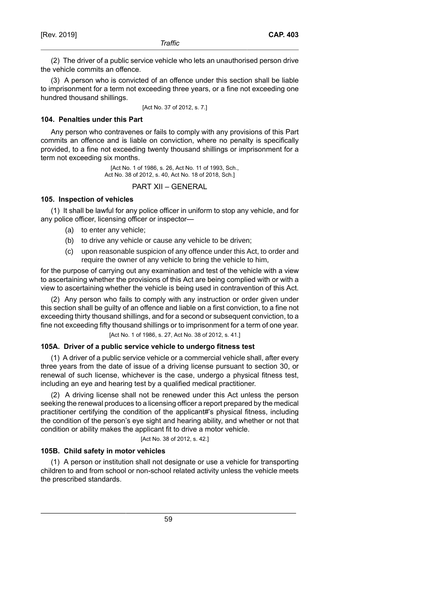(2) The driver of a public service vehicle who lets an unauthorised person drive the vehicle commits an offence.

(3) A person who is convicted of an offence under this section shall be liable to imprisonment for a term not exceeding three years, or a fine not exceeding one hundred thousand shillings.

[Act No. 37 of 2012, s. 7.]

### **104. Penalties under this Part**

Any person who contravenes or fails to comply with any provisions of this Part commits an offence and is liable on conviction, where no penalty is specifically provided, to a fine not exceeding twenty thousand shillings or imprisonment for a term not exceeding six months.

> [Act No. 1 of 1986, s. 26, Act No. 11 of 1993, Sch., Act No. 38 of 2012, s. 40, Act No. 18 of 2018, Sch.]

PART XII – GENERAL

## **105. Inspection of vehicles**

(1) It shall be lawful for any police officer in uniform to stop any vehicle, and for any police officer, licensing officer or inspector—

- (a) to enter any vehicle;
- (b) to drive any vehicle or cause any vehicle to be driven;
- (c) upon reasonable suspicion of any offence under this Act, to order and require the owner of any vehicle to bring the vehicle to him,

for the purpose of carrying out any examination and test of the vehicle with a view to ascertaining whether the provisions of this Act are being complied with or with a view to ascertaining whether the vehicle is being used in contravention of this Act.

(2) Any person who fails to comply with any instruction or order given under this section shall be guilty of an offence and liable on a first conviction, to a fine not exceeding thirty thousand shillings, and for a second or subsequent conviction, to a fine not exceeding fifty thousand shillings or to imprisonment for a term of one year.

[Act No. 1 of 1986, s. 27, Act No. 38 of 2012, s. 41.]

#### **105A. Driver of a public service vehicle to undergo fitness test**

(1) A driver of a public service vehicle or a commercial vehicle shall, after every three years from the date of issue of a driving license pursuant to section 30, or renewal of such license, whichever is the case, undergo a physical fitness test, including an eye and hearing test by a qualified medical practitioner.

(2) A driving license shall not be renewed under this Act unless the person seeking the renewal produces to a licensing officer a report prepared by the medical practitioner certifying the condition of the applicant#'s physical fitness, including the condition of the person's eye sight and hearing ability, and whether or not that condition or ability makes the applicant fit to drive a motor vehicle.

[Act No. 38 of 2012, s. 42.]

## **105B. Child safety in motor vehicles**

(1) A person or institution shall not designate or use a vehicle for transporting children to and from school or non-school related activity unless the vehicle meets the prescribed standards.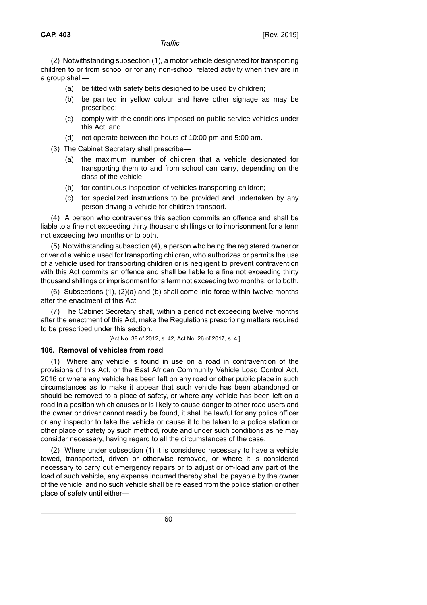(2) Notwithstanding subsection (1), a motor vehicle designated for transporting children to or from school or for any non-school related activity when they are in a group shall—

- (a) be fitted with safety belts designed to be used by children;
- (b) be painted in yellow colour and have other signage as may be prescribed;
- (c) comply with the conditions imposed on public service vehicles under this Act; and
- (d) not operate between the hours of 10:00 pm and 5:00 am.
- (3) The Cabinet Secretary shall prescribe—
	- (a) the maximum number of children that a vehicle designated for transporting them to and from school can carry, depending on the class of the vehicle;
	- (b) for continuous inspection of vehicles transporting children;
	- (c) for specialized instructions to be provided and undertaken by any person driving a vehicle for children transport.

(4) A person who contravenes this section commits an offence and shall be liable to a fine not exceeding thirty thousand shillings or to imprisonment for a term not exceeding two months or to both.

(5) Notwithstanding subsection (4), a person who being the registered owner or driver of a vehicle used for transporting children, who authorizes or permits the use of a vehicle used for transporting children or is negligent to prevent contravention with this Act commits an offence and shall be liable to a fine not exceeding thirty thousand shillings or imprisonment for a term not exceeding two months, or to both.

(6) Subsections (1), (2)(a) and (b) shall come into force within twelve months after the enactment of this Act.

(7) The Cabinet Secretary shall, within a period not exceeding twelve months after the enactment of this Act, make the Regulations prescribing matters required to be prescribed under this section.

[Act No. 38 of 2012, s. 42, Act No. 26 of 2017, s. 4.]

## **106. Removal of vehicles from road**

(1) Where any vehicle is found in use on a road in contravention of the provisions of this Act, or the East African Community Vehicle Load Control Act, 2016 or where any vehicle has been left on any road or other public place in such circumstances as to make it appear that such vehicle has been abandoned or should be removed to a place of safety, or where any vehicle has been left on a road in a position which causes or is likely to cause danger to other road users and the owner or driver cannot readily be found, it shall be lawful for any police officer or any inspector to take the vehicle or cause it to be taken to a police station or other place of safety by such method, route and under such conditions as he may consider necessary, having regard to all the circumstances of the case.

(2) Where under subsection (1) it is considered necessary to have a vehicle towed, transported, driven or otherwise removed, or where it is considered necessary to carry out emergency repairs or to adjust or off-load any part of the load of such vehicle, any expense incurred thereby shall be payable by the owner of the vehicle, and no such vehicle shall be released from the police station or other place of safety until either—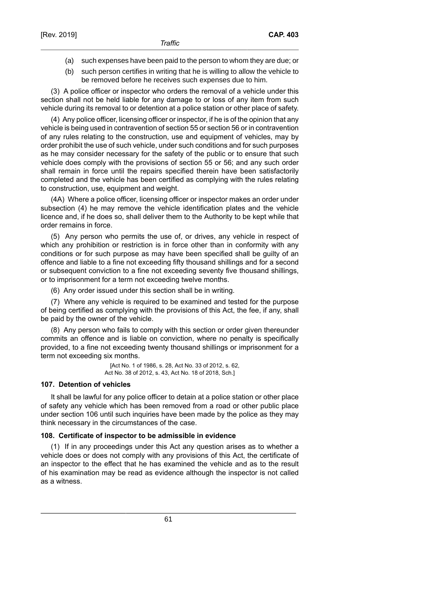- (a) such expenses have been paid to the person to whom they are due; or
- (b) such person certifies in writing that he is willing to allow the vehicle to be removed before he receives such expenses due to him.

(3) A police officer or inspector who orders the removal of a vehicle under this section shall not be held liable for any damage to or loss of any item from such vehicle during its removal to or detention at a police station or other place of safety.

(4) Any police officer, licensing officer or inspector, if he is of the opinion that any vehicle is being used in contravention of section 55 or section 56 or in contravention of any rules relating to the construction, use and equipment of vehicles, may by order prohibit the use of such vehicle, under such conditions and for such purposes as he may consider necessary for the safety of the public or to ensure that such vehicle does comply with the provisions of section 55 or 56; and any such order shall remain in force until the repairs specified therein have been satisfactorily completed and the vehicle has been certified as complying with the rules relating to construction, use, equipment and weight.

(4A) Where a police officer, licensing officer or inspector makes an order under subsection (4) he may remove the vehicle identification plates and the vehicle licence and, if he does so, shall deliver them to the Authority to be kept while that order remains in force.

(5) Any person who permits the use of, or drives, any vehicle in respect of which any prohibition or restriction is in force other than in conformity with any conditions or for such purpose as may have been specified shall be guilty of an offence and liable to a fine not exceeding fifty thousand shillings and for a second or subsequent conviction to a fine not exceeding seventy five thousand shillings, or to imprisonment for a term not exceeding twelve months.

(6) Any order issued under this section shall be in writing.

(7) Where any vehicle is required to be examined and tested for the purpose of being certified as complying with the provisions of this Act, the fee, if any, shall be paid by the owner of the vehicle.

(8) Any person who fails to comply with this section or order given thereunder commits an offence and is liable on conviction, where no penalty is specifically provided, to a fine not exceeding twenty thousand shillings or imprisonment for a term not exceeding six months.

> [Act No. 1 of 1986, s. 28, Act No. 33 of 2012, s. 62, Act No. 38 of 2012, s. 43, Act No. 18 of 2018, Sch.]

#### **107. Detention of vehicles**

It shall be lawful for any police officer to detain at a police station or other place of safety any vehicle which has been removed from a road or other public place under section 106 until such inquiries have been made by the police as they may think necessary in the circumstances of the case.

#### **108. Certificate of inspector to be admissible in evidence**

(1) If in any proceedings under this Act any question arises as to whether a vehicle does or does not comply with any provisions of this Act, the certificate of an inspector to the effect that he has examined the vehicle and as to the result of his examination may be read as evidence although the inspector is not called as a witness.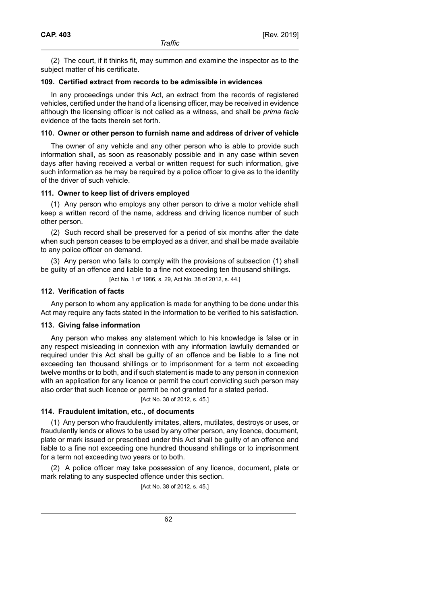(2) The court, if it thinks fit, may summon and examine the inspector as to the subject matter of his certificate.

### **109. Certified extract from records to be admissible in evidences**

In any proceedings under this Act, an extract from the records of registered vehicles, certified under the hand of a licensing officer, may be received in evidence although the licensing officer is not called as a witness, and shall be *prima facie* evidence of the facts therein set forth.

### **110. Owner or other person to furnish name and address of driver of vehicle**

The owner of any vehicle and any other person who is able to provide such information shall, as soon as reasonably possible and in any case within seven days after having received a verbal or written request for such information, give such information as he may be required by a police officer to give as to the identity of the driver of such vehicle.

## **111. Owner to keep list of drivers employed**

(1) Any person who employs any other person to drive a motor vehicle shall keep a written record of the name, address and driving licence number of such other person.

(2) Such record shall be preserved for a period of six months after the date when such person ceases to be employed as a driver, and shall be made available to any police officer on demand.

(3) Any person who fails to comply with the provisions of subsection (1) shall be guilty of an offence and liable to a fine not exceeding ten thousand shillings.

[Act No. 1 of 1986, s. 29, Act No. 38 of 2012, s. 44.]

## **112. Verification of facts**

Any person to whom any application is made for anything to be done under this Act may require any facts stated in the information to be verified to his satisfaction.

## **113. Giving false information**

Any person who makes any statement which to his knowledge is false or in any respect misleading in connexion with any information lawfully demanded or required under this Act shall be guilty of an offence and be liable to a fine not exceeding ten thousand shillings or to imprisonment for a term not exceeding twelve months or to both, and if such statement is made to any person in connexion with an application for any licence or permit the court convicting such person may also order that such licence or permit be not granted for a stated period.

### [Act No. 38 of 2012, s. 45.]

## **114. Fraudulent imitation, etc., of documents**

(1) Any person who fraudulently imitates, alters, mutilates, destroys or uses, or fraudulently lends or allows to be used by any other person, any licence, document, plate or mark issued or prescribed under this Act shall be guilty of an offence and liable to a fine not exceeding one hundred thousand shillings or to imprisonment for a term not exceeding two years or to both.

(2) A police officer may take possession of any licence, document, plate or mark relating to any suspected offence under this section.

[Act No. 38 of 2012, s. 45.]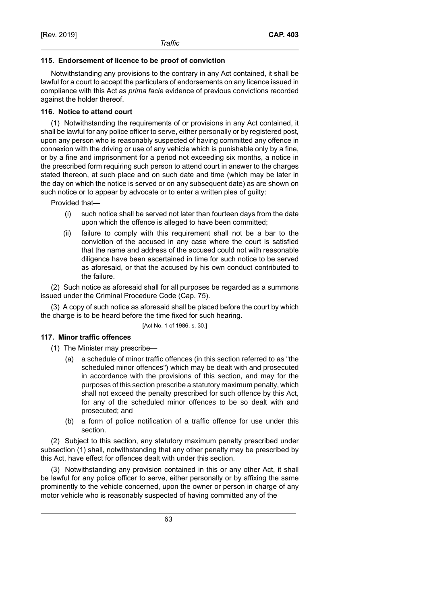## **115. Endorsement of licence to be proof of conviction**

Notwithstanding any provisions to the contrary in any Act contained, it shall be lawful for a court to accept the particulars of endorsements on any licence issued in compliance with this Act as *prima facie* evidence of previous convictions recorded against the holder thereof.

## **116. Notice to attend court**

(1) Notwithstanding the requirements of or provisions in any Act contained, it shall be lawful for any police officer to serve, either personally or by registered post, upon any person who is reasonably suspected of having committed any offence in connexion with the driving or use of any vehicle which is punishable only by a fine, or by a fine and imprisonment for a period not exceeding six months, a notice in the prescribed form requiring such person to attend court in answer to the charges stated thereon, at such place and on such date and time (which may be later in the day on which the notice is served or on any subsequent date) as are shown on such notice or to appear by advocate or to enter a written plea of guilty:

Provided that—

- (i) such notice shall be served not later than fourteen days from the date upon which the offence is alleged to have been committed;
- (ii) failure to comply with this requirement shall not be a bar to the conviction of the accused in any case where the court is satisfied that the name and address of the accused could not with reasonable diligence have been ascertained in time for such notice to be served as aforesaid, or that the accused by his own conduct contributed to the failure.

(2) Such notice as aforesaid shall for all purposes be regarded as a summons issued under the Criminal Procedure Code (Cap. 75).

(3) A copy of such notice as aforesaid shall be placed before the court by which the charge is to be heard before the time fixed for such hearing.

[Act No. 1 of 1986, s. 30.]

## **117. Minor traffic offences**

(1) The Minister may prescribe—

- (a) a schedule of minor traffic offences (in this section referred to as "the scheduled minor offences") which may be dealt with and prosecuted in accordance with the provisions of this section, and may for the purposes of this section prescribe a statutory maximum penalty, which shall not exceed the penalty prescribed for such offence by this Act, for any of the scheduled minor offences to be so dealt with and prosecuted; and
- (b) a form of police notification of a traffic offence for use under this section.

(2) Subject to this section, any statutory maximum penalty prescribed under subsection (1) shall, notwithstanding that any other penalty may be prescribed by this Act, have effect for offences dealt with under this section.

(3) Notwithstanding any provision contained in this or any other Act, it shall be lawful for any police officer to serve, either personally or by affixing the same prominently to the vehicle concerned, upon the owner or person in charge of any motor vehicle who is reasonably suspected of having committed any of the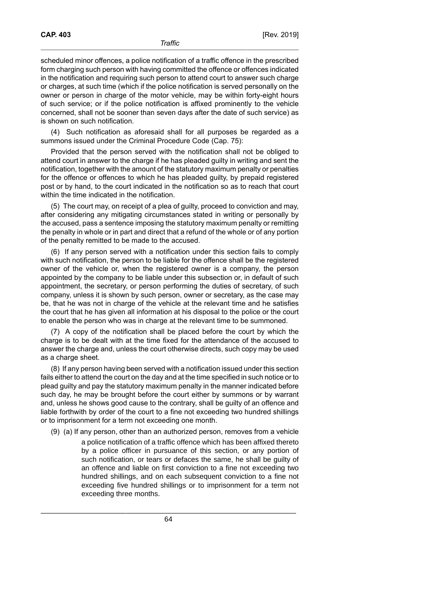scheduled minor offences, a police notification of a traffic offence in the prescribed form charging such person with having committed the offence or offences indicated in the notification and requiring such person to attend court to answer such charge or charges, at such time (which if the police notification is served personally on the owner or person in charge of the motor vehicle, may be within forty-eight hours of such service; or if the police notification is affixed prominently to the vehicle concerned, shall not be sooner than seven days after the date of such service) as is shown on such notification.

(4) Such notification as aforesaid shall for all purposes be regarded as a summons issued under the Criminal Procedure Code (Cap. 75):

Provided that the person served with the notification shall not be obliged to attend court in answer to the charge if he has pleaded guilty in writing and sent the notification, together with the amount of the statutory maximum penalty or penalties for the offence or offences to which he has pleaded guilty, by prepaid registered post or by hand, to the court indicated in the notification so as to reach that court within the time indicated in the notification.

(5) The court may, on receipt of a plea of guilty, proceed to conviction and may, after considering any mitigating circumstances stated in writing or personally by the accused, pass a sentence imposing the statutory maximum penalty or remitting the penalty in whole or in part and direct that a refund of the whole or of any portion of the penalty remitted to be made to the accused.

(6) If any person served with a notification under this section fails to comply with such notification, the person to be liable for the offence shall be the registered owner of the vehicle or, when the registered owner is a company, the person appointed by the company to be liable under this subsection or, in default of such appointment, the secretary, or person performing the duties of secretary, of such company, unless it is shown by such person, owner or secretary, as the case may be, that he was not in charge of the vehicle at the relevant time and he satisfies the court that he has given all information at his disposal to the police or the court to enable the person who was in charge at the relevant time to be summoned.

(7) A copy of the notification shall be placed before the court by which the charge is to be dealt with at the time fixed for the attendance of the accused to answer the charge and, unless the court otherwise directs, such copy may be used as a charge sheet.

(8) If any person having been served with a notification issued under this section fails either to attend the court on the day and at the time specified in such notice or to plead guilty and pay the statutory maximum penalty in the manner indicated before such day, he may be brought before the court either by summons or by warrant and, unless he shows good cause to the contrary, shall be guilty of an offence and liable forthwith by order of the court to a fine not exceeding two hundred shillings or to imprisonment for a term not exceeding one month.

(9) (a) If any person, other than an authorized person, removes from a vehicle a police notification of a traffic offence which has been affixed thereto by a police officer in pursuance of this section, or any portion of such notification, or tears or defaces the same, he shall be guilty of an offence and liable on first conviction to a fine not exceeding two hundred shillings, and on each subsequent conviction to a fine not exceeding five hundred shillings or to imprisonment for a term not exceeding three months.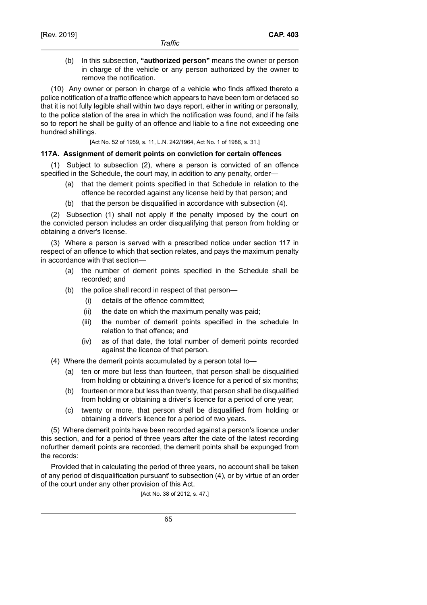(b) In this subsection, **"authorized person"** means the owner or person in charge of the vehicle or any person authorized by the owner to remove the notification.

(10) Any owner or person in charge of a vehicle who finds affixed thereto a police notification of a traffic offence which appears to have been torn or defaced so that it is not fully legible shall within two days report, either in writing or personally, to the police station of the area in which the notification was found, and if he fails so to report he shall be guilty of an offence and liable to a fine not exceeding one hundred shillings.

[Act No. 52 of 1959, s. 11, L.N. 242/1964, Act No. 1 of 1986, s. 31.]

## **117A. Assignment of demerit points on conviction for certain offences**

(1) Subject to subsection (2), where a person is convicted of an offence specified in the Schedule, the court may, in addition to any penalty, order—

- (a) that the demerit points specified in that Schedule in relation to the offence be recorded against any license held by that person; and
- (b) that the person be disqualified in accordance with subsection (4).

(2) Subsection (1) shall not apply if the penalty imposed by the court on the convicted person includes an order disqualifying that person from holding or obtaining a driver's license.

(3) Where a person is served with a prescribed notice under section 117 in respect of an offence to which that section relates, and pays the maximum penalty in accordance with that section—

- (a) the number of demerit points specified in the Schedule shall be recorded; and
- (b) the police shall record in respect of that person—
	- (i) details of the offence committed;
	- (ii) the date on which the maximum penalty was paid;
	- (iii) the number of demerit points specified in the schedule In relation to that offence; and
	- (iv) as of that date, the total number of demerit points recorded against the licence of that person.
- (4) Where the demerit points accumulated by a person total to—
	- (a) ten or more but less than fourteen, that person shall be disqualified from holding or obtaining a driver's licence for a period of six months;
	- (b) fourteen or more but less than twenty, that person shall be disqualified from holding or obtaining a driver's licence for a period of one year;
	- (c) twenty or more, that person shall be disqualified from holding or obtaining a driver's licence for a period of two years.

(5) Where demerit points have been recorded against a person's licence under this section, and for a period of three years after the date of the latest recording nofurther demerit points are recorded, the demerit points shall be expunged from the records:

Provided that in calculating the period of three years, no account shall be taken of any period of disqualification pursuant' to subsection (4), or by virtue of an order of the court under any other provision of this Act.

[Act No. 38 of 2012, s. 47.]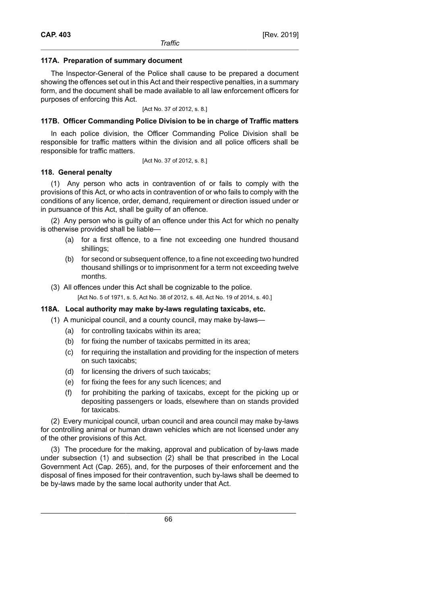## **117A. Preparation of summary document**

The Inspector-General of the Police shall cause to be prepared a document showing the offences set out in this Act and their respective penalties, in a summary form, and the document shall be made available to all law enforcement officers for purposes of enforcing this Act.

[Act No. 37 of 2012, s. 8.]

## **117B. Officer Commanding Police Division to be in charge of Traffic matters**

In each police division, the Officer Commanding Police Division shall be responsible for traffic matters within the division and all police officers shall be responsible for traffic matters.

[Act No. 37 of 2012, s. 8.]

## **118. General penalty**

(1) Any person who acts in contravention of or fails to comply with the provisions of this Act, or who acts in contravention of or who fails to comply with the conditions of any licence, order, demand, requirement or direction issued under or in pursuance of this Act, shall be guilty of an offence.

(2) Any person who is guilty of an offence under this Act for which no penalty is otherwise provided shall be liable—

- (a) for a first offence, to a fine not exceeding one hundred thousand shillings;
- (b) for second or subsequent offence, to a fine not exceeding two hundred thousand shillings or to imprisonment for a term not exceeding twelve months.
- (3) All offences under this Act shall be cognizable to the police.

[Act No. 5 of 1971, s. 5, Act No. 38 of 2012, s. 48, Act No. 19 of 2014, s. 40.]

## **118A. Local authority may make by-laws regulating taxicabs, etc.**

- (1) A municipal council, and a county council, may make by-laws—
	- (a) for controlling taxicabs within its area;
	- (b) for fixing the number of taxicabs permitted in its area;
	- (c) for requiring the installation and providing for the inspection of meters on such taxicabs;
	- (d) for licensing the drivers of such taxicabs;
	- (e) for fixing the fees for any such licences; and
	- (f) for prohibiting the parking of taxicabs, except for the picking up or depositing passengers or loads, elsewhere than on stands provided for taxicabs.

(2) Every municipal council, urban council and area council may make by-laws for controlling animal or human drawn vehicles which are not licensed under any of the other provisions of this Act.

(3) The procedure for the making, approval and publication of by-laws made under subsection (1) and subsection (2) shall be that prescribed in the Local Government Act (Cap. 265), and, for the purposes of their enforcement and the disposal of fines imposed for their contravention, such by-laws shall be deemed to be by-laws made by the same local authority under that Act.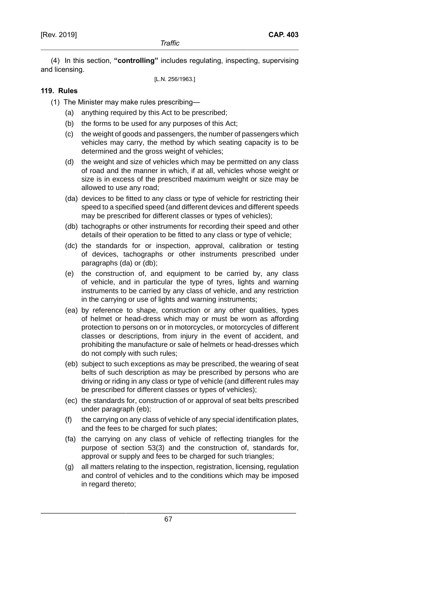(4) In this section, **"controlling"** includes regulating, inspecting, supervising and licensing.

[L.N. 256/1963.]

## **119. Rules**

- (1) The Minister may make rules prescribing—
	- (a) anything required by this Act to be prescribed;
	- (b) the forms to be used for any purposes of this Act;
	- (c) the weight of goods and passengers, the number of passengers which vehicles may carry, the method by which seating capacity is to be determined and the gross weight of vehicles;
	- (d) the weight and size of vehicles which may be permitted on any class of road and the manner in which, if at all, vehicles whose weight or size is in excess of the prescribed maximum weight or size may be allowed to use any road;
	- (da) devices to be fitted to any class or type of vehicle for restricting their speed to a specified speed (and different devices and different speeds may be prescribed for different classes or types of vehicles);
	- (db) tachographs or other instruments for recording their speed and other details of their operation to be fitted to any class or type of vehicle;
	- (dc) the standards for or inspection, approval, calibration or testing of devices, tachographs or other instruments prescribed under paragraphs (da) or (db);
	- (e) the construction of, and equipment to be carried by, any class of vehicle, and in particular the type of tyres, lights and warning instruments to be carried by any class of vehicle, and any restriction in the carrying or use of lights and warning instruments;
	- (ea) by reference to shape, construction or any other qualities, types of helmet or head-dress which may or must be worn as affording protection to persons on or in motorcycles, or motorcycles of different classes or descriptions, from injury in the event of accident, and prohibiting the manufacture or sale of helmets or head-dresses which do not comply with such rules;
	- (eb) subject to such exceptions as may be prescribed, the wearing of seat belts of such description as may be prescribed by persons who are driving or riding in any class or type of vehicle (and different rules may be prescribed for different classes or types of vehicles);
	- (ec) the standards for, construction of or approval of seat belts prescribed under paragraph (eb);
	- (f) the carrying on any class of vehicle of any special identification plates, and the fees to be charged for such plates;
	- (fa) the carrying on any class of vehicle of reflecting triangles for the purpose of section 53(3) and the construction of, standards for, approval or supply and fees to be charged for such triangles;
	- (g) all matters relating to the inspection, registration, licensing, regulation and control of vehicles and to the conditions which may be imposed in regard thereto;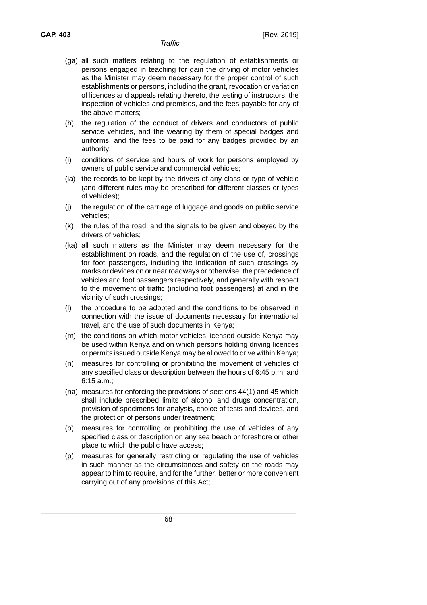- (ga) all such matters relating to the regulation of establishments or persons engaged in teaching for gain the driving of motor vehicles as the Minister may deem necessary for the proper control of such establishments or persons, including the grant, revocation or variation of licences and appeals relating thereto, the testing of instructors, the inspection of vehicles and premises, and the fees payable for any of the above matters;
- (h) the regulation of the conduct of drivers and conductors of public service vehicles, and the wearing by them of special badges and uniforms, and the fees to be paid for any badges provided by an authority;
- (i) conditions of service and hours of work for persons employed by owners of public service and commercial vehicles;
- (ia) the records to be kept by the drivers of any class or type of vehicle (and different rules may be prescribed for different classes or types of vehicles);
- (j) the regulation of the carriage of luggage and goods on public service vehicles;
- (k) the rules of the road, and the signals to be given and obeyed by the drivers of vehicles;
- (ka) all such matters as the Minister may deem necessary for the establishment on roads, and the regulation of the use of, crossings for foot passengers, including the indication of such crossings by marks or devices on or near roadways or otherwise, the precedence of vehicles and foot passengers respectively, and generally with respect to the movement of traffic (including foot passengers) at and in the vicinity of such crossings;
- (l) the procedure to be adopted and the conditions to be observed in connection with the issue of documents necessary for international travel, and the use of such documents in Kenya;
- (m) the conditions on which motor vehicles licensed outside Kenya may be used within Kenya and on which persons holding driving licences or permits issued outside Kenya may be allowed to drive within Kenya;
- (n) measures for controlling or prohibiting the movement of vehicles of any specified class or description between the hours of 6:45 p.m. and 6:15 a.m.;
- (na) measures for enforcing the provisions of sections 44(1) and 45 which shall include prescribed limits of alcohol and drugs concentration, provision of specimens for analysis, choice of tests and devices, and the protection of persons under treatment;
- (o) measures for controlling or prohibiting the use of vehicles of any specified class or description on any sea beach or foreshore or other place to which the public have access;
- (p) measures for generally restricting or regulating the use of vehicles in such manner as the circumstances and safety on the roads may appear to him to require, and for the further, better or more convenient carrying out of any provisions of this Act;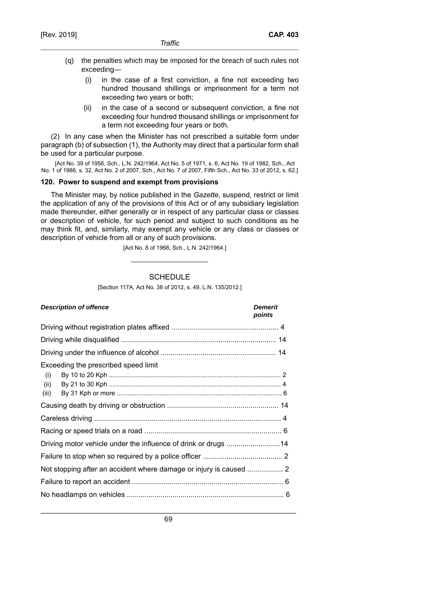- (q) the penalties which may be imposed for the breach of such rules not exceeding—
	- (i) in the case of a first conviction, a fine not exceeding two hundred thousand shillings or imprisonment for a term not exceeding two years or both;
	- (ii) in the case of a second or subsequent conviction, a fine not exceeding four hundred thousand shillings or imprisonment for a term not exceeding four years or both.

(2) In any case when the Minister has not prescribed a suitable form under paragraph (b) of subsection (1), the Authority may direct that a particular form shall be used for a particular purpose.

[Act No. 39 of 1956, Sch., L.N. 242/1964, Act No. 5 of 1971, s. 6, Act No. 19 of 1982, Sch., Act No. 1 of 1986, s. 32, Act No. 2 of 2007, Sch., Act No. 7 of 2007, Fifth Sch., Act No. 33 of 2012, s. 62.]

### **120. Power to suspend and exempt from provisions**

The Minister may, by notice published in the *Gazette*, suspend, restrict or limit the application of any of the provisions of this Act or of any subsidiary legislation made thereunder, either generally or in respect of any particular class or classes or description of vehicle, for such period and subject to such conditions as he may think fit, and, similarly, may exempt any vehicle or any class or classes or description of vehicle from all or any of such provisions.

[Act No. 8 of 1968, Sch., L.N. 242/1964.]

### **SCHEDULE**

[Section 117A, Act No. 38 of 2012, s. 49, L.N. 135/2012.]

#### **Description of offence Demerit**

# **points**

| Exceeding the prescribed speed limit<br>(i)<br>(ii)<br>(iii)       |  |
|--------------------------------------------------------------------|--|
|                                                                    |  |
|                                                                    |  |
|                                                                    |  |
| Driving motor vehicle under the influence of drink or drugs 14     |  |
|                                                                    |  |
| Not stopping after an accident where damage or injury is caused  2 |  |
|                                                                    |  |
|                                                                    |  |
|                                                                    |  |